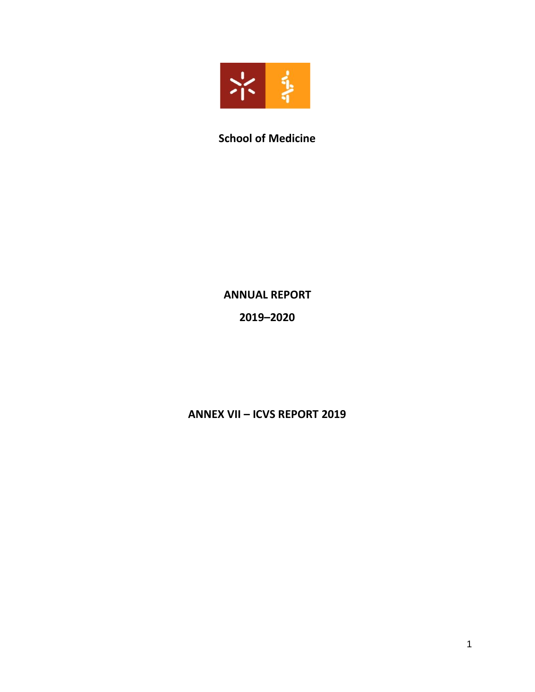

# **School of Medicine**

## **ANNUAL REPORT**

# **2019–2020**

# **ANNEX VII – ICVS REPORT 2019**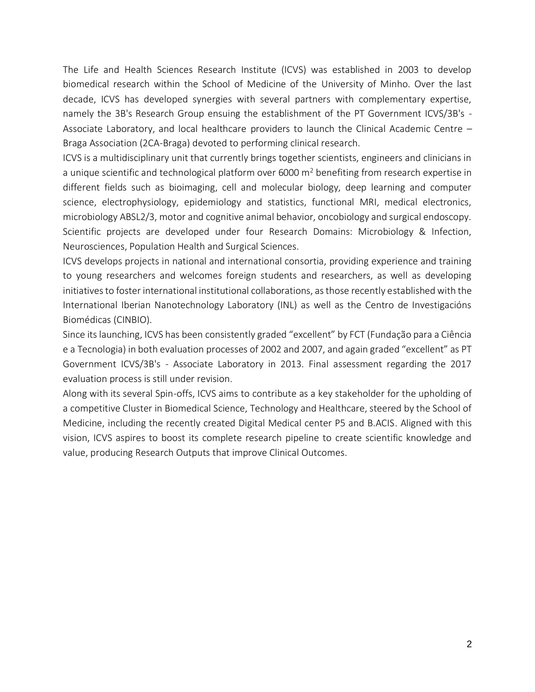The Life and Health Sciences Research Institute (ICVS) was established in 2003 to develop biomedical research within the School of Medicine of the University of Minho. Over the last decade, ICVS has developed synergies with several partners with complementary expertise, namely the 3B's Research Group ensuing the establishment of the PT Government ICVS/3B's - Associate Laboratory, and local healthcare providers to launch the Clinical Academic Centre – Braga Association (2CA-Braga) devoted to performing clinical research.

ICVS is a multidisciplinary unit that currently brings together scientists, engineers and clinicians in a unique scientific and technological platform over 6000 m<sup>2</sup> benefiting from research expertise in different fields such as bioimaging, cell and molecular biology, deep learning and computer science, electrophysiology, epidemiology and statistics, functional MRI, medical electronics, microbiology ABSL2/3, motor and cognitive animal behavior, oncobiology and surgical endoscopy. Scientific projects are developed under four Research Domains: Microbiology & Infection, Neurosciences, Population Health and Surgical Sciences.

ICVS develops projects in national and international consortia, providing experience and training to young researchers and welcomes foreign students and researchers, as well as developing initiatives to foster international institutional collaborations, as those recently established with the International Iberian Nanotechnology Laboratory (INL) as well as the Centro de Investigacións Biomédicas (CINBIO).

Since its launching, ICVS has been consistently graded "excellent" by FCT (Fundação para a Ciência e a Tecnologia) in both evaluation processes of 2002 and 2007, and again graded "excellent" as PT Government ICVS/3B's - Associate Laboratory in 2013. Final assessment regarding the 2017 evaluation process is still under revision.

Along with its several Spin-offs, ICVS aims to contribute as a key stakeholder for the upholding of a competitive Cluster in Biomedical Science, Technology and Healthcare, steered by the School of Medicine, including the recently created Digital Medical center P5 and B.ACIS. Aligned with this vision, ICVS aspires to boost its complete research pipeline to create scientific knowledge and value, producing Research Outputs that improve Clinical Outcomes.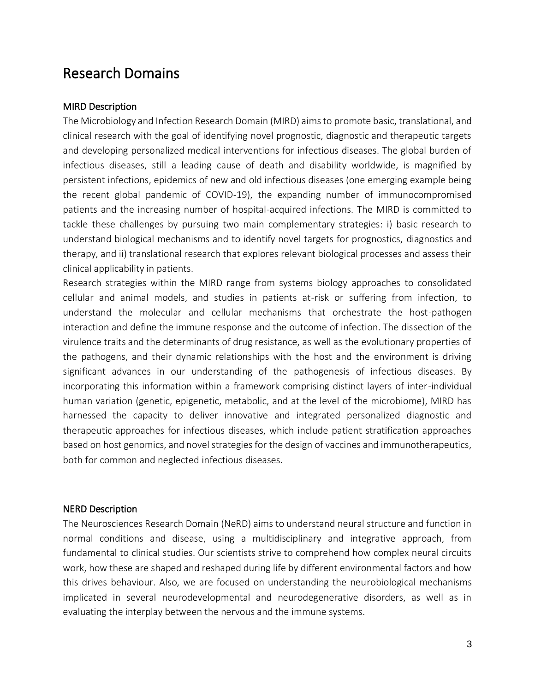# Research Domains

#### MIRD Description

The Microbiology and Infection Research Domain (MIRD) aims to promote basic, translational, and clinical research with the goal of identifying novel prognostic, diagnostic and therapeutic targets and developing personalized medical interventions for infectious diseases. The global burden of infectious diseases, still a leading cause of death and disability worldwide, is magnified by persistent infections, epidemics of new and old infectious diseases (one emerging example being the recent global pandemic of COVID-19), the expanding number of immunocompromised patients and the increasing number of hospital-acquired infections. The MIRD is committed to tackle these challenges by pursuing two main complementary strategies: i) basic research to understand biological mechanisms and to identify novel targets for prognostics, diagnostics and therapy, and ii) translational research that explores relevant biological processes and assess their clinical applicability in patients.

Research strategies within the MIRD range from systems biology approaches to consolidated cellular and animal models, and studies in patients at-risk or suffering from infection, to understand the molecular and cellular mechanisms that orchestrate the host-pathogen interaction and define the immune response and the outcome of infection. The dissection of the virulence traits and the determinants of drug resistance, as well as the evolutionary properties of the pathogens, and their dynamic relationships with the host and the environment is driving significant advances in our understanding of the pathogenesis of infectious diseases. By incorporating this information within a framework comprising distinct layers of inter-individual human variation (genetic, epigenetic, metabolic, and at the level of the microbiome), MIRD has harnessed the capacity to deliver innovative and integrated personalized diagnostic and therapeutic approaches for infectious diseases, which include patient stratification approaches based on host genomics, and novel strategies for the design of vaccines and immunotherapeutics, both for common and neglected infectious diseases.

#### NERD Description

The Neurosciences Research Domain (NeRD) aims to understand neural structure and function in normal conditions and disease, using a multidisciplinary and integrative approach, from fundamental to clinical studies. Our scientists strive to comprehend how complex neural circuits work, how these are shaped and reshaped during life by different environmental factors and how this drives behaviour. Also, we are focused on understanding the neurobiological mechanisms implicated in several neurodevelopmental and neurodegenerative disorders, as well as in evaluating the interplay between the nervous and the immune systems.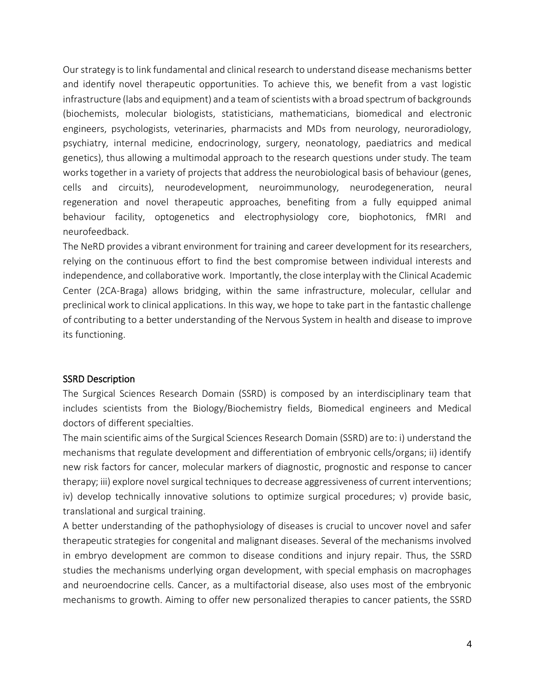Our strategy is to link fundamental and clinical research to understand disease mechanisms better and identify novel therapeutic opportunities. To achieve this, we benefit from a vast logistic infrastructure (labs and equipment) and a team of scientists with a broad spectrum of backgrounds (biochemists, molecular biologists, statisticians, mathematicians, biomedical and electronic engineers, psychologists, veterinaries, pharmacists and MDs from neurology, neuroradiology, psychiatry, internal medicine, endocrinology, surgery, neonatology, paediatrics and medical genetics), thus allowing a multimodal approach to the research questions under study. The team works together in a variety of projects that address the neurobiological basis of behaviour (genes, cells and circuits), neurodevelopment, neuroimmunology, neurodegeneration, neural regeneration and novel therapeutic approaches, benefiting from a fully equipped animal behaviour facility, optogenetics and electrophysiology core, biophotonics, fMRI and neurofeedback.

The NeRD provides a vibrant environment for training and career development for its researchers, relying on the continuous effort to find the best compromise between individual interests and independence, and collaborative work. Importantly, the close interplay with the Clinical Academic Center (2CA-Braga) allows bridging, within the same infrastructure, molecular, cellular and preclinical work to clinical applications. In this way, we hope to take part in the fantastic challenge of contributing to a better understanding of the Nervous System in health and disease to improve its functioning.

#### SSRD Description

The Surgical Sciences Research Domain (SSRD) is composed by an interdisciplinary team that includes scientists from the Biology/Biochemistry fields, Biomedical engineers and Medical doctors of different specialties.

The main scientific aims of the Surgical Sciences Research Domain (SSRD) are to: i) understand the mechanisms that regulate development and differentiation of embryonic cells/organs; ii) identify new risk factors for cancer, molecular markers of diagnostic, prognostic and response to cancer therapy; iii) explore novel surgical techniques to decrease aggressiveness of current interventions; iv) develop technically innovative solutions to optimize surgical procedures; v) provide basic, translational and surgical training.

A better understanding of the pathophysiology of diseases is crucial to uncover novel and safer therapeutic strategies for congenital and malignant diseases. Several of the mechanisms involved in embryo development are common to disease conditions and injury repair. Thus, the SSRD studies the mechanisms underlying organ development, with special emphasis on macrophages and neuroendocrine cells. Cancer, as a multifactorial disease, also uses most of the embryonic mechanisms to growth. Aiming to offer new personalized therapies to cancer patients, the SSRD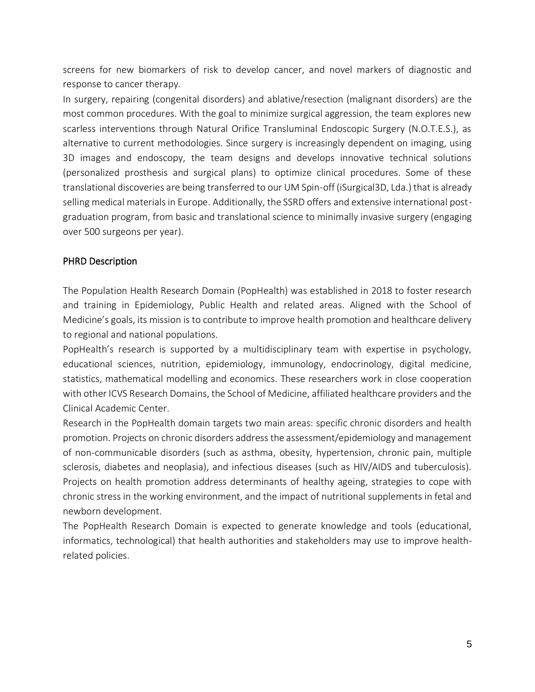screens for new biomarkers of risk to develop cancer, and novel markers of diagnostic and response to cancer therapy.

In surgery, repairing (congenital disorders) and ablative/resection (malignant disorders) are the most common procedures. With the goal to minimize surgical aggression, the team explores new scarless interventions through Natural Orifice Transluminal Endoscopic Surgery (N.O.T.E.S.), as alternative to current methodologies. Since surgery is increasingly dependent on imaging, using 3D images and endoscopy, the team designs and develops innovative technical solutions (personalized prosthesis and surgical plans) to optimize clinical procedures. Some of these translational discoveries are being transferred to our UM Spin-off (iSurgical3D, Lda.) that is already selling medical materials in Europe. Additionally, the SSRD offers and extensive international postgraduation program, from basic and translational science to minimally invasive surgery (engaging over 500 surgeons per year).

#### PHRD Description

The Population Health Research Domain (PopHealth) was established in 2018 to foster research and training in Epidemiology, Public Health and related areas. Aligned with the School of Medicine's goals, its mission is to contribute to improve health promotion and healthcare delivery to regional and national populations.

PopHealth's research is supported by a multidisciplinary team with expertise in psychology, educational sciences, nutrition, epidemiology, immunology, endocrinology, digital medicine, statistics, mathematical modelling and economics. These researchers work in close cooperation with other ICVS Research Domains, the School of Medicine, affiliated healthcare providers and the Clinical Academic Center.

Research in the PopHealth domain targets two main areas: specific chronic disorders and health promotion. Projects on chronic disorders address the assessment/epidemiology and management of non-communicable disorders (such as asthma, obesity, hypertension, chronic pain, multiple sclerosis, diabetes and neoplasia), and infectious diseases (such as HIV/AIDS and tuberculosis). Projects on health promotion address determinants of healthy ageing, strategies to cope with chronic stress in the working environment, and the impact of nutritional supplements in fetal and newborn development.

The PopHealth Research Domain is expected to generate knowledge and tools (educational, informatics, technological) that health authorities and stakeholders may use to improve healthrelated policies.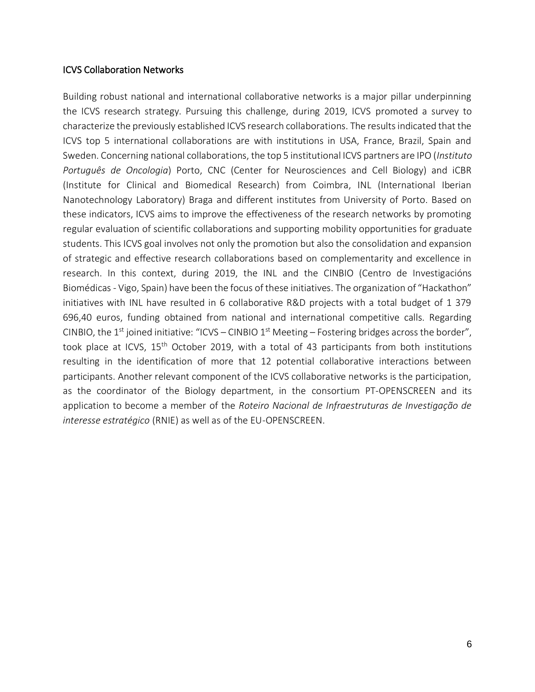#### ICVS Collaboration Networks

Building robust national and international collaborative networks is a major pillar underpinning the ICVS research strategy. Pursuing this challenge, during 2019, ICVS promoted a survey to characterize the previously established ICVS research collaborations. The results indicated that the ICVS top 5 international collaborations are with institutions in USA, France, Brazil, Spain and Sweden. Concerning national collaborations, the top 5 institutional ICVS partners are IPO (*Instituto Português de Oncologia*) Porto, CNC (Center for Neurosciences and Cell Biology) and iCBR (Institute for Clinical and Biomedical Research) from Coimbra, INL (International Iberian Nanotechnology Laboratory) Braga and different institutes from University of Porto. Based on these indicators, ICVS aims to improve the effectiveness of the research networks by promoting regular evaluation of scientific collaborations and supporting mobility opportunities for graduate students. This ICVS goal involves not only the promotion but also the consolidation and expansion of strategic and effective research collaborations based on complementarity and excellence in research. In this context, during 2019, the INL and the CINBIO (Centro de Investigacións Biomédicas - Vigo, Spain) have been the focus of these initiatives. The organization of "Hackathon" initiatives with INL have resulted in 6 collaborative R&D projects with a total budget of 1 379 696,40 euros, funding obtained from national and international competitive calls. Regarding CINBIO, the 1<sup>st</sup> joined initiative: "ICVS – CINBIO 1<sup>st</sup> Meeting – Fostering bridges across the border", took place at ICVS, 15<sup>th</sup> October 2019, with a total of 43 participants from both institutions resulting in the identification of more that 12 potential collaborative interactions between participants. Another relevant component of the ICVS collaborative networks is the participation, as the coordinator of the Biology department, in the consortium PT-OPENSCREEN and its application to become a member of the *Roteiro Nacional de Infraestruturas de Investigação de interesse estratégico* (RNIE) as well as of the EU-OPENSCREEN.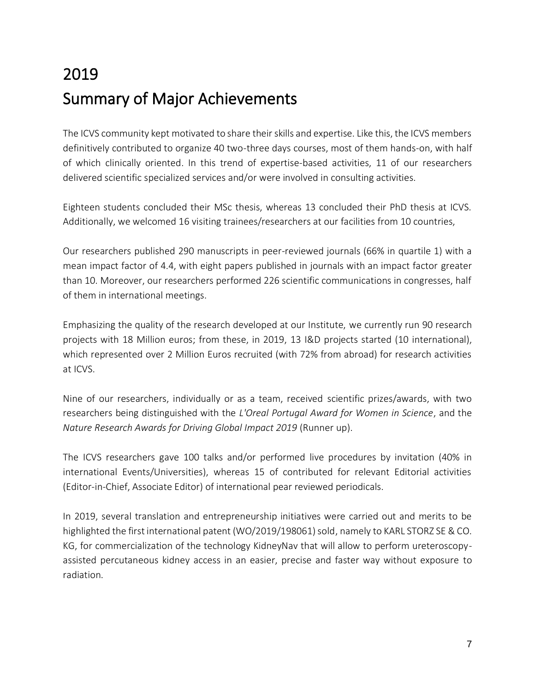# 2019 Summary of Major Achievements

The ICVS community kept motivated to share their skills and expertise. Like this, the ICVS members definitively contributed to organize 40 two-three days courses, most of them hands-on, with half of which clinically oriented. In this trend of expertise-based activities, 11 of our researchers delivered scientific specialized services and/or were involved in consulting activities.

Eighteen students concluded their MSc thesis, whereas 13 concluded their PhD thesis at ICVS. Additionally, we welcomed 16 visiting trainees/researchers at our facilities from 10 countries,

Our researchers published 290 manuscripts in peer-reviewed journals (66% in quartile 1) with a mean impact factor of 4.4, with eight papers published in journals with an impact factor greater than 10. Moreover, our researchers performed 226 scientific communications in congresses, half of them in international meetings.

Emphasizing the quality of the research developed at our Institute, we currently run 90 research projects with 18 Million euros; from these, in 2019, 13 I&D projects started (10 international), which represented over 2 Million Euros recruited (with 72% from abroad) for research activities at ICVS.

Nine of our researchers, individually or as a team, received scientific prizes/awards, with two researchers being distinguished with the *L'Oreal Portugal Award for Women in Science*, and the *Nature Research Awards for Driving Global Impact 2019* (Runner up).

The ICVS researchers gave 100 talks and/or performed live procedures by invitation (40% in international Events/Universities), whereas 15 of contributed for relevant Editorial activities (Editor-in-Chief, Associate Editor) of international pear reviewed periodicals.

In 2019, several translation and entrepreneurship initiatives were carried out and merits to be highlighted the first international patent (WO/2019/198061) sold, namely to KARL STORZ SE & CO. KG, for commercialization of the technology KidneyNav that will allow to perform ureteroscopyassisted percutaneous kidney access in an easier, precise and faster way without exposure to radiation.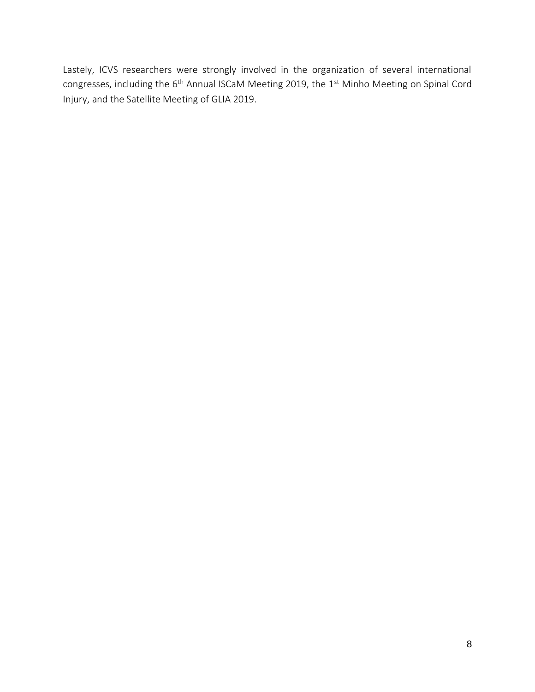Lastely, ICVS researchers were strongly involved in the organization of several international congresses, including the 6<sup>th</sup> Annual ISCaM Meeting 2019, the 1<sup>st</sup> Minho Meeting on Spinal Cord Injury, and the Satellite Meeting of GLIA 2019.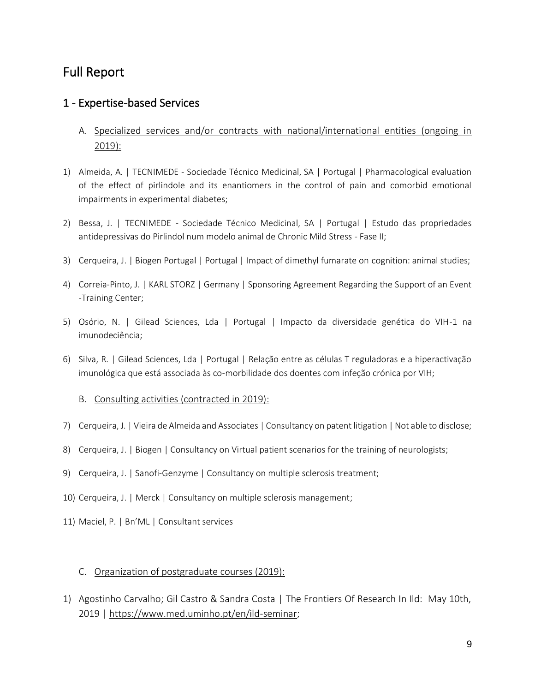# Full Report

## 1 - Expertise-based Services

- A. Specialized services and/or contracts with national/international entities (ongoing in 2019):
- 1) Almeida, A. | TECNIMEDE Sociedade Técnico Medicinal, SA | Portugal | Pharmacological evaluation of the effect of pirlindole and its enantiomers in the control of pain and comorbid emotional impairments in experimental diabetes;
- 2) Bessa, J. | TECNIMEDE Sociedade Técnico Medicinal, SA | Portugal | Estudo das propriedades antidepressivas do Pirlindol num modelo animal de Chronic Mild Stress - Fase II;
- 3) Cerqueira, J. | Biogen Portugal | Portugal | Impact of dimethyl fumarate on cognition: animal studies;
- 4) Correia-Pinto, J. | KARL STORZ | Germany | Sponsoring Agreement Regarding the Support of an Event -Training Center;
- 5) Osório, N. | Gilead Sciences, Lda | Portugal | Impacto da diversidade genética do VIH-1 na imunodeciência;
- 6) Silva, R. | Gilead Sciences, Lda | Portugal | Relação entre as células T reguladoras e a hiperactivação imunológica que está associada às co-morbilidade dos doentes com infeção crónica por VIH;
	- B. Consulting activities (contracted in 2019):
- 7) Cerqueira, J. | Vieira de Almeida and Associates | Consultancy on patent litigation | Not able to disclose;
- 8) Cerqueira, J. | Biogen | Consultancy on Virtual patient scenarios for the training of neurologists;
- 9) Cerqueira, J. | Sanofi-Genzyme | Consultancy on multiple sclerosis treatment;
- 10) Cerqueira, J. | Merck | Consultancy on multiple sclerosis management;
- 11) Maciel, P. | Bn'ML | Consultant services

#### C. Organization of postgraduate courses (2019):

1) Agostinho Carvalho; Gil Castro & Sandra Costa | The Frontiers Of Research In Ild: May 10th, 2019 | [https://www.med.uminho.pt/en/ild-seminar;](https://www.med.uminho.pt/en/ild-seminar)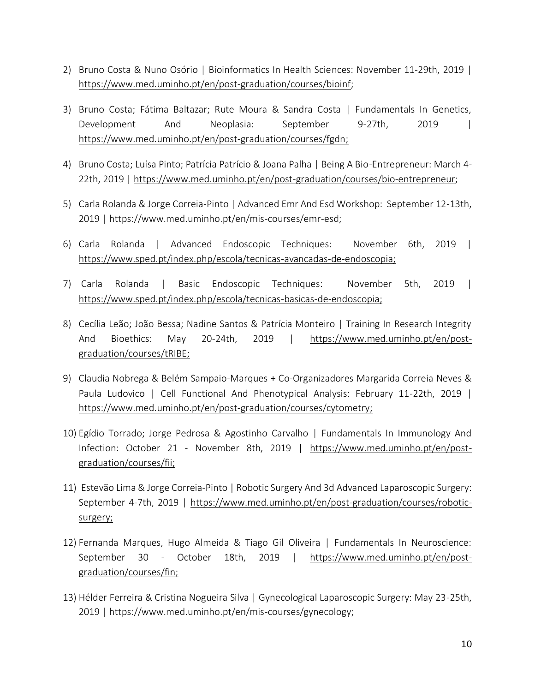- 2) Bruno Costa & Nuno Osório | Bioinformatics In Health Sciences: November 11-29th, 2019 | [https://www.med.uminho.pt/en/post-graduation/courses/bioinf;](https://www.med.uminho.pt/en/post-graduation/courses/bioinf)
- 3) Bruno Costa; Fátima Baltazar; Rute Moura & Sandra Costa | Fundamentals In Genetics, Development And Neoplasia: September 9-27th, 2019 | [https://www.med.uminho.pt/en/post-graduation/courses/fgdn;](https://www.med.uminho.pt/en/post-graduation/courses/fgdn)
- 4) Bruno Costa; Luísa Pinto; Patrícia Patrício & Joana Palha | Being A Bio-Entrepreneur: March 4- 22th, 2019 | [https://www.med.uminho.pt/en/post-graduation/courses/bio-entrepreneur;](https://www.med.uminho.pt/en/post-graduation/courses/bio-entrepreneur)
- 5) Carla Rolanda & Jorge Correia-Pinto | Advanced Emr And Esd Workshop: September 12-13th, 2019 | [https://www.med.uminho.pt/en/mis-courses/emr-esd;](https://www.med.uminho.pt/en/mis-courses/emr-esd)
- 6) Carla Rolanda | Advanced Endoscopic Techniques: November 6th, 2019 | [https://www.sped.pt/index.php/escola/tecnicas-avancadas-de-endoscopia;](https://www.sped.pt/index.php/escola/tecnicas-avancadas-de-endoscopia)
- 7) Carla Rolanda | Basic Endoscopic Techniques: November 5th, 2019 | [https://www.sped.pt/index.php/escola/tecnicas-basicas-de-endoscopia;](https://www.sped.pt/index.php/escola/tecnicas-basicas-de-endoscopia)
- 8) Cecília Leão; João Bessa; Nadine Santos & Patrícia Monteiro | Training In Research Integrity And Bioethics: May 20-24th, 2019 | [https://www.med.uminho.pt/en/post](https://www.med.uminho.pt/en/post-graduation/courses/tRIBE)[graduation/courses/tRIBE;](https://www.med.uminho.pt/en/post-graduation/courses/tRIBE)
- 9) Claudia Nobrega & Belém Sampaio-Marques + Co-Organizadores Margarida Correia Neves & Paula Ludovico | Cell Functional And Phenotypical Analysis: February 11-22th, 2019 | [https://www.med.uminho.pt/en/post-graduation/courses/cytometry;](https://www.med.uminho.pt/en/post-graduation/courses/cytometry)
- 10) Egídio Torrado; Jorge Pedrosa & Agostinho Carvalho | Fundamentals In Immunology And Infection: October 21 - November 8th, 2019 | [https://www.med.uminho.pt/en/post](https://www.med.uminho.pt/en/post-graduation/courses/fii)[graduation/courses/fii;](https://www.med.uminho.pt/en/post-graduation/courses/fii)
- 11) Estevão Lima & Jorge Correia-Pinto | Robotic Surgery And 3d Advanced Laparoscopic Surgery: September 4-7th, 2019 | [https://www.med.uminho.pt/en/post-graduation/courses/robotic](https://www.med.uminho.pt/en/post-graduation/courses/robotic-surgery)[surgery;](https://www.med.uminho.pt/en/post-graduation/courses/robotic-surgery)
- 12) Fernanda Marques, Hugo Almeida & Tiago Gil Oliveira | Fundamentals In Neuroscience: September 30 - October 18th, 2019 | [https://www.med.uminho.pt/en/post](https://www.med.uminho.pt/en/post-graduation/courses/fin)[graduation/courses/fin;](https://www.med.uminho.pt/en/post-graduation/courses/fin)
- 13) Hélder Ferreira & Cristina Nogueira Silva | Gynecological Laparoscopic Surgery: May 23-25th, 2019 | [https://www.med.uminho.pt/en/mis-courses/gynecology;](https://www.med.uminho.pt/en/mis-courses/gynecology)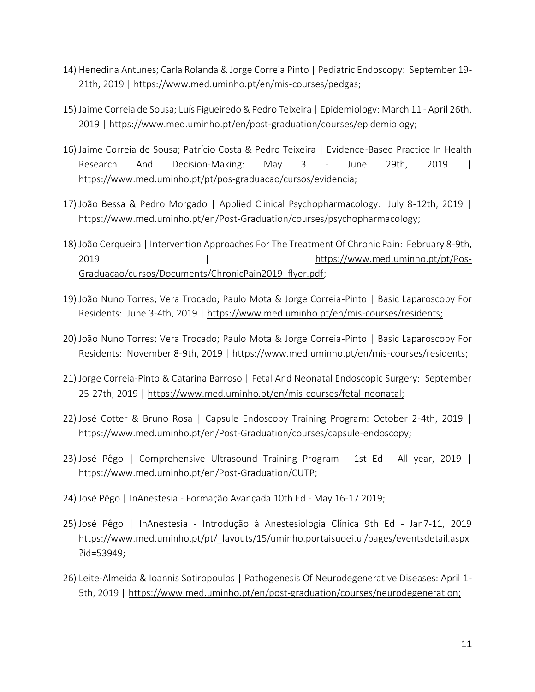- 14) Henedina Antunes; Carla Rolanda & Jorge Correia Pinto | Pediatric Endoscopy: September 19- 21th, 2019 | [https://www.med.uminho.pt/en/mis-courses/pedgas;](https://www.med.uminho.pt/en/mis-courses/pedgas)
- 15) Jaime Correia de Sousa; Luís Figueiredo & Pedro Teixeira | Epidemiology: March 11 April 26th, 2019 | [https://www.med.uminho.pt/en/post-graduation/courses/epidemiology;](https://www.med.uminho.pt/en/post-graduation/courses/epidemiology)
- 16) Jaime Correia de Sousa; Patrício Costa & Pedro Teixeira | Evidence-Based Practice In Health Research And Decision-Making: May 3 - June 29th, 2019 | [https://www.med.uminho.pt/pt/pos-graduacao/cursos/evidencia;](https://www.med.uminho.pt/pt/pos-graduacao/cursos/evidencia)
- 17) João Bessa & Pedro Morgado | Applied Clinical Psychopharmacology: July 8-12th, 2019 | [https://www.med.uminho.pt/en/Post-Graduation/courses/psychopharmacology;](https://www.med.uminho.pt/en/Post-Graduation/courses/psychopharmacology)
- 18) João Cerqueira | Intervention Approaches For The Treatment Of Chronic Pain: February 8-9th, 2019 | lattps://www.med.uminho.pt/pt/Pos-[Graduacao/cursos/Documents/ChronicPain2019\\_flyer.pdf;](https://www.med.uminho.pt/pt/Pos-Graduacao/cursos/Documents/ChronicPain2019_flyer.pdf)
- 19) João Nuno Torres; Vera Trocado; Paulo Mota & Jorge Correia-Pinto | Basic Laparoscopy For Residents: June 3-4th, 2019 | [https://www.med.uminho.pt/en/mis-courses/residents;](https://www.med.uminho.pt/en/mis-courses/residents)
- 20) João Nuno Torres; Vera Trocado; Paulo Mota & Jorge Correia-Pinto | Basic Laparoscopy For Residents: November 8-9th, 2019 | [https://www.med.uminho.pt/en/mis-courses/residents;](https://www.med.uminho.pt/en/mis-courses/residents)
- 21) Jorge Correia-Pinto & Catarina Barroso | Fetal And Neonatal Endoscopic Surgery: September 25-27th, 2019 | [https://www.med.uminho.pt/en/mis-courses/fetal-neonatal;](https://www.med.uminho.pt/en/mis-courses/fetal-neonatal)
- 22) José Cotter & Bruno Rosa | Capsule Endoscopy Training Program: October 2-4th, 2019 | [https://www.med.uminho.pt/en/Post-Graduation/courses/capsule-endoscopy;](https://www.med.uminho.pt/en/Post-Graduation/courses/capsule-endoscopy)
- 23) José Pêgo | Comprehensive Ultrasound Training Program 1st Ed All year, 2019 | [https://www.med.uminho.pt/en/Post-Graduation/CUTP;](https://www.med.uminho.pt/en/Post-Graduation/CUTP)
- 24) José Pêgo | InAnestesia Formação Avançada 10th Ed May 16-17 2019;
- 25) José Pêgo | InAnestesia Introdução à Anestesiologia Clínica 9th Ed Jan7-11, 2019 [https://www.med.uminho.pt/pt/\\_layouts/15/uminho.portaisuoei.ui/pages/eventsdetail.aspx](https://www.med.uminho.pt/pt/_layouts/15/uminho.portaisuoei.ui/pages/eventsdetail.aspx?id=53949) [?id=53949;](https://www.med.uminho.pt/pt/_layouts/15/uminho.portaisuoei.ui/pages/eventsdetail.aspx?id=53949)
- 26) Leite-Almeida & Ioannis Sotiropoulos | Pathogenesis Of Neurodegenerative Diseases: April 1- 5th, 2019 | [https://www.med.uminho.pt/en/post-graduation/courses/neurodegeneration;](https://www.med.uminho.pt/en/post-graduation/courses/neurodegeneration)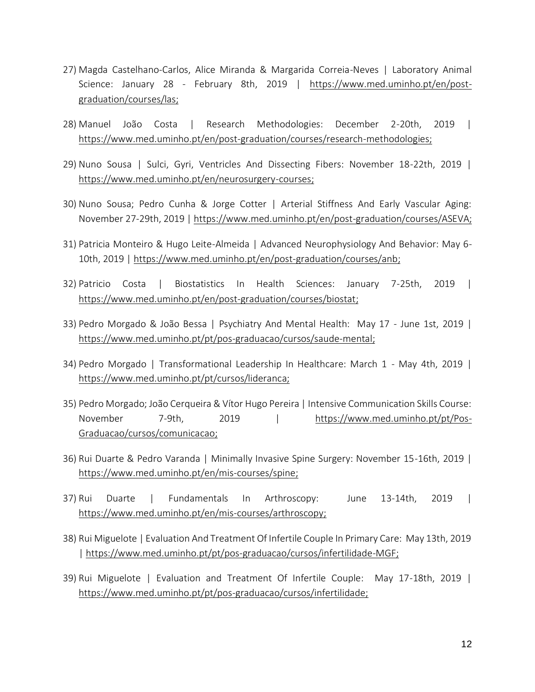- 27) Magda Castelhano-Carlos, Alice Miranda & Margarida Correia-Neves | Laboratory Animal Science: January 28 - February 8th, 2019 | [https://www.med.uminho.pt/en/post](https://www.med.uminho.pt/en/post-graduation/courses/las)[graduation/courses/las;](https://www.med.uminho.pt/en/post-graduation/courses/las)
- 28) Manuel João Costa | Research Methodologies: December 2-20th, 2019 | [https://www.med.uminho.pt/en/post-graduation/courses/research-methodologies;](https://www.med.uminho.pt/en/post-graduation/courses/research-methodologies)
- 29) Nuno Sousa | Sulci, Gyri, Ventricles And Dissecting Fibers: November 18-22th, 2019 | [https://www.med.uminho.pt/en/neurosurgery-courses;](https://www.med.uminho.pt/en/neurosurgery-courses)
- 30) Nuno Sousa; Pedro Cunha & Jorge Cotter | Arterial Stiffness And Early Vascular Aging: November 27-29th, 2019 | [https://www.med.uminho.pt/en/post-graduation/courses/ASEVA;](https://www.med.uminho.pt/en/post-graduation/courses/ASEVA)
- 31) Patricia Monteiro & Hugo Leite-Almeida | Advanced Neurophysiology And Behavior: May 6- 10th, 2019 | [https://www.med.uminho.pt/en/post-graduation/courses/anb;](https://www.med.uminho.pt/en/post-graduation/courses/anb)
- 32) Patricio Costa | Biostatistics In Health Sciences: January 7-25th, 2019 | [https://www.med.uminho.pt/en/post-graduation/courses/biostat;](https://www.med.uminho.pt/en/post-graduation/courses/biostat)
- 33) Pedro Morgado & João Bessa | Psychiatry And Mental Health: May 17 June 1st, 2019 | [https://www.med.uminho.pt/pt/pos-graduacao/cursos/saude-mental;](https://www.med.uminho.pt/pt/pos-graduacao/cursos/saude-mental)
- 34) Pedro Morgado | Transformational Leadership In Healthcare: March 1 May 4th, 2019 | [https://www.med.uminho.pt/pt/cursos/lideranca;](https://www.med.uminho.pt/pt/cursos/lideranca)
- 35) Pedro Morgado; João Cerqueira & Vítor Hugo Pereira | Intensive Communication Skills Course: November 7-9th, 2019 | [https://www.med.uminho.pt/pt/Pos-](https://www.med.uminho.pt/pt/Pos-Graduacao/cursos/comunicacao)[Graduacao/cursos/comunicacao;](https://www.med.uminho.pt/pt/Pos-Graduacao/cursos/comunicacao)
- 36) Rui Duarte & Pedro Varanda | Minimally Invasive Spine Surgery: November 15-16th, 2019 | [https://www.med.uminho.pt/en/mis-courses/spine;](https://www.med.uminho.pt/en/mis-courses/spine)
- 37) Rui Duarte | Fundamentals In Arthroscopy: June 13-14th, 2019 | [https://www.med.uminho.pt/en/mis-courses/arthroscopy;](https://www.med.uminho.pt/en/mis-courses/arthroscopy)
- 38) Rui Miguelote | Evaluation And Treatment Of Infertile Couple In Primary Care: May 13th, 2019 | [https://www.med.uminho.pt/pt/pos-graduacao/cursos/infertilidade-MGF;](https://www.med.uminho.pt/pt/pos-graduacao/cursos/infertilidade-MGF)
- 39) Rui Miguelote | Evaluation and Treatment Of Infertile Couple: May 17-18th, 2019 | [https://www.med.uminho.pt/pt/pos-graduacao/cursos/infertilidade;](https://www.med.uminho.pt/pt/pos-graduacao/cursos/infertilidade)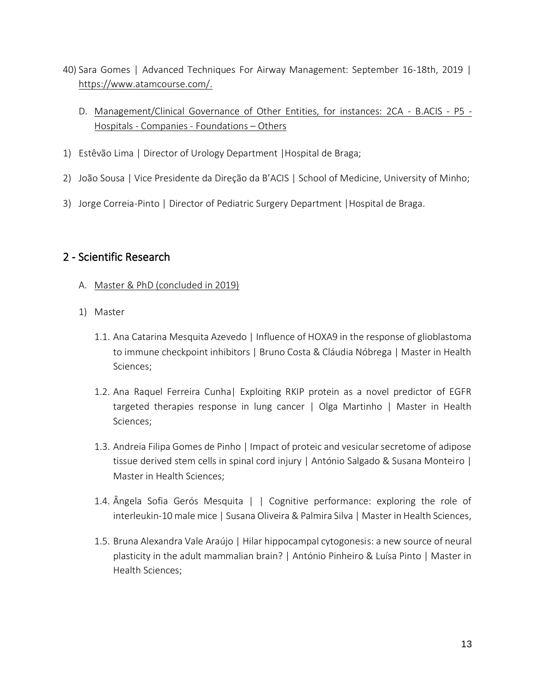- 40) Sara Gomes | Advanced Techniques For Airway Management: September 16-18th, 2019 | [https://www.atamcourse.com/.](https://www.atamcourse.com/)
	- D. Management/Clinical Governance of Other Entities, for instances: 2CA B.ACIS P5 Hospitals - Companies - Foundations – Others
- 1) Estêvão Lima | Director of Urology Department |Hospital de Braga;
- 2) João Sousa | Vice Presidente da Direção da B'ACIS | School of Medicine, University of Minho;
- 3) Jorge Correia-Pinto | Director of Pediatric Surgery Department |Hospital de Braga.

## 2 - Scientific Research

- A. Master & PhD (concluded in 2019)
- 1) Master
	- 1.1. Ana Catarina Mesquita Azevedo | Influence of HOXA9 in the response of glioblastoma to immune checkpoint inhibitors | Bruno Costa & Cláudia Nóbrega | Master in Health Sciences;
	- 1.2. Ana Raquel Ferreira Cunha| Exploiting RKIP protein as a novel predictor of EGFR targeted therapies response in lung cancer | Olga Martinho | Master in Health Sciences;
	- 1.3. Andreia Filipa Gomes de Pinho | Impact of proteic and vesicular secretome of adipose tissue derived stem cells in spinal cord injury | António Salgado & Susana Monteiro | Master in Health Sciences;
	- 1.4. Ângela Sofia Gerós Mesquita | | Cognitive performance: exploring the role of interleukin-10 male mice | Susana Oliveira & Palmira Silva | Master in Health Sciences,
	- 1.5. Bruna Alexandra Vale Araújo | Hilar hippocampal cytogonesis: a new source of neural plasticity in the adult mammalian brain? | António Pinheiro & Luísa Pinto | Master in Health Sciences;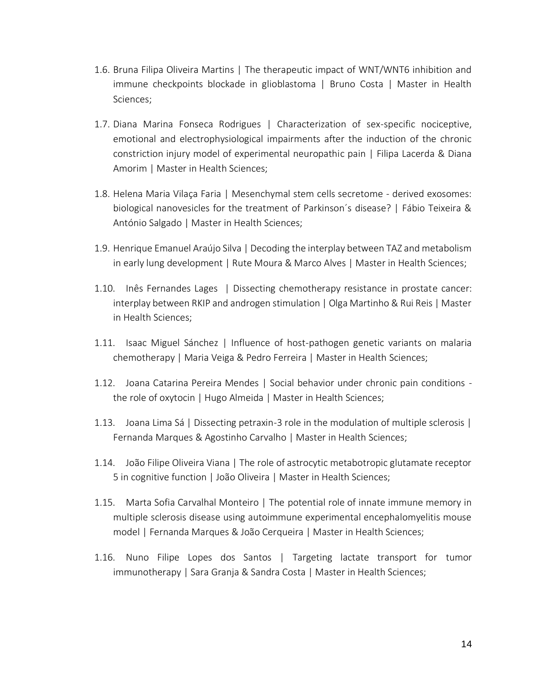- 1.6. Bruna Filipa Oliveira Martins | The therapeutic impact of WNT/WNT6 inhibition and immune checkpoints blockade in glioblastoma | Bruno Costa | Master in Health Sciences;
- 1.7. Diana Marina Fonseca Rodrigues | Characterization of sex-specific nociceptive, emotional and electrophysiological impairments after the induction of the chronic constriction injury model of experimental neuropathic pain | Filipa Lacerda & Diana Amorim | Master in Health Sciences;
- 1.8. Helena Maria Vilaça Faria | Mesenchymal stem cells secretome derived exosomes: biological nanovesicles for the treatment of Parkinson´s disease? | Fábio Teixeira & António Salgado | Master in Health Sciences;
- 1.9. Henrique Emanuel Araújo Silva | Decoding the interplay between TAZ and metabolism in early lung development | Rute Moura & Marco Alves | Master in Health Sciences;
- 1.10. Inês Fernandes Lages | Dissecting chemotherapy resistance in prostate cancer: interplay between RKIP and androgen stimulation | Olga Martinho & Rui Reis | Master in Health Sciences;
- 1.11. Isaac Miguel Sánchez | Influence of host-pathogen genetic variants on malaria chemotherapy | Maria Veiga & Pedro Ferreira | Master in Health Sciences;
- 1.12. Joana Catarina Pereira Mendes | Social behavior under chronic pain conditions the role of oxytocin | Hugo Almeida | Master in Health Sciences;
- 1.13. Joana Lima Sá | Dissecting petraxin-3 role in the modulation of multiple sclerosis | Fernanda Marques & Agostinho Carvalho | Master in Health Sciences;
- 1.14. João Filipe Oliveira Viana | The role of astrocytic metabotropic glutamate receptor 5 in cognitive function | João Oliveira | Master in Health Sciences;
- 1.15. Marta Sofia Carvalhal Monteiro | The potential role of innate immune memory in multiple sclerosis disease using autoimmune experimental encephalomyelitis mouse model | Fernanda Marques & João Cerqueira | Master in Health Sciences;
- 1.16. Nuno Filipe Lopes dos Santos | Targeting lactate transport for tumor immunotherapy | Sara Granja & Sandra Costa | Master in Health Sciences;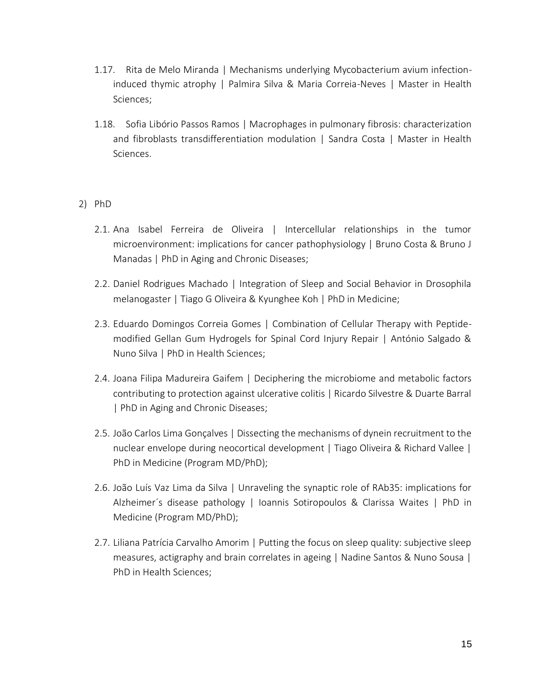- 1.17. Rita de Melo Miranda | Mechanisms underlying Mycobacterium avium infectioninduced thymic atrophy | Palmira Silva & Maria Correia-Neves | Master in Health Sciences;
- 1.18. Sofia Libório Passos Ramos | Macrophages in pulmonary fibrosis: characterization and fibroblasts transdifferentiation modulation | Sandra Costa | Master in Health Sciences.

#### 2) PhD

- 2.1. Ana Isabel Ferreira de Oliveira | Intercellular relationships in the tumor microenvironment: implications for cancer pathophysiology | Bruno Costa & Bruno J Manadas | PhD in Aging and Chronic Diseases;
- 2.2. Daniel Rodrigues Machado | Integration of Sleep and Social Behavior in Drosophila melanogaster | Tiago G Oliveira & Kyunghee Koh | PhD in Medicine;
- 2.3. Eduardo Domingos Correia Gomes | Combination of Cellular Therapy with Peptidemodified Gellan Gum Hydrogels for Spinal Cord Injury Repair | António Salgado & Nuno Silva | PhD in Health Sciences;
- 2.4. Joana Filipa Madureira Gaifem | Deciphering the microbiome and metabolic factors contributing to protection against ulcerative colitis | Ricardo Silvestre & Duarte Barral | PhD in Aging and Chronic Diseases;
- 2.5. João Carlos Lima Gonçalves | Dissecting the mechanisms of dynein recruitment to the nuclear envelope during neocortical development | Tiago Oliveira & Richard Vallee | PhD in Medicine (Program MD/PhD);
- 2.6. João Luís Vaz Lima da Silva | Unraveling the synaptic role of RAb35: implications for Alzheimer´s disease pathology | Ioannis Sotiropoulos & Clarissa Waites | PhD in Medicine (Program MD/PhD);
- 2.7. Liliana Patrícia Carvalho Amorim | Putting the focus on sleep quality: subjective sleep measures, actigraphy and brain correlates in ageing | Nadine Santos & Nuno Sousa | PhD in Health Sciences;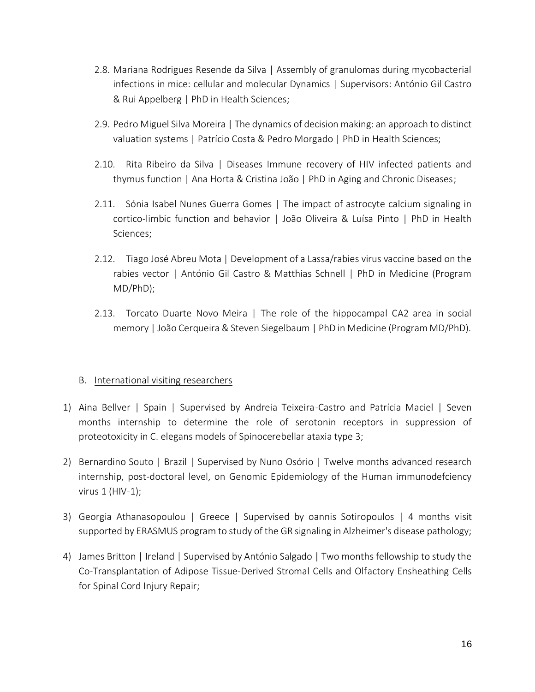- 2.8. Mariana Rodrigues Resende da Silva | Assembly of granulomas during mycobacterial infections in mice: cellular and molecular Dynamics | Supervisors: António Gil Castro & Rui Appelberg | PhD in Health Sciences;
- 2.9. Pedro Miguel Silva Moreira | The dynamics of decision making: an approach to distinct valuation systems | Patrício Costa & Pedro Morgado | PhD in Health Sciences;
- 2.10. Rita Ribeiro da Silva | Diseases Immune recovery of HIV infected patients and thymus function | Ana Horta & Cristina João | PhD in Aging and Chronic Diseases;
- 2.11. Sónia Isabel Nunes Guerra Gomes | The impact of astrocyte calcium signaling in cortico-limbic function and behavior | João Oliveira & Luísa Pinto | PhD in Health Sciences;
- 2.12. Tiago José Abreu Mota | Development of a Lassa/rabies virus vaccine based on the rabies vector | António Gil Castro & Matthias Schnell | PhD in Medicine (Program MD/PhD);
- 2.13. Torcato Duarte Novo Meira | The role of the hippocampal CA2 area in social memory | João Cerqueira & Steven Siegelbaum | PhD in Medicine (Program MD/PhD).

#### B. International visiting researchers

- 1) Aina Bellver | Spain | Supervised by Andreia Teixeira-Castro and Patrícia Maciel | Seven months internship to determine the role of serotonin receptors in suppression of proteotoxicity in C. elegans models of Spinocerebellar ataxia type 3;
- 2) Bernardino Souto | Brazil | Supervised by Nuno Osório | Twelve months advanced research internship, post-doctoral level, on Genomic Epidemiology of the Human immunodefciency virus 1 (HIV-1);
- 3) Georgia Athanasopoulou | Greece | Supervised by oannis Sotiropoulos | 4 months visit supported by ERASMUS program to study of the GR signaling in Alzheimer's disease pathology;
- 4) James Britton | Ireland | Supervised by António Salgado | Two months fellowship to study the Co‐Transplantation of Adipose Tissue‐Derived Stromal Cells and Olfactory Ensheathing Cells for Spinal Cord Injury Repair;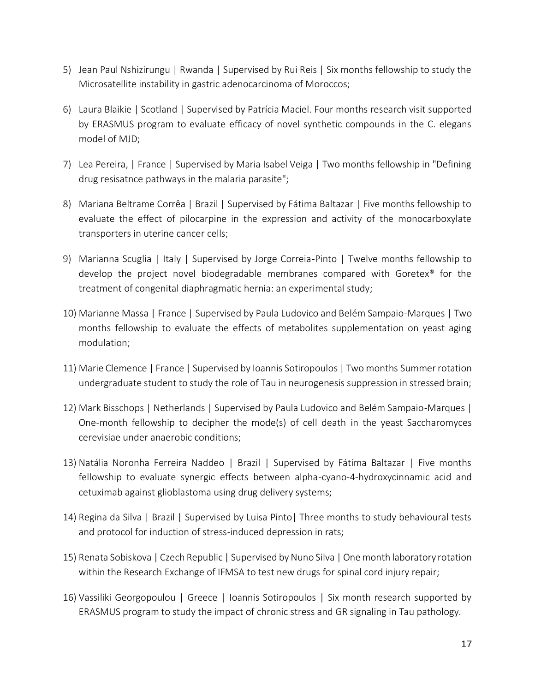- 5) Jean Paul Nshizirungu | Rwanda | Supervised by Rui Reis | Six months fellowship to study the Microsatellite instability in gastric adenocarcinoma of Moroccos;
- 6) Laura Blaikie | Scotland | Supervised by Patrícia Maciel. Four months research visit supported by ERASMUS program to evaluate efficacy of novel synthetic compounds in the C. elegans model of MJD;
- 7) Lea Pereira, | France | Supervised by Maria Isabel Veiga | Two months fellowship in "Defining drug resisatnce pathways in the malaria parasite";
- 8) Mariana Beltrame Corrêa | Brazil | Supervised by Fátima Baltazar | Five months fellowship to evaluate the effect of pilocarpine in the expression and activity of the monocarboxylate transporters in uterine cancer cells;
- 9) Marianna Scuglia | Italy | Supervised by Jorge Correia-Pinto | Twelve months fellowship to develop the project novel biodegradable membranes compared with Goretex® for the treatment of congenital diaphragmatic hernia: an experimental study;
- 10) Marianne Massa | France | Supervised by Paula Ludovico and Belém Sampaio-Marques | Two months fellowship to evaluate the effects of metabolites supplementation on yeast aging modulation;
- 11) Marie Clemence | France | Supervised by Ioannis Sotiropoulos | Two months Summer rotation undergraduate student to study the role of Tau in neurogenesis suppression in stressed brain;
- 12) Mark Bisschops | Netherlands | Supervised by Paula Ludovico and Belém Sampaio-Marques | One-month fellowship to decipher the mode(s) of cell death in the yeast Saccharomyces cerevisiae under anaerobic conditions;
- 13) Natália Noronha Ferreira Naddeo | Brazil | Supervised by Fátima Baltazar | Five months fellowship to evaluate synergic effects between alpha-cyano-4-hydroxycinnamic acid and cetuximab against glioblastoma using drug delivery systems;
- 14) Regina da Silva | Brazil | Supervised by Luisa Pinto| Three months to study behavioural tests and protocol for induction of stress-induced depression in rats;
- 15) Renata Sobiskova | Czech Republic | Supervised by Nuno Silva | One month laboratory rotation within the Research Exchange of IFMSA to test new drugs for spinal cord injury repair;
- 16) Vassiliki Georgopoulou | Greece | Ioannis Sotiropoulos | Six month research supported by ERASMUS program to study the impact of chronic stress and GR signaling in Tau pathology.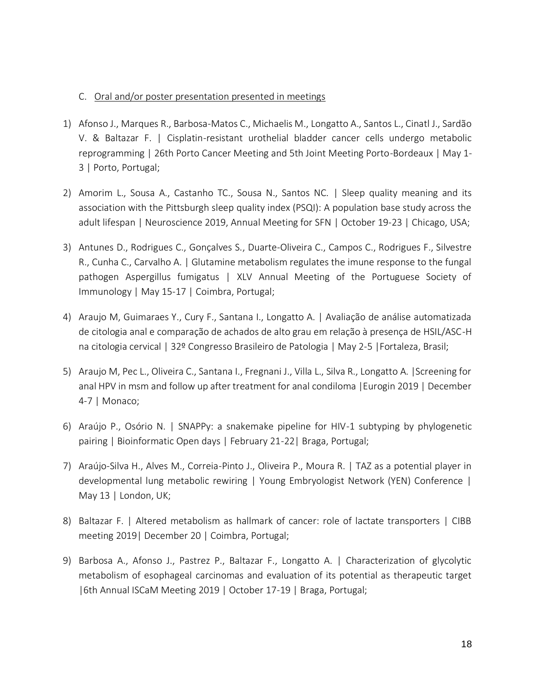#### C. Oral and/or poster presentation presented in meetings

- 1) Afonso J., Marques R., Barbosa-Matos C., Michaelis M., Longatto A., Santos L., Cinatl J., Sardão V. & Baltazar F. | Cisplatin-resistant urothelial bladder cancer cells undergo metabolic reprogramming | 26th Porto Cancer Meeting and 5th Joint Meeting Porto-Bordeaux | May 1- 3 | Porto, Portugal;
- 2) Amorim L., Sousa A., Castanho TC., Sousa N., Santos NC. | Sleep quality meaning and its association with the Pittsburgh sleep quality index (PSQI): A population base study across the adult lifespan | Neuroscience 2019, Annual Meeting for SFN | October 19-23 | Chicago, USA;
- 3) Antunes D., Rodrigues C., Gonçalves S., Duarte-Oliveira C., Campos C., Rodrigues F., Silvestre R., Cunha C., Carvalho A. | Glutamine metabolism regulates the imune response to the fungal pathogen Aspergillus fumigatus | XLV Annual Meeting of the Portuguese Society of Immunology | May 15-17 | Coimbra, Portugal;
- 4) Araujo M, Guimaraes Y., Cury F., Santana I., Longatto A. | Avaliação de análise automatizada de citologia anal e comparação de achados de alto grau em relação à presença de HSIL/ASC-H na citologia cervical | 32º Congresso Brasileiro de Patologia | May 2-5 |Fortaleza, Brasil;
- 5) Araujo M, Pec L., Oliveira C., Santana I., Fregnani J., Villa L., Silva R., Longatto A. |Screening for anal HPV in msm and follow up after treatment for anal condiloma |Eurogin 2019 | December 4-7 | Monaco;
- 6) Araújo P., Osório N. | SNAPPy: a snakemake pipeline for HIV-1 subtyping by phylogenetic pairing | Bioinformatic Open days | February 21-22| Braga, Portugal;
- 7) Araújo-Silva H., Alves M., Correia-Pinto J., Oliveira P., Moura R. | TAZ as a potential player in developmental lung metabolic rewiring | Young Embryologist Network (YEN) Conference | May 13 | London, UK;
- 8) Baltazar F. | Altered metabolism as hallmark of cancer: role of lactate transporters | CIBB meeting 2019| December 20 | Coimbra, Portugal;
- 9) Barbosa A., Afonso J., Pastrez P., Baltazar F., Longatto A. | Characterization of glycolytic metabolism of esophageal carcinomas and evaluation of its potential as therapeutic target |6th Annual ISCaM Meeting 2019 | October 17-19 | Braga, Portugal;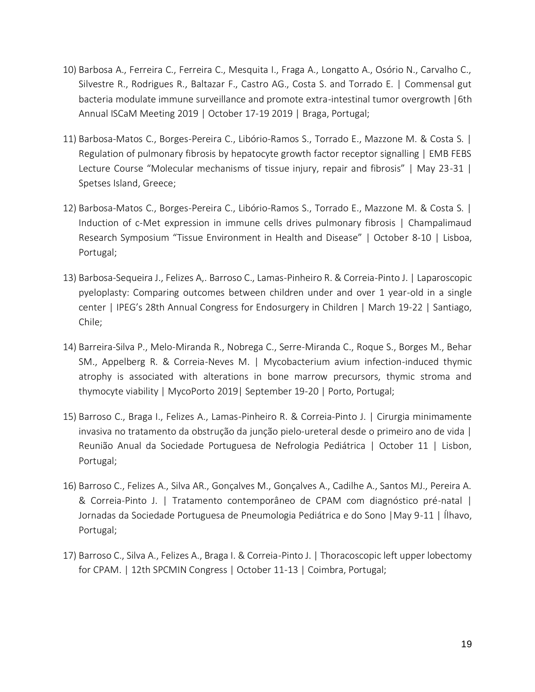- 10) Barbosa A., Ferreira C., Ferreira C., Mesquita I., Fraga A., Longatto A., Osório N., Carvalho C., Silvestre R., Rodrigues R., Baltazar F., Castro AG., Costa S. and Torrado E. | Commensal gut bacteria modulate immune surveillance and promote extra-intestinal tumor overgrowth |6th Annual ISCaM Meeting 2019 | October 17-19 2019 | Braga, Portugal;
- 11) Barbosa-Matos C., Borges-Pereira C., Libório-Ramos S., Torrado E., Mazzone M. & Costa S. | Regulation of pulmonary fibrosis by hepatocyte growth factor receptor signalling | EMB FEBS Lecture Course "Molecular mechanisms of tissue injury, repair and fibrosis" | May 23-31 | Spetses Island, Greece;
- 12) Barbosa-Matos C., Borges-Pereira C., Libório-Ramos S., Torrado E., Mazzone M. & Costa S. | Induction of c-Met expression in immune cells drives pulmonary fibrosis | Champalimaud Research Symposium "Tissue Environment in Health and Disease" | October 8-10 | Lisboa, Portugal;
- 13) Barbosa-Sequeira J., Felizes A,. Barroso C., Lamas-Pinheiro R. & Correia-Pinto J. | Laparoscopic pyeloplasty: Comparing outcomes between children under and over 1 year-old in a single center | IPEG's 28th Annual Congress for Endosurgery in Children | March 19-22 | Santiago, Chile;
- 14) Barreira-Silva P., Melo-Miranda R., Nobrega C., Serre-Miranda C., Roque S., Borges M., Behar SM., Appelberg R. & Correia-Neves M. | Mycobacterium avium infection-induced thymic atrophy is associated with alterations in bone marrow precursors, thymic stroma and thymocyte viability | MycoPorto 2019| September 19-20 | Porto, Portugal;
- 15) Barroso C., Braga I., Felizes A., Lamas-Pinheiro R. & Correia-Pinto J. | Cirurgia minimamente invasiva no tratamento da obstrução da junção pielo-ureteral desde o primeiro ano de vida | Reunião Anual da Sociedade Portuguesa de Nefrologia Pediátrica | October 11 | Lisbon, Portugal;
- 16) Barroso C., Felizes A., Silva AR., Gonçalves M., Gonçalves A., Cadilhe A., Santos MJ., Pereira A. & Correia-Pinto J. | Tratamento contemporâneo de CPAM com diagnóstico pré-natal | Jornadas da Sociedade Portuguesa de Pneumologia Pediátrica e do Sono |May 9-11 | Ílhavo, Portugal;
- 17) Barroso C., Silva A., Felizes A., Braga I. & Correia-Pinto J. | Thoracoscopic left upper lobectomy for CPAM. | 12th SPCMIN Congress | October 11-13 | Coimbra, Portugal;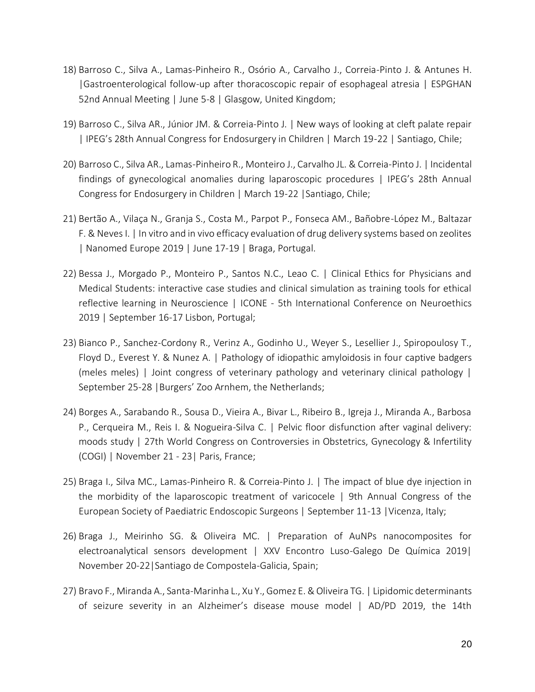- 18) Barroso C., Silva A., Lamas-Pinheiro R., Osório A., Carvalho J., Correia-Pinto J. & Antunes H. |Gastroenterological follow-up after thoracoscopic repair of esophageal atresia | ESPGHAN 52nd Annual Meeting | June 5-8 | Glasgow, United Kingdom;
- 19) Barroso C., Silva AR., Júnior JM. & Correia-Pinto J. | New ways of looking at cleft palate repair | IPEG's 28th Annual Congress for Endosurgery in Children | March 19-22 | Santiago, Chile;
- 20) Barroso C., Silva AR., Lamas-Pinheiro R., Monteiro J., Carvalho JL. & Correia-Pinto J. | Incidental findings of gynecological anomalies during laparoscopic procedures | IPEG's 28th Annual Congress for Endosurgery in Children | March 19-22 |Santiago, Chile;
- 21) Bertão A., Vilaça N., Granja S., Costa M., Parpot P., Fonseca AM., Bañobre-López M., Baltazar F. & Neves I. | In vitro and in vivo efficacy evaluation of drug delivery systems based on zeolites | Nanomed Europe 2019 | June 17-19 | Braga, Portugal.
- 22) Bessa J., Morgado P., Monteiro P., Santos N.C., Leao C. | Clinical Ethics for Physicians and Medical Students: interactive case studies and clinical simulation as training tools for ethical reflective learning in Neuroscience | ICONE - 5th International Conference on Neuroethics 2019 | September 16-17 Lisbon, Portugal;
- 23) Bianco P., Sanchez-Cordony R., Verinz A., Godinho U., Weyer S., Lesellier J., Spiropoulosy T., Floyd D., Everest Y. & Nunez A. | Pathology of idiopathic amyloidosis in four captive badgers (meles meles) | Joint congress of veterinary pathology and veterinary clinical pathology | September 25-28 |Burgers' Zoo Arnhem, the Netherlands;
- 24) Borges A., Sarabando R., Sousa D., Vieira A., Bivar L., Ribeiro B., Igreja J., Miranda A., Barbosa P., Cerqueira M., Reis I. & Nogueira-Silva C. | Pelvic floor disfunction after vaginal delivery: moods study | 27th World Congress on Controversies in Obstetrics, Gynecology & Infertility (COGI) | November 21 - 23| Paris, France;
- 25) Braga I., Silva MC., Lamas-Pinheiro R. & Correia-Pinto J. | The impact of blue dye injection in the morbidity of the laparoscopic treatment of varicocele | 9th Annual Congress of the European Society of Paediatric Endoscopic Surgeons | September 11-13 |Vicenza, Italy;
- 26) Braga J., Meirinho SG. & Oliveira MC. | Preparation of AuNPs nanocomposites for electroanalytical sensors development | XXV Encontro Luso-Galego De Química 2019| November 20-22|Santiago de Compostela-Galicia, Spain;
- 27) Bravo F., Miranda A., Santa-Marinha L., Xu Y., Gomez E. & Oliveira TG. | Lipidomic determinants of seizure severity in an Alzheimer's disease mouse model | AD/PD 2019, the 14th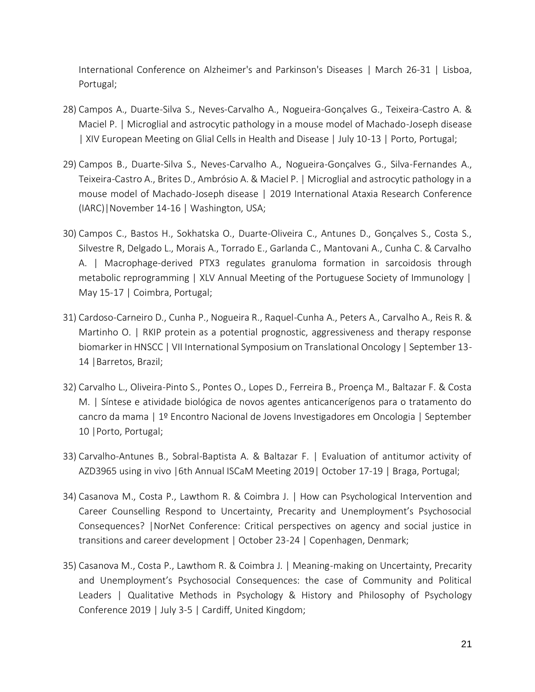International Conference on Alzheimer's and Parkinson's Diseases | March 26-31 | Lisboa, Portugal;

- 28) Campos A., Duarte-Silva S., Neves-Carvalho A., Nogueira-Gonçalves G., Teixeira-Castro A. & Maciel P. | Microglial and astrocytic pathology in a mouse model of Machado-Joseph disease | XIV European Meeting on Glial Cells in Health and Disease | July 10-13 | Porto, Portugal;
- 29) Campos B., Duarte-Silva S., Neves-Carvalho A., Nogueira-Gonçalves G., Silva-Fernandes A., Teixeira-Castro A., Brites D., Ambrósio A. & Maciel P. | Microglial and astrocytic pathology in a mouse model of Machado-Joseph disease | 2019 International Ataxia Research Conference (IARC)|November 14-16 | Washington, USA;
- 30) Campos C., Bastos H., Sokhatska O., Duarte-Oliveira C., Antunes D., Gonçalves S., Costa S., Silvestre R, Delgado L., Morais A., Torrado E., Garlanda C., Mantovani A., Cunha C. & Carvalho A. | Macrophage-derived PTX3 regulates granuloma formation in sarcoidosis through metabolic reprogramming | XLV Annual Meeting of the Portuguese Society of Immunology | May 15-17 | Coimbra, Portugal;
- 31) Cardoso-Carneiro D., Cunha P., Nogueira R., Raquel-Cunha A., Peters A., Carvalho A., Reis R. & Martinho O. | RKIP protein as a potential prognostic, aggressiveness and therapy response biomarker in HNSCC | VII International Symposium on Translational Oncology | September 13- 14 |Barretos, Brazil;
- 32) Carvalho L., Oliveira-Pinto S., Pontes O., Lopes D., Ferreira B., Proença M., Baltazar F. & Costa M. | Síntese e atividade biológica de novos agentes anticancerígenos para o tratamento do cancro da mama | 1º Encontro Nacional de Jovens Investigadores em Oncologia | September 10 |Porto, Portugal;
- 33) Carvalho-Antunes B., Sobral-Baptista A. & Baltazar F. | Evaluation of antitumor activity of AZD3965 using in vivo |6th Annual ISCaM Meeting 2019| October 17-19 | Braga, Portugal;
- 34) Casanova M., Costa P., Lawthom R. & Coimbra J. | How can Psychological Intervention and Career Counselling Respond to Uncertainty, Precarity and Unemployment's Psychosocial Consequences? |NorNet Conference: Critical perspectives on agency and social justice in transitions and career development | October 23-24 | Copenhagen, Denmark;
- 35) Casanova M., Costa P., Lawthom R. & Coimbra J. | Meaning-making on Uncertainty, Precarity and Unemployment's Psychosocial Consequences: the case of Community and Political Leaders | Qualitative Methods in Psychology & History and Philosophy of Psychology Conference 2019 | July 3-5 | Cardiff, United Kingdom;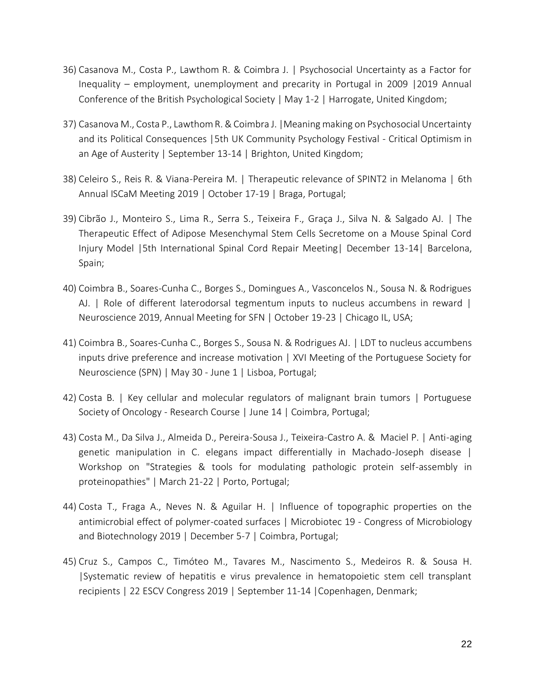- 36) Casanova M., Costa P., Lawthom R. & Coimbra J. | Psychosocial Uncertainty as a Factor for Inequality – employment, unemployment and precarity in Portugal in 2009 |2019 Annual Conference of the British Psychological Society | May 1-2 | Harrogate, United Kingdom;
- 37) Casanova M., Costa P., Lawthom R. & Coimbra J. |Meaning making on Psychosocial Uncertainty and its Political Consequences |5th UK Community Psychology Festival - Critical Optimism in an Age of Austerity | September 13-14 | Brighton, United Kingdom;
- 38) Celeiro S., Reis R. & Viana-Pereira M. | Therapeutic relevance of SPINT2 in Melanoma | 6th Annual ISCaM Meeting 2019 | October 17-19 | Braga, Portugal;
- 39) Cibrão J., Monteiro S., Lima R., Serra S., Teixeira F., Graça J., Silva N. & Salgado AJ. | The Therapeutic Effect of Adipose Mesenchymal Stem Cells Secretome on a Mouse Spinal Cord Injury Model |5th International Spinal Cord Repair Meeting| December 13-14| Barcelona, Spain;
- 40) Coimbra B., Soares-Cunha C., Borges S., Domingues A., Vasconcelos N., Sousa N. & Rodrigues AJ. | Role of different laterodorsal tegmentum inputs to nucleus accumbens in reward | Neuroscience 2019, Annual Meeting for SFN | October 19-23 | Chicago IL, USA;
- 41) Coimbra B., Soares-Cunha C., Borges S., Sousa N. & Rodrigues AJ. | LDT to nucleus accumbens inputs drive preference and increase motivation | XVI Meeting of the Portuguese Society for Neuroscience (SPN) | May 30 - June 1 | Lisboa, Portugal;
- 42) Costa B. | Key cellular and molecular regulators of malignant brain tumors | Portuguese Society of Oncology - Research Course | June 14 | Coimbra, Portugal;
- 43) Costa M., Da Silva J., Almeida D., Pereira-Sousa J., Teixeira-Castro A. & Maciel P. | Anti-aging genetic manipulation in C. elegans impact differentially in Machado-Joseph disease | Workshop on "Strategies & tools for modulating pathologic protein self-assembly in proteinopathies" | March 21-22 | Porto, Portugal;
- 44) Costa T., Fraga A., Neves N. & Aguilar H. | Influence of topographic properties on the antimicrobial effect of polymer-coated surfaces | Microbiotec 19 - Congress of Microbiology and Biotechnology 2019 | December 5-7 | Coimbra, Portugal;
- 45) Cruz S., Campos C., Timóteo M., Tavares M., Nascimento S., Medeiros R. & Sousa H. |Systematic review of hepatitis e virus prevalence in hematopoietic stem cell transplant recipients | 22 ESCV Congress 2019 | September 11-14 |Copenhagen, Denmark;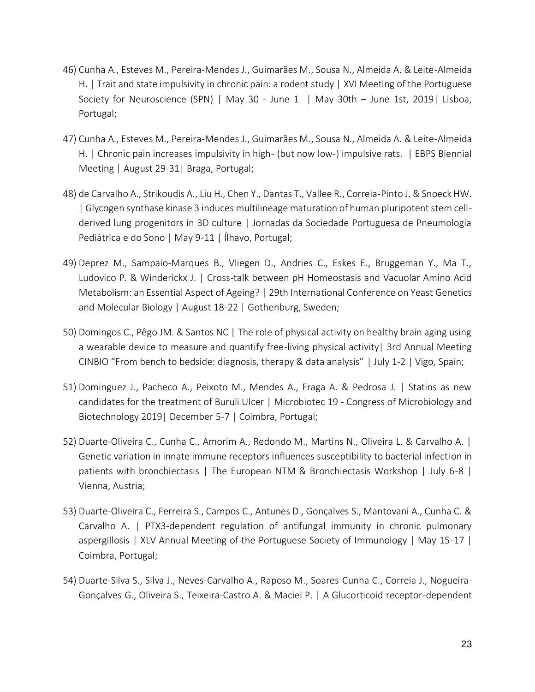- 46) Cunha A., Esteves M., Pereira-Mendes J., Guimarães M., Sousa N., Almeida A. & Leite-Almeida H. | Trait and state impulsivity in chronic pain: a rodent study | XVI Meeting of the Portuguese Society for Neuroscience (SPN) | May 30 - June 1 | May 30th – June 1st, 2019| Lisboa, Portugal;
- 47) Cunha A., Esteves M., Pereira-Mendes J., Guimarães M., Sousa N., Almeida A. & Leite-Almeida H. | Chronic pain increases impulsivity in high- (but now low-) impulsive rats. | EBPS Biennial Meeting | August 29-31| Braga, Portugal;
- 48) de Carvalho A., Strikoudis A., Liu H., Chen Y., Dantas T., Vallee R., Correia-Pinto J. & Snoeck HW. | Glycogen synthase kinase 3 induces multilineage maturation of human pluripotent stem cellderived lung progenitors in 3D culture | Jornadas da Sociedade Portuguesa de Pneumologia Pediátrica e do Sono | May 9-11 | Ílhavo, Portugal;
- 49) Deprez M., Sampaio-Marques B., Vliegen D., Andries C., Eskes E., Bruggeman Y., Ma T., Ludovico P. & Winderickx J. | Cross-talk between pH Homeostasis and Vacuolar Amino Acid Metabolism: an Essential Aspect of Ageing? | 29th International Conference on Yeast Genetics and Molecular Biology | August 18-22 | Gothenburg, Sweden;
- 50) Domingos C., Pêgo JM. & Santos NC | The role of physical activity on healthy brain aging using a wearable device to measure and quantify free-living physical activity| 3rd Annual Meeting CINBIO "From bench to bedside: diagnosis, therapy & data analysis" | July 1-2 | Vigo, Spain;
- 51) Dominguez J., Pacheco A., Peixoto M., Mendes A., Fraga A. & Pedrosa J. | Statins as new candidates for the treatment of Buruli Ulcer | Microbiotec 19 - Congress of Microbiology and Biotechnology 2019| December 5-7 | Coimbra, Portugal;
- 52) Duarte-Oliveira C., Cunha C., Amorim A., Redondo M., Martins N., Oliveira L. & Carvalho A. | Genetic variation in innate immune receptors influences susceptibility to bacterial infection in patients with bronchiectasis | The European NTM & Bronchiectasis Workshop | July 6-8 | Vienna, Austria;
- 53) Duarte-Oliveira C., Ferreira S., Campos C., Antunes D., Gonçalves S., Mantovani A., Cunha C. & Carvalho A. | PTX3-dependent regulation of antifungal immunity in chronic pulmonary aspergillosis | XLV Annual Meeting of the Portuguese Society of Immunology | May 15-17 | Coimbra, Portugal;
- 54) Duarte-Silva S., Silva J., Neves-Carvalho A., Raposo M., Soares-Cunha C., Correia J., Nogueira-Gonçalves G., Oliveira S., Teixeira-Castro A. & Maciel P. | A Glucorticoid receptor-dependent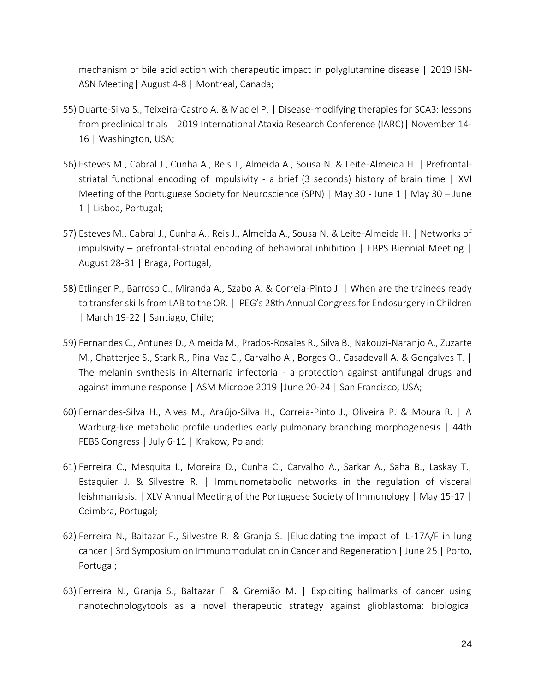mechanism of bile acid action with therapeutic impact in polyglutamine disease | 2019 ISN-ASN Meeting| August 4-8 | Montreal, Canada;

- 55) Duarte-Silva S., Teixeira-Castro A. & Maciel P. | Disease-modifying therapies for SCA3: lessons from preclinical trials | 2019 International Ataxia Research Conference (IARC)| November 14- 16 | Washington, USA;
- 56) Esteves M., Cabral J., Cunha A., Reis J., Almeida A., Sousa N. & Leite-Almeida H. | Prefrontalstriatal functional encoding of impulsivity - a brief (3 seconds) history of brain time | XVI Meeting of the Portuguese Society for Neuroscience (SPN) | May 30 - June 1 | May 30 – June 1 | Lisboa, Portugal;
- 57) Esteves M., Cabral J., Cunha A., Reis J., Almeida A., Sousa N. & Leite-Almeida H. | Networks of impulsivity – prefrontal-striatal encoding of behavioral inhibition | EBPS Biennial Meeting | August 28-31 | Braga, Portugal;
- 58) Etlinger P., Barroso C., Miranda A., Szabo A. & Correia-Pinto J. | When are the trainees ready to transfer skills from LAB to the OR. | IPEG's 28th Annual Congress for Endosurgery in Children | March 19-22 | Santiago, Chile;
- 59) Fernandes C., Antunes D., Almeida M., Prados-Rosales R., Silva B., Nakouzi-Naranjo A., Zuzarte M., Chatterjee S., Stark R., Pina-Vaz C., Carvalho A., Borges O., Casadevall A. & Gonçalves T. | The melanin synthesis in Alternaria infectoria - a protection against antifungal drugs and against immune response | ASM Microbe 2019 |June 20-24 | San Francisco, USA;
- 60) Fernandes-Silva H., Alves M., Araújo-Silva H., Correia-Pinto J., Oliveira P. & Moura R. | A Warburg-like metabolic profile underlies early pulmonary branching morphogenesis | 44th FEBS Congress | July 6-11 | Krakow, Poland;
- 61) Ferreira C., Mesquita I., Moreira D., Cunha C., Carvalho A., Sarkar A., Saha B., Laskay T., Estaquier J. & Silvestre R. | Immunometabolic networks in the regulation of visceral leishmaniasis. | XLV Annual Meeting of the Portuguese Society of Immunology | May 15-17 | Coimbra, Portugal;
- 62) Ferreira N., Baltazar F., Silvestre R. & Granja S. |Elucidating the impact of IL-17A/F in lung cancer | 3rd Symposium on Immunomodulation in Cancer and Regeneration | June 25 | Porto, Portugal;
- 63) Ferreira N., Granja S., Baltazar F. & Gremião M. | Exploiting hallmarks of cancer using nanotechnologytools as a novel therapeutic strategy against glioblastoma: biological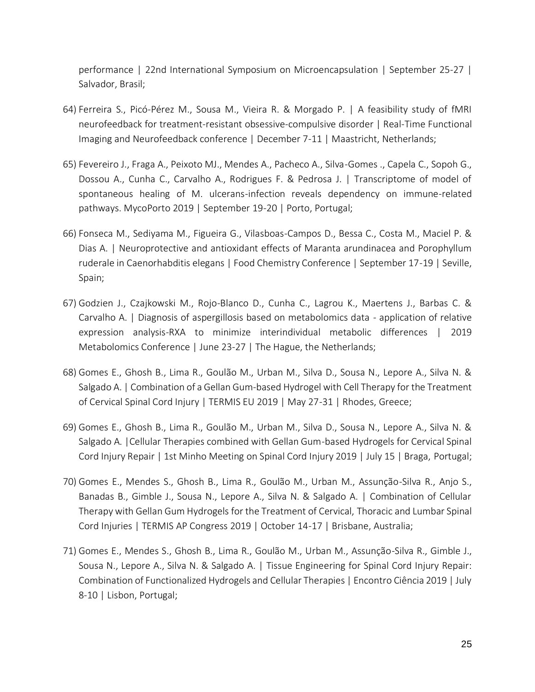performance | 22nd International Symposium on Microencapsulation | September 25-27 | Salvador, Brasil;

- 64) Ferreira S., Picó-Pérez M., Sousa M., Vieira R. & Morgado P. | A feasibility study of fMRI neurofeedback for treatment-resistant obsessive-compulsive disorder | Real-Time Functional Imaging and Neurofeedback conference | December 7-11 | Maastricht, Netherlands;
- 65) Fevereiro J., Fraga A., Peixoto MJ., Mendes A., Pacheco A., Silva-Gomes ., Capela C., Sopoh G., Dossou A., Cunha C., Carvalho A., Rodrigues F. & Pedrosa J. | Transcriptome of model of spontaneous healing of M. ulcerans-infection reveals dependency on immune-related pathways. MycoPorto 2019 | September 19-20 | Porto, Portugal;
- 66) Fonseca M., Sediyama M., Figueira G., Vilasboas-Campos D., Bessa C., Costa M., Maciel P. & Dias A. | Neuroprotective and antioxidant effects of Maranta arundinacea and Porophyllum ruderale in Caenorhabditis elegans | Food Chemistry Conference | September 17-19 | Seville, Spain;
- 67) Godzien J., Czajkowski M., Rojo-Blanco D., Cunha C., Lagrou K., Maertens J., Barbas C. & Carvalho A. | Diagnosis of aspergillosis based on metabolomics data - application of relative expression analysis-RXA to minimize interindividual metabolic differences | 2019 Metabolomics Conference | June 23-27 | The Hague, the Netherlands;
- 68) Gomes E., Ghosh B., Lima R., Goulão M., Urban M., Silva D., Sousa N., Lepore A., Silva N. & Salgado A. | Combination of a Gellan Gum-based Hydrogel with Cell Therapy for the Treatment of Cervical Spinal Cord Injury | TERMIS EU 2019 | May 27-31 | Rhodes, Greece;
- 69) Gomes E., Ghosh B., Lima R., Goulão M., Urban M., Silva D., Sousa N., Lepore A., Silva N. & Salgado A. |Cellular Therapies combined with Gellan Gum-based Hydrogels for Cervical Spinal Cord Injury Repair | 1st Minho Meeting on Spinal Cord Injury 2019 | July 15 | Braga, Portugal;
- 70) Gomes E., Mendes S., Ghosh B., Lima R., Goulão M., Urban M., Assunção-Silva R., Anjo S., Banadas B., Gimble J., Sousa N., Lepore A., Silva N. & Salgado A. | Combination of Cellular Therapy with Gellan Gum Hydrogels for the Treatment of Cervical, Thoracic and Lumbar Spinal Cord Injuries | TERMIS AP Congress 2019 | October 14-17 | Brisbane, Australia;
- 71) Gomes E., Mendes S., Ghosh B., Lima R., Goulão M., Urban M., Assunção-Silva R., Gimble J., Sousa N., Lepore A., Silva N. & Salgado A. | Tissue Engineering for Spinal Cord Injury Repair: Combination of Functionalized Hydrogels and Cellular Therapies | Encontro Ciência 2019 | July 8-10 | Lisbon, Portugal;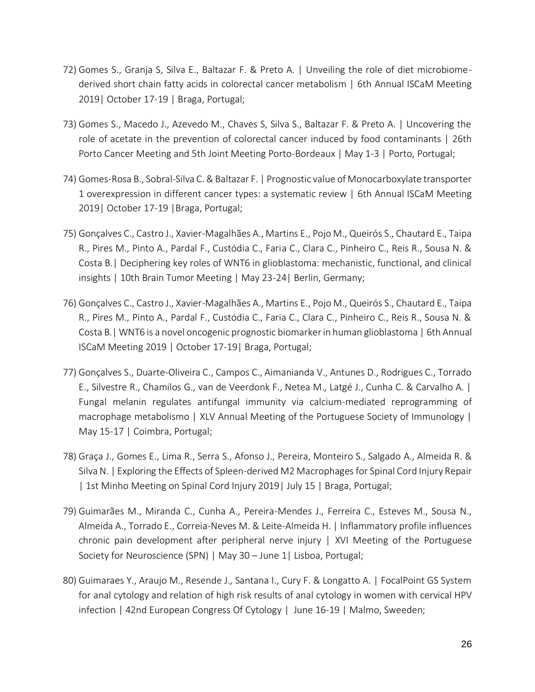- 72) Gomes S., Granja S, Silva E., Baltazar F. & Preto A. | Unveiling the role of diet microbiomederived short chain fatty acids in colorectal cancer metabolism | 6th Annual ISCaM Meeting 2019| October 17-19 | Braga, Portugal;
- 73) Gomes S., Macedo J., Azevedo M., Chaves S, Silva S., Baltazar F. & Preto A. | Uncovering the role of acetate in the prevention of colorectal cancer induced by food contaminants | 26th Porto Cancer Meeting and 5th Joint Meeting Porto-Bordeaux | May 1-3 | Porto, Portugal;
- 74) Gomes-Rosa B., Sobral-Silva C. & Baltazar F. | Prognostic value of Monocarboxylate transporter 1 overexpression in different cancer types: a systematic review | 6th Annual ISCaM Meeting 2019| October 17-19 |Braga, Portugal;
- 75) Gonçalves C., Castro J., Xavier-Magalhães A., Martins E., Pojo M., Queirós S., Chautard E., Taipa R., Pires M., Pinto A., Pardal F., Custódia C., Faria C., Clara C., Pinheiro C., Reis R., Sousa N. & Costa B.| Deciphering key roles of WNT6 in glioblastoma: mechanistic, functional, and clinical insights | 10th Brain Tumor Meeting | May 23-24| Berlin, Germany;
- 76) Gonçalves C., Castro J., Xavier-Magalhães A., Martins E., Pojo M., Queirós S., Chautard E., Taipa R., Pires M., Pinto A., Pardal F., Custódia C., Faria C., Clara C., Pinheiro C., Reis R., Sousa N. & Costa B.| WNT6 is a novel oncogenic prognostic biomarker in human glioblastoma | 6th Annual ISCaM Meeting 2019 | October 17-19| Braga, Portugal;
- 77) Gonçalves S., Duarte-Oliveira C., Campos C., Aimanianda V., Antunes D., Rodrigues C., Torrado E., Silvestre R., Chamilos G., van de Veerdonk F., Netea M., Latgé J., Cunha C. & Carvalho A. | Fungal melanin regulates antifungal immunity via calcium-mediated reprogramming of macrophage metabolismo | XLV Annual Meeting of the Portuguese Society of Immunology | May 15-17 | Coimbra, Portugal;
- 78) Graça J., Gomes E., Lima R., Serra S., Afonso J., Pereira, Monteiro S., Salgado A., Almeida R. & Silva N. | Exploring the Effects of Spleen-derived M2 Macrophages for Spinal Cord Injury Repair | 1st Minho Meeting on Spinal Cord Injury 2019| July 15 | Braga, Portugal;
- 79) Guimarães M., Miranda C., Cunha A., Pereira-Mendes J., Ferreira C., Esteves M., Sousa N., Almeida A., Torrado E., Correia-Neves M. & Leite-Almeida H. | Inflammatory profile influences chronic pain development after peripheral nerve injury | XVI Meeting of the Portuguese Society for Neuroscience (SPN) | May 30 – June 1| Lisboa, Portugal;
- 80) Guimaraes Y., Araujo M., Resende J., Santana I., Cury F. & Longatto A. | FocalPoint GS System for anal cytology and relation of high risk results of anal cytology in women with cervical HPV infection | 42nd European Congress Of Cytology | June 16-19 | Malmo, Sweeden;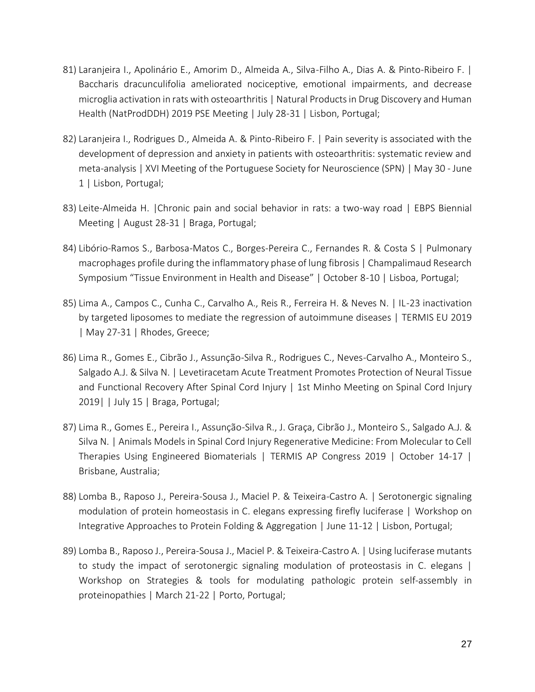- 81) Laranjeira I., Apolinário E., Amorim D., Almeida A., Silva-Filho A., Dias A. & Pinto-Ribeiro F. | Baccharis dracunculifolia ameliorated nociceptive, emotional impairments, and decrease microglia activation in rats with osteoarthritis | Natural Products in Drug Discovery and Human Health (NatProdDDH) 2019 PSE Meeting | July 28-31 | Lisbon, Portugal;
- 82) Laranjeira I., Rodrigues D., Almeida A. & Pinto-Ribeiro F. | Pain severity is associated with the development of depression and anxiety in patients with osteoarthritis: systematic review and meta-analysis | XVI Meeting of the Portuguese Society for Neuroscience (SPN) | May 30 - June 1 | Lisbon, Portugal;
- 83) Leite-Almeida H. |Chronic pain and social behavior in rats: a two-way road | EBPS Biennial Meeting | August 28-31 | Braga, Portugal;
- 84) Libório-Ramos S., Barbosa-Matos C., Borges-Pereira C., Fernandes R. & Costa S | Pulmonary macrophages profile during the inflammatory phase of lung fibrosis | Champalimaud Research Symposium "Tissue Environment in Health and Disease" | October 8-10 | Lisboa, Portugal;
- 85) Lima A., Campos C., Cunha C., Carvalho A., Reis R., Ferreira H. & Neves N. | IL-23 inactivation by targeted liposomes to mediate the regression of autoimmune diseases | TERMIS EU 2019 | May 27-31 | Rhodes, Greece;
- 86) Lima R., Gomes E., Cibrão J., Assunção-Silva R., Rodrigues C., Neves-Carvalho A., Monteiro S., Salgado A.J. & Silva N. | Levetiracetam Acute Treatment Promotes Protection of Neural Tissue and Functional Recovery After Spinal Cord Injury | 1st Minho Meeting on Spinal Cord Injury 2019| | July 15 | Braga, Portugal;
- 87) Lima R., Gomes E., Pereira I., Assunção-Silva R., J. Graça, Cibrão J., Monteiro S., Salgado A.J. & Silva N. | Animals Models in Spinal Cord Injury Regenerative Medicine: From Molecular to Cell Therapies Using Engineered Biomaterials | TERMIS AP Congress 2019 | October 14-17 | Brisbane, Australia;
- 88) Lomba B., Raposo J., Pereira-Sousa J., Maciel P. & Teixeira-Castro A. | Serotonergic signaling modulation of protein homeostasis in C. elegans expressing firefly luciferase | Workshop on Integrative Approaches to Protein Folding & Aggregation | June 11-12 | Lisbon, Portugal;
- 89) Lomba B., Raposo J., Pereira-Sousa J., Maciel P. & Teixeira-Castro A. | Using luciferase mutants to study the impact of serotonergic signaling modulation of proteostasis in C. elegans | Workshop on Strategies & tools for modulating pathologic protein self-assembly in proteinopathies | March 21-22 | Porto, Portugal;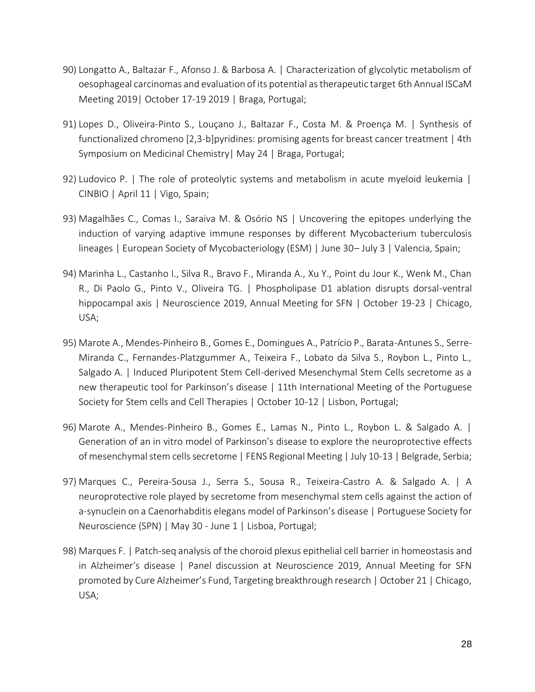- 90) Longatto A., Baltazar F., Afonso J. & Barbosa A. | Characterization of glycolytic metabolism of oesophageal carcinomas and evaluation of its potential as therapeutic target 6th Annual ISCaM Meeting 2019| October 17-19 2019 | Braga, Portugal;
- 91) Lopes D., Oliveira-Pinto S., Louçano J., Baltazar F., Costa M. & Proença M. | Synthesis of functionalized chromeno [2,3-b]pyridines: promising agents for breast cancer treatment | 4th Symposium on Medicinal Chemistry| May 24 | Braga, Portugal;
- 92) Ludovico P. | The role of proteolytic systems and metabolism in acute myeloid leukemia | CINBIO | April 11 | Vigo, Spain;
- 93) Magalhães C., Comas I., Saraiva M. & Osório NS | Uncovering the epitopes underlying the induction of varying adaptive immune responses by different Mycobacterium tuberculosis lineages | European Society of Mycobacteriology (ESM) | June 30– July 3 | Valencia, Spain;
- 94) Marinha L., Castanho I., Silva R., Bravo F., Miranda A., Xu Y., Point du Jour K., Wenk M., Chan R., Di Paolo G., Pinto V., Oliveira TG. | Phospholipase D1 ablation disrupts dorsal-ventral hippocampal axis | Neuroscience 2019, Annual Meeting for SFN | October 19-23 | Chicago, USA;
- 95) Marote A., Mendes-Pinheiro B., Gomes E., Domingues A., Patrício P., Barata-Antunes S., Serre-Miranda C., Fernandes-Platzgummer A., Teixeira F., Lobato da Silva S., Roybon L., Pinto L., Salgado A. | Induced Pluripotent Stem Cell-derived Mesenchymal Stem Cells secretome as a new therapeutic tool for Parkinson's disease | 11th International Meeting of the Portuguese Society for Stem cells and Cell Therapies | October 10-12 | Lisbon, Portugal;
- 96) Marote A., Mendes-Pinheiro B., Gomes E., Lamas N., Pinto L., Roybon L. & Salgado A. | Generation of an in vitro model of Parkinson's disease to explore the neuroprotective effects of mesenchymal stem cells secretome | FENS Regional Meeting | July 10-13 | Belgrade, Serbia;
- 97) Marques C., Pereira-Sousa J., Serra S., Sousa R., Teixeira-Castro A. & Salgado A. | A neuroprotective role played by secretome from mesenchymal stem cells against the action of a-synuclein on a Caenorhabditis elegans model of Parkinson's disease | Portuguese Society for Neuroscience (SPN) | May 30 - June 1 | Lisboa, Portugal;
- 98) Marques F. | Patch-seq analysis of the choroid plexus epithelial cell barrier in homeostasis and in Alzheimer's disease | Panel discussion at Neuroscience 2019, Annual Meeting for SFN promoted by Cure Alzheimer's Fund, Targeting breakthrough research | October 21 | Chicago, USA;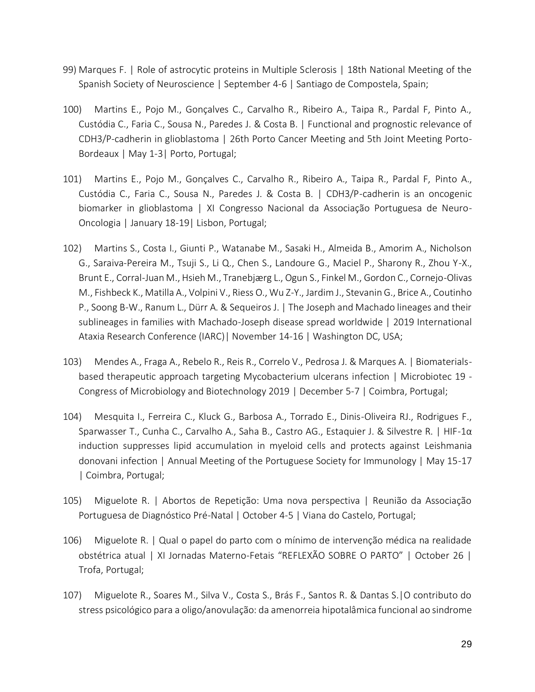- 99) Marques F. | Role of astrocytic proteins in Multiple Sclerosis | 18th National Meeting of the Spanish Society of Neuroscience | September 4-6 | Santiago de Compostela, Spain;
- 100) Martins E., Pojo M., Gonçalves C., Carvalho R., Ribeiro A., Taipa R., Pardal F, Pinto A., Custódia C., Faria C., Sousa N., Paredes J. & Costa B. | Functional and prognostic relevance of CDH3/P-cadherin in glioblastoma | 26th Porto Cancer Meeting and 5th Joint Meeting Porto-Bordeaux | May 1-3| Porto, Portugal;
- 101) Martins E., Pojo M., Gonçalves C., Carvalho R., Ribeiro A., Taipa R., Pardal F, Pinto A., Custódia C., Faria C., Sousa N., Paredes J. & Costa B. | CDH3/P-cadherin is an oncogenic biomarker in glioblastoma | XI Congresso Nacional da Associação Portuguesa de Neuro-Oncologia | January 18-19| Lisbon, Portugal;
- 102) Martins S., Costa I., Giunti P., Watanabe M., Sasaki H., Almeida B., Amorim A., Nicholson G., Saraiva-Pereira M., Tsuji S., Li Q., Chen S., Landoure G., Maciel P., Sharony R., Zhou Y-X., Brunt E., Corral-Juan M., Hsieh M., Tranebjærg L., Ogun S., Finkel M., Gordon C., Cornejo-Olivas M., Fishbeck K., Matilla A., Volpini V., Riess O., Wu Z-Y., Jardim J., Stevanin G., Brice A., Coutinho P., Soong B-W., Ranum L., Dürr A. & Sequeiros J. | The Joseph and Machado lineages and their sublineages in families with Machado-Joseph disease spread worldwide | 2019 International Ataxia Research Conference (IARC)| November 14-16 | Washington DC, USA;
- 103) Mendes A., Fraga A., Rebelo R., Reis R., Correlo V., Pedrosa J. & Marques A. | Biomaterialsbased therapeutic approach targeting Mycobacterium ulcerans infection | Microbiotec 19 - Congress of Microbiology and Biotechnology 2019 | December 5-7 | Coimbra, Portugal;
- 104) Mesquita I., Ferreira C., Kluck G., Barbosa A., Torrado E., Dinis-Oliveira RJ., Rodrigues F., Sparwasser T., Cunha C., Carvalho A., Saha B., Castro AG., Estaquier J. & Silvestre R. | HIF-1α induction suppresses lipid accumulation in myeloid cells and protects against Leishmania donovani infection | Annual Meeting of the Portuguese Society for Immunology | May 15-17 | Coimbra, Portugal;
- 105) Miguelote R. | Abortos de Repetição: Uma nova perspectiva | Reunião da Associação Portuguesa de Diagnóstico Pré-Natal | October 4-5 | Viana do Castelo, Portugal;
- 106) Miguelote R. | Qual o papel do parto com o mínimo de intervenção médica na realidade obstétrica atual | XI Jornadas Materno-Fetais "REFLEXÃO SOBRE O PARTO" | October 26 | Trofa, Portugal;
- 107) Miguelote R., Soares M., Silva V., Costa S., Brás F., Santos R. & Dantas S.|O contributo do stress psicológico para a oligo/anovulação: da amenorreia hipotalâmica funcional ao sindrome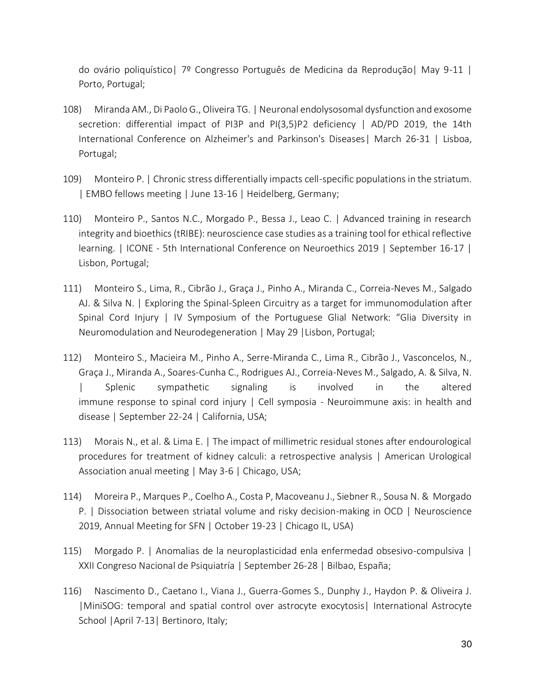do ovário poliquístico| 7º Congresso Português de Medicina da Reprodução| May 9-11 | Porto, Portugal;

- 108) Miranda AM., Di Paolo G., Oliveira TG. | Neuronal endolysosomal dysfunction and exosome secretion: differential impact of PI3P and PI(3,5)P2 deficiency | AD/PD 2019, the 14th International Conference on Alzheimer's and Parkinson's Diseases| March 26-31 | Lisboa, Portugal;
- 109) Monteiro P. | Chronic stress differentially impacts cell-specific populations in the striatum. | EMBO fellows meeting | June 13-16 | Heidelberg, Germany;
- 110) Monteiro P., Santos N.C., Morgado P., Bessa J., Leao C. | Advanced training in research integrity and bioethics (tRIBE): neuroscience case studies as a training tool for ethical reflective learning. | ICONE - 5th International Conference on Neuroethics 2019 | September 16-17 | Lisbon, Portugal;
- 111) Monteiro S., Lima, R., Cibrão J., Graça J., Pinho A., Miranda C., Correia-Neves M., Salgado AJ. & Silva N. | Exploring the Spinal-Spleen Circuitry as a target for immunomodulation after Spinal Cord Injury | IV Symposium of the Portuguese Glial Network: "Glia Diversity in Neuromodulation and Neurodegeneration | May 29 |Lisbon, Portugal;
- 112) Monteiro S., Macieira M., Pinho A., Serre-Miranda C., Lima R., Cibrão J., Vasconcelos, N., Graça J., Miranda A., Soares-Cunha C., Rodrigues AJ., Correia-Neves M., Salgado, A. & Silva, N. | Splenic sympathetic signaling is involved in the altered immune response to spinal cord injury | Cell symposia - Neuroimmune axis: in health and disease | September 22-24 | California, USA;
- 113) Morais N., et al. & Lima E. | The impact of millimetric residual stones after endourological procedures for treatment of kidney calculi: a retrospective analysis | American Urological Association anual meeting | May 3-6 | Chicago, USA;
- 114) Moreira P., Marques P., Coelho A., Costa P, Macoveanu J., Siebner R., Sousa N. & Morgado P. | Dissociation between striatal volume and risky decision-making in OCD | Neuroscience 2019, Annual Meeting for SFN | October 19-23 | Chicago IL, USA)
- 115) Morgado P. | Anomalias de la neuroplasticidad enla enfermedad obsesivo-compulsiva | XXII Congreso Nacional de Psiquiatría | September 26-28 | Bilbao, España;
- 116) Nascimento D., Caetano I., Viana J., Guerra-Gomes S., Dunphy J., Haydon P. & Oliveira J. |MiniSOG: temporal and spatial control over astrocyte exocytosis| International Astrocyte School | April 7-13 | Bertinoro, Italy;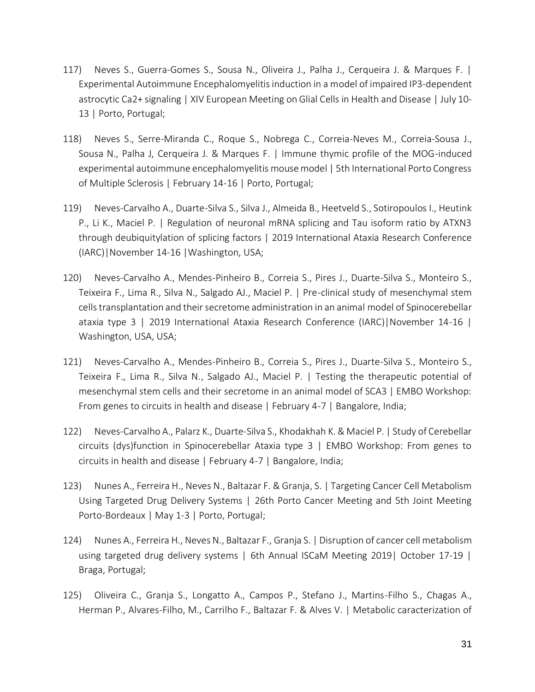- 117) Neves S., Guerra-Gomes S., Sousa N., Oliveira J., Palha J., Cerqueira J. & Marques F. | Experimental Autoimmune Encephalomyelitis induction in a model of impaired IP3-dependent astrocytic Ca2+ signaling | XIV European Meeting on Glial Cells in Health and Disease | July 10- 13 | Porto, Portugal;
- 118) Neves S., Serre-Miranda C., Roque S., Nobrega C., Correia-Neves M., Correia-Sousa J., Sousa N., Palha J, Cerqueira J. & Marques F. | Immune thymic profile of the MOG-induced experimental autoimmune encephalomyelitis mouse model | 5th International Porto Congress of Multiple Sclerosis | February 14-16 | Porto, Portugal;
- 119) Neves-Carvalho A., Duarte-Silva S., Silva J., Almeida B., Heetveld S., Sotiropoulos I., Heutink P., Li K., Maciel P. | Regulation of neuronal mRNA splicing and Tau isoform ratio by ATXN3 through deubiquitylation of splicing factors | 2019 International Ataxia Research Conference (IARC)|November 14-16 |Washington, USA;
- 120) Neves-Carvalho A., Mendes-Pinheiro B., Correia S., Pires J., Duarte-Silva S., Monteiro S., Teixeira F., Lima R., Silva N., Salgado AJ., Maciel P. | Pre-clinical study of mesenchymal stem cells transplantation and their secretome administration in an animal model of Spinocerebellar ataxia type 3 | 2019 International Ataxia Research Conference (IARC)|November 14-16 | Washington, USA, USA;
- 121) Neves-Carvalho A., Mendes-Pinheiro B., Correia S., Pires J., Duarte-Silva S., Monteiro S., Teixeira F., Lima R., Silva N., Salgado AJ., Maciel P. | Testing the therapeutic potential of mesenchymal stem cells and their secretome in an animal model of SCA3 | EMBO Workshop: From genes to circuits in health and disease | February 4-7 | Bangalore, India;
- 122) Neves-Carvalho A., Palarz K., Duarte-Silva S., Khodakhah K. & Maciel P. | Study of Cerebellar circuits (dys)function in Spinocerebellar Ataxia type 3 | EMBO Workshop: From genes to circuits in health and disease | February 4-7 | Bangalore, India;
- 123) Nunes A., Ferreira H., Neves N., Baltazar F. & Granja, S. | Targeting Cancer Cell Metabolism Using Targeted Drug Delivery Systems | 26th Porto Cancer Meeting and 5th Joint Meeting Porto-Bordeaux | May 1-3 | Porto, Portugal;
- 124) Nunes A., Ferreira H., Neves N., Baltazar F., Granja S. | Disruption of cancer cell metabolism using targeted drug delivery systems | 6th Annual ISCaM Meeting 2019| October 17-19 | Braga, Portugal;
- 125) Oliveira C., Granja S., Longatto A., Campos P., Stefano J., Martins-Filho S., Chagas A., Herman P., Alvares-Filho, M., Carrilho F., Baltazar F. & Alves V. | Metabolic caracterization of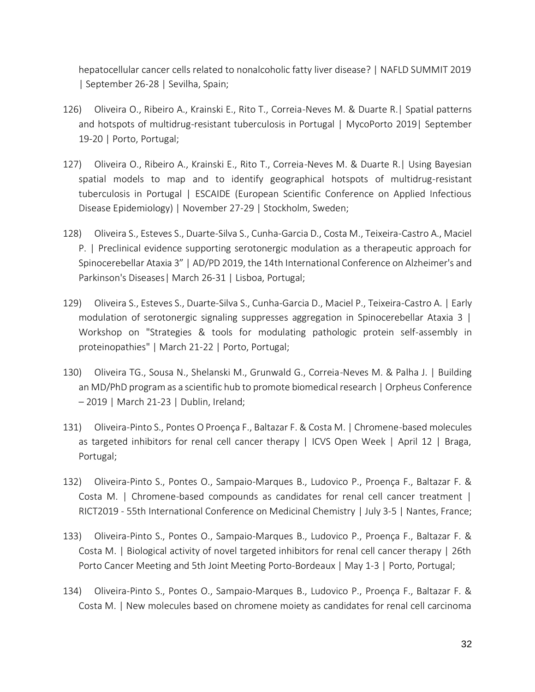hepatocellular cancer cells related to nonalcoholic fatty liver disease? | NAFLD SUMMIT 2019 | September 26-28 | Sevilha, Spain;

- 126) Oliveira O., Ribeiro A., Krainski E., Rito T., Correia-Neves M. & Duarte R.| Spatial patterns and hotspots of multidrug-resistant tuberculosis in Portugal | MycoPorto 2019| September 19-20 | Porto, Portugal;
- 127) Oliveira O., Ribeiro A., Krainski E., Rito T., Correia-Neves M. & Duarte R.| Using Bayesian spatial models to map and to identify geographical hotspots of multidrug-resistant tuberculosis in Portugal | ESCAIDE (European Scientific Conference on Applied Infectious Disease Epidemiology) | November 27-29 | Stockholm, Sweden;
- 128) Oliveira S., Esteves S., Duarte-Silva S., Cunha-Garcia D., Costa M., Teixeira-Castro A., Maciel P. | Preclinical evidence supporting serotonergic modulation as a therapeutic approach for Spinocerebellar Ataxia 3" | AD/PD 2019, the 14th International Conference on Alzheimer's and Parkinson's Diseases| March 26-31 | Lisboa, Portugal;
- 129) Oliveira S., Esteves S., Duarte-Silva S., Cunha-Garcia D., Maciel P., Teixeira-Castro A. | Early modulation of serotonergic signaling suppresses aggregation in Spinocerebellar Ataxia 3  $\mid$ Workshop on "Strategies & tools for modulating pathologic protein self-assembly in proteinopathies" | March 21-22 | Porto, Portugal;
- 130) Oliveira TG., Sousa N., Shelanski M., Grunwald G., Correia-Neves M. & Palha J. | Building an MD/PhD program as a scientific hub to promote biomedical research | Orpheus Conference – 2019 | March 21-23 | Dublin, Ireland;
- 131) Oliveira-Pinto S., Pontes O Proença F., Baltazar F. & Costa M. | Chromene-based molecules as targeted inhibitors for renal cell cancer therapy | ICVS Open Week | April 12 | Braga, Portugal;
- 132) Oliveira-Pinto S., Pontes O., Sampaio-Marques B., Ludovico P., Proença F., Baltazar F. & Costa M. | Chromene-based compounds as candidates for renal cell cancer treatment | RICT2019 - 55th International Conference on Medicinal Chemistry | July 3-5 | Nantes, France;
- 133) Oliveira-Pinto S., Pontes O., Sampaio-Marques B., Ludovico P., Proença F., Baltazar F. & Costa M. | Biological activity of novel targeted inhibitors for renal cell cancer therapy | 26th Porto Cancer Meeting and 5th Joint Meeting Porto-Bordeaux | May 1-3 | Porto, Portugal;
- 134) Oliveira-Pinto S., Pontes O., Sampaio-Marques B., Ludovico P., Proença F., Baltazar F. & Costa M. | New molecules based on chromene moiety as candidates for renal cell carcinoma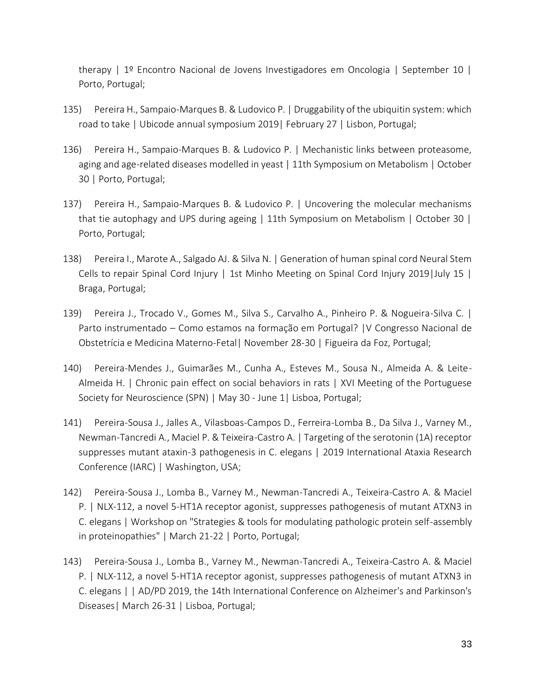therapy | 1º Encontro Nacional de Jovens Investigadores em Oncologia | September 10 | Porto, Portugal;

- 135) Pereira H., Sampaio-Marques B. & Ludovico P. | Druggability of the ubiquitin system: which road to take | Ubicode annual symposium 2019| February 27 | Lisbon, Portugal;
- 136) Pereira H., Sampaio-Marques B. & Ludovico P. | Mechanistic links between proteasome, aging and age-related diseases modelled in yeast | 11th Symposium on Metabolism | October 30 | Porto, Portugal;
- 137) Pereira H., Sampaio-Marques B. & Ludovico P. | Uncovering the molecular mechanisms that tie autophagy and UPS during ageing | 11th Symposium on Metabolism | October 30 | Porto, Portugal;
- 138) Pereira I., Marote A., Salgado AJ. & Silva N. | Generation of human spinal cord Neural Stem Cells to repair Spinal Cord Injury | 1st Minho Meeting on Spinal Cord Injury 2019|July 15 | Braga, Portugal;
- 139) Pereira J., Trocado V., Gomes M., Silva S., Carvalho A., Pinheiro P. & Nogueira-Silva C. | Parto instrumentado – Como estamos na formação em Portugal? |V Congresso Nacional de Obstetrícia e Medicina Materno-Fetal| November 28-30 | Figueira da Foz, Portugal;
- 140) Pereira-Mendes J., Guimarães M., Cunha A., Esteves M., Sousa N., Almeida A. & Leite-Almeida H. | Chronic pain effect on social behaviors in rats | XVI Meeting of the Portuguese Society for Neuroscience (SPN) | May 30 - June 1| Lisboa, Portugal;
- 141) Pereira-Sousa J., Jalles A., Vilasboas-Campos D., Ferreira-Lomba B., Da Silva J., Varney M., Newman-Tancredi A., Maciel P. & Teixeira-Castro A. | Targeting of the serotonin (1A) receptor suppresses mutant ataxin-3 pathogenesis in C. elegans | 2019 International Ataxia Research Conference (IARC) | Washington, USA;
- 142) Pereira-Sousa J., Lomba B., Varney M., Newman-Tancredi A., Teixeira-Castro A. & Maciel P. | NLX-112, a novel 5-HT1A receptor agonist, suppresses pathogenesis of mutant ATXN3 in C. elegans | Workshop on "Strategies & tools for modulating pathologic protein self-assembly in proteinopathies" | March 21-22 | Porto, Portugal;
- 143) Pereira-Sousa J., Lomba B., Varney M., Newman-Tancredi A., Teixeira-Castro A. & Maciel P. | NLX-112, a novel 5-HT1A receptor agonist, suppresses pathogenesis of mutant ATXN3 in C. elegans | | AD/PD 2019, the 14th International Conference on Alzheimer's and Parkinson's Diseases| March 26-31 | Lisboa, Portugal;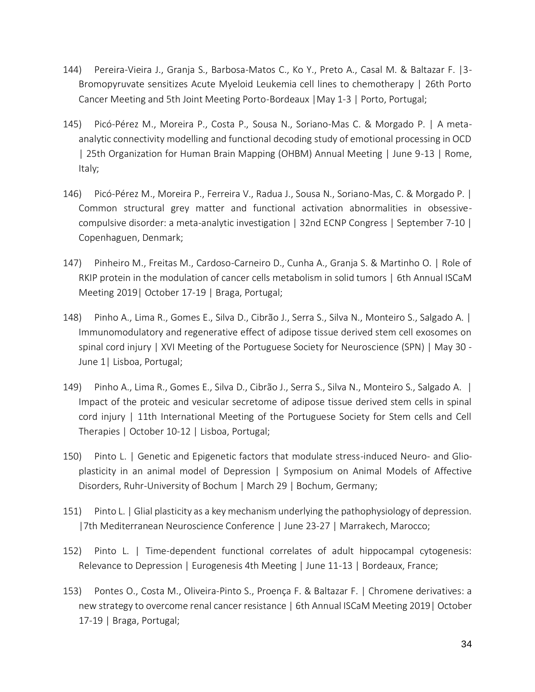- 144) Pereira-Vieira J., Granja S., Barbosa-Matos C., Ko Y., Preto A., Casal M. & Baltazar F. |3- Bromopyruvate sensitizes Acute Myeloid Leukemia cell lines to chemotherapy | 26th Porto Cancer Meeting and 5th Joint Meeting Porto-Bordeaux |May 1-3 | Porto, Portugal;
- 145) Picó-Pérez M., Moreira P., Costa P., Sousa N., Soriano-Mas C. & Morgado P. | A metaanalytic connectivity modelling and functional decoding study of emotional processing in OCD | 25th Organization for Human Brain Mapping (OHBM) Annual Meeting | June 9-13 | Rome, Italy;
- 146) Picó-Pérez M., Moreira P., Ferreira V., Radua J., Sousa N., Soriano-Mas, C. & Morgado P. | Common structural grey matter and functional activation abnormalities in obsessivecompulsive disorder: a meta-analytic investigation | 32nd ECNP Congress | September 7-10 | Copenhaguen, Denmark;
- 147) Pinheiro M., Freitas M., Cardoso-Carneiro D., Cunha A., Granja S. & Martinho O. | Role of RKIP protein in the modulation of cancer cells metabolism in solid tumors | 6th Annual ISCaM Meeting 2019| October 17-19 | Braga, Portugal;
- 148) Pinho A., Lima R., Gomes E., Silva D., Cibrão J., Serra S., Silva N., Monteiro S., Salgado A. | Immunomodulatory and regenerative effect of adipose tissue derived stem cell exosomes on spinal cord injury | XVI Meeting of the Portuguese Society for Neuroscience (SPN) | May 30 - June 1| Lisboa, Portugal;
- 149) Pinho A., Lima R., Gomes E., Silva D., Cibrão J., Serra S., Silva N., Monteiro S., Salgado A. | Impact of the proteic and vesicular secretome of adipose tissue derived stem cells in spinal cord injury | 11th International Meeting of the Portuguese Society for Stem cells and Cell Therapies | October 10-12 | Lisboa, Portugal;
- 150) Pinto L. | Genetic and Epigenetic factors that modulate stress-induced Neuro- and Glioplasticity in an animal model of Depression | Symposium on Animal Models of Affective Disorders, Ruhr-University of Bochum | March 29 | Bochum, Germany;
- 151) Pinto L. | Glial plasticity as a key mechanism underlying the pathophysiology of depression. |7th Mediterranean Neuroscience Conference | June 23-27 | Marrakech, Marocco;
- 152) Pinto L. | Time-dependent functional correlates of adult hippocampal cytogenesis: Relevance to Depression | Eurogenesis 4th Meeting | June 11-13 | Bordeaux, France;
- 153) Pontes O., Costa M., Oliveira-Pinto S., Proença F. & Baltazar F. | Chromene derivatives: a new strategy to overcome renal cancer resistance | 6th Annual ISCaM Meeting 2019| October 17-19 | Braga, Portugal;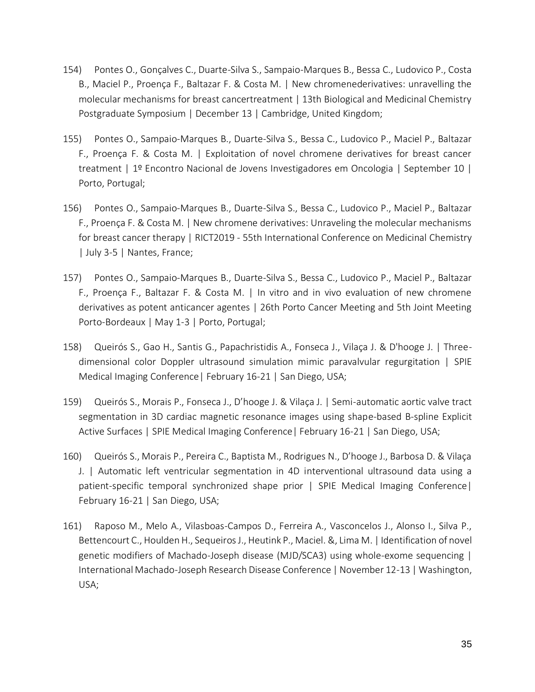- 154) Pontes O., Gonçalves C., Duarte-Silva S., Sampaio-Marques B., Bessa C., Ludovico P., Costa B., Maciel P., Proença F., Baltazar F. & Costa M. | New chromenederivatives: unravelling the molecular mechanisms for breast cancertreatment | 13th Biological and Medicinal Chemistry Postgraduate Symposium | December 13 | Cambridge, United Kingdom;
- 155) Pontes O., Sampaio-Marques B., Duarte-Silva S., Bessa C., Ludovico P., Maciel P., Baltazar F., Proença F. & Costa M. | Exploitation of novel chromene derivatives for breast cancer treatment | 1º Encontro Nacional de Jovens Investigadores em Oncologia | September 10 | Porto, Portugal;
- 156) Pontes O., Sampaio-Marques B., Duarte-Silva S., Bessa C., Ludovico P., Maciel P., Baltazar F., Proença F. & Costa M. | New chromene derivatives: Unraveling the molecular mechanisms for breast cancer therapy | RICT2019 - 55th International Conference on Medicinal Chemistry | July 3-5 | Nantes, France;
- 157) Pontes O., Sampaio-Marques B., Duarte-Silva S., Bessa C., Ludovico P., Maciel P., Baltazar F., Proença F., Baltazar F. & Costa M. | In vitro and in vivo evaluation of new chromene derivatives as potent anticancer agentes | 26th Porto Cancer Meeting and 5th Joint Meeting Porto-Bordeaux | May 1-3 | Porto, Portugal;
- 158) Queirós S., Gao H., Santis G., Papachristidis A., Fonseca J., Vilaça J. & D'hooge J. | Threedimensional color Doppler ultrasound simulation mimic paravalvular regurgitation | SPIE Medical Imaging Conference| February 16-21 | San Diego, USA;
- 159) Queirós S., Morais P., Fonseca J., D'hooge J. & Vilaça J. | Semi-automatic aortic valve tract segmentation in 3D cardiac magnetic resonance images using shape-based B-spline Explicit Active Surfaces | SPIE Medical Imaging Conference| February 16-21 | San Diego, USA;
- 160) Queirós S., Morais P., Pereira C., Baptista M., Rodrigues N., D'hooge J., Barbosa D. & Vilaça J. | Automatic left ventricular segmentation in 4D interventional ultrasound data using a patient-specific temporal synchronized shape prior | SPIE Medical Imaging Conference| February 16-21 | San Diego, USA;
- 161) Raposo M., Melo A., Vilasboas-Campos D., Ferreira A., Vasconcelos J., Alonso I., Silva P., Bettencourt C., Houlden H., Sequeiros J., Heutink P., Maciel. &, Lima M. | Identification of novel genetic modifiers of Machado-Joseph disease (MJD/SCA3) using whole-exome sequencing | International Machado-Joseph Research Disease Conference | November 12-13 | Washington, USA;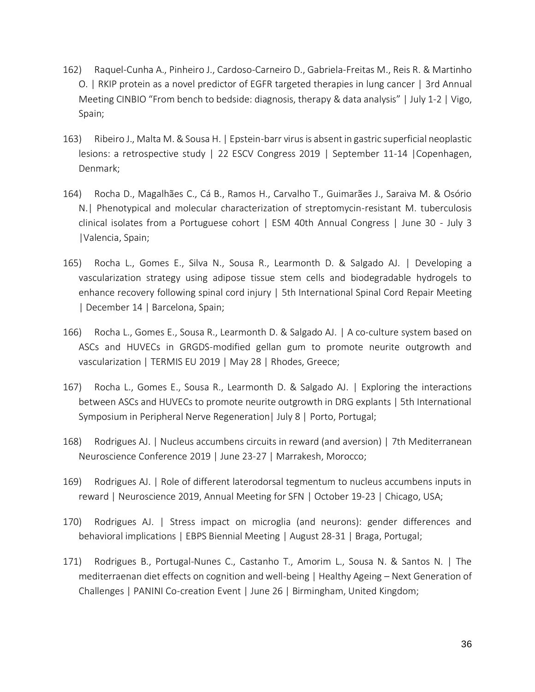- 162) Raquel-Cunha A., Pinheiro J., Cardoso-Carneiro D., Gabriela-Freitas M., Reis R. & Martinho O. | RKIP protein as a novel predictor of EGFR targeted therapies in lung cancer | 3rd Annual Meeting CINBIO "From bench to bedside: diagnosis, therapy & data analysis" | July 1-2 | Vigo, Spain;
- 163) Ribeiro J., Malta M. & Sousa H. | Epstein-barr virus is absent in gastric superficial neoplastic lesions: a retrospective study | 22 ESCV Congress 2019 | September 11-14 |Copenhagen, Denmark;
- 164) Rocha D., Magalhães C., Cá B., Ramos H., Carvalho T., Guimarães J., Saraiva M. & Osório N.| Phenotypical and molecular characterization of streptomycin-resistant M. tuberculosis clinical isolates from a Portuguese cohort | ESM 40th Annual Congress | June 30 - July 3 |Valencia, Spain;
- 165) Rocha L., Gomes E., Silva N., Sousa R., Learmonth D. & Salgado AJ. | Developing a vascularization strategy using adipose tissue stem cells and biodegradable hydrogels to enhance recovery following spinal cord injury | 5th International Spinal Cord Repair Meeting | December 14 | Barcelona, Spain;
- 166) Rocha L., Gomes E., Sousa R., Learmonth D. & Salgado AJ. | A co-culture system based on ASCs and HUVECs in GRGDS-modified gellan gum to promote neurite outgrowth and vascularization | TERMIS EU 2019 | May 28 | Rhodes, Greece;
- 167) Rocha L., Gomes E., Sousa R., Learmonth D. & Salgado AJ. | Exploring the interactions between ASCs and HUVECs to promote neurite outgrowth in DRG explants | 5th International Symposium in Peripheral Nerve Regeneration| July 8 | Porto, Portugal;
- 168) Rodrigues AJ. | Nucleus accumbens circuits in reward (and aversion) | 7th Mediterranean Neuroscience Conference 2019 | June 23-27 | Marrakesh, Morocco;
- 169) Rodrigues AJ. | Role of different laterodorsal tegmentum to nucleus accumbens inputs in reward | Neuroscience 2019, Annual Meeting for SFN | October 19-23 | Chicago, USA;
- 170) Rodrigues AJ. | Stress impact on microglia (and neurons): gender differences and behavioral implications | EBPS Biennial Meeting | August 28-31 | Braga, Portugal;
- 171) Rodrigues B., Portugal-Nunes C., Castanho T., Amorim L., Sousa N. & Santos N. | The mediterraenan diet effects on cognition and well-being | Healthy Ageing – Next Generation of Challenges | PANINI Co-creation Event | June 26 | Birmingham, United Kingdom;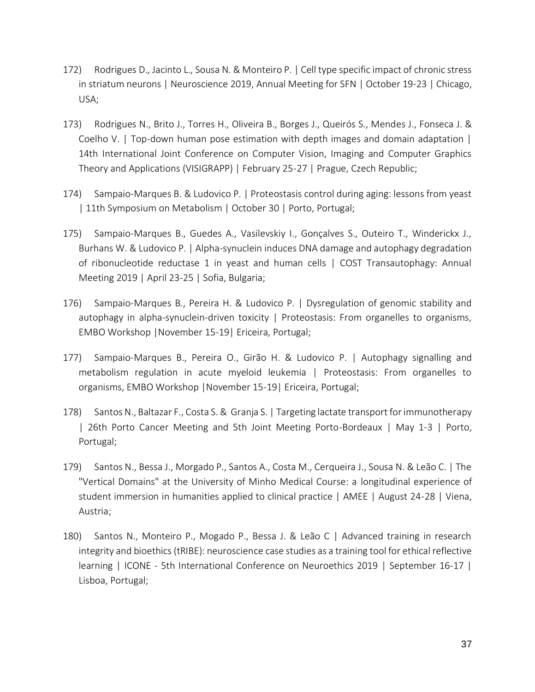- 172) Rodrigues D., Jacinto L., Sousa N. & Monteiro P. | Cell type specific impact of chronic stress in striatum neurons | Neuroscience 2019, Annual Meeting for SFN | October 19-23 | Chicago, USA;
- 173) Rodrigues N., Brito J., Torres H., Oliveira B., Borges J., Queirós S., Mendes J., Fonseca J. & Coelho V. | Top-down human pose estimation with depth images and domain adaptation | 14th International Joint Conference on Computer Vision, Imaging and Computer Graphics Theory and Applications (VISIGRAPP) | February 25-27 | Prague, Czech Republic;
- 174) Sampaio-Marques B. & Ludovico P. | Proteostasis control during aging: lessons from yeast | 11th Symposium on Metabolism | October 30 | Porto, Portugal;
- 175) Sampaio-Marques B., Guedes A., Vasilevskiy I., Gonçalves S., Outeiro T., Winderickx J., Burhans W. & Ludovico P. | Alpha-synuclein induces DNA damage and autophagy degradation of ribonucleotide reductase 1 in yeast and human cells | COST Transautophagy: Annual Meeting 2019 | April 23-25 | Sofia, Bulgaria;
- 176) Sampaio-Marques B., Pereira H. & Ludovico P. | Dysregulation of genomic stability and autophagy in alpha-synuclein-driven toxicity | Proteostasis: From organelles to organisms, EMBO Workshop |November 15-19| Ericeira, Portugal;
- 177) Sampaio-Marques B., Pereira O., Girão H. & Ludovico P. | Autophagy signalling and metabolism regulation in acute myeloid leukemia | Proteostasis: From organelles to organisms, EMBO Workshop |November 15-19| Ericeira, Portugal;
- 178) Santos N., Baltazar F., Costa S. & Granja S. | Targeting lactate transport for immunotherapy | 26th Porto Cancer Meeting and 5th Joint Meeting Porto-Bordeaux | May 1-3 | Porto, Portugal;
- 179) Santos N., Bessa J., Morgado P., Santos A., Costa M., Cerqueira J., Sousa N. & Leão C. | The "Vertical Domains" at the University of Minho Medical Course: a longitudinal experience of student immersion in humanities applied to clinical practice | AMEE | August 24-28 | Viena, Austria;
- 180) Santos N., Monteiro P., Mogado P., Bessa J. & Leão C | Advanced training in research integrity and bioethics (tRIBE): neuroscience case studies as a training tool for ethical reflective learning | ICONE - 5th International Conference on Neuroethics 2019 | September 16-17 | Lisboa, Portugal;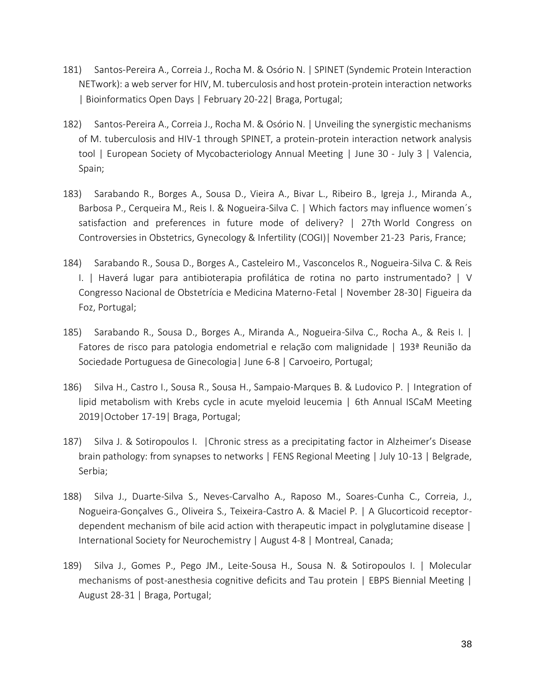- 181) Santos-Pereira A., Correia J., Rocha M. & Osório N. | SPINET (Syndemic Protein Interaction NETwork): a web server for HIV, M. tuberculosis and host protein-protein interaction networks | Bioinformatics Open Days | February 20-22| Braga, Portugal;
- 182) Santos-Pereira A., Correia J., Rocha M. & Osório N. | Unveiling the synergistic mechanisms of M. tuberculosis and HIV-1 through SPINET, a protein-protein interaction network analysis tool | European Society of Mycobacteriology Annual Meeting | June 30 - July 3 | Valencia, Spain;
- 183) Sarabando R., Borges A., Sousa D., Vieira A., Bivar L., Ribeiro B., Igreja J., Miranda A., Barbosa P., Cerqueira M., Reis I. & Nogueira-Silva C. | Which factors may influence women´s satisfaction and preferences in future mode of delivery? | 27th World Congress on Controversies in Obstetrics, Gynecology & Infertility (COGI)| November 21-23 Paris, France;
- 184) Sarabando R., Sousa D., Borges A., Casteleiro M., Vasconcelos R., Nogueira-Silva C. & Reis I. | Haverá lugar para antibioterapia profilática de rotina no parto instrumentado? | V Congresso Nacional de Obstetrícia e Medicina Materno-Fetal | November 28-30| Figueira da Foz, Portugal;
- 185) Sarabando R., Sousa D., Borges A., Miranda A., Nogueira-Silva C., Rocha A., & Reis I. | Fatores de risco para patologia endometrial e relação com malignidade | 193ª Reunião da Sociedade Portuguesa de Ginecologia| June 6-8 | Carvoeiro, Portugal;
- 186) Silva H., Castro I., Sousa R., Sousa H., Sampaio-Marques B. & Ludovico P. | Integration of lipid metabolism with Krebs cycle in acute myeloid leucemia | 6th Annual ISCaM Meeting 2019|October 17-19| Braga, Portugal;
- 187) Silva J. & Sotiropoulos I. |Chronic stress as a precipitating factor in Alzheimer's Disease brain pathology: from synapses to networks | FENS Regional Meeting | July 10-13 | Belgrade, Serbia;
- 188) Silva J., Duarte-Silva S., Neves-Carvalho A., Raposo M., Soares-Cunha C., Correia, J., Nogueira-Gonçalves G., Oliveira S., Teixeira-Castro A. & Maciel P. | A Glucorticoid receptordependent mechanism of bile acid action with therapeutic impact in polyglutamine disease | International Society for Neurochemistry | August 4-8 | Montreal, Canada;
- 189) Silva J., Gomes P., Pego JM., Leite-Sousa H., Sousa N. & Sotiropoulos I. | Molecular mechanisms of post-anesthesia cognitive deficits and Tau protein | EBPS Biennial Meeting | August 28-31 | Braga, Portugal;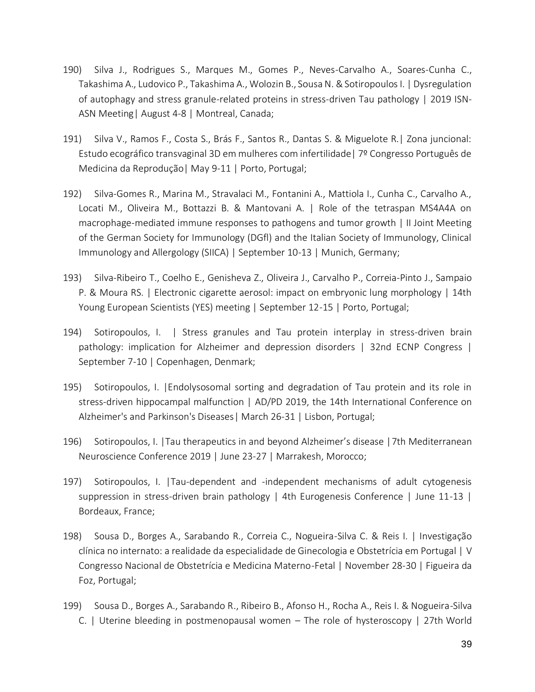- 190) Silva J., Rodrigues S., Marques M., Gomes P., Neves-Carvalho A., Soares-Cunha C., Takashima A., Ludovico P., Takashima A., Wolozin B., Sousa N. & Sotiropoulos I. | Dysregulation of autophagy and stress granule-related proteins in stress-driven Tau pathology | 2019 ISN-ASN Meeting| August 4-8 | Montreal, Canada;
- 191) Silva V., Ramos F., Costa S., Brás F., Santos R., Dantas S. & Miguelote R.| Zona juncional: Estudo ecográfico transvaginal 3D em mulheres com infertilidade| 7º Congresso Português de Medicina da Reprodução| May 9-11 | Porto, Portugal;
- 192) Silva-Gomes R., Marina M., Stravalaci M., Fontanini A., Mattiola I., Cunha C., Carvalho A., Locati M., Oliveira M., Bottazzi B. & Mantovani A. | Role of the tetraspan MS4A4A on macrophage-mediated immune responses to pathogens and tumor growth | II Joint Meeting of the German Society for Immunology (DGfl) and the Italian Society of Immunology, Clinical Immunology and Allergology (SIICA) | September 10-13 | Munich, Germany;
- 193) Silva-Ribeiro T., Coelho E., Genisheva Z., Oliveira J., Carvalho P., Correia-Pinto J., Sampaio P. & Moura RS. | Electronic cigarette aerosol: impact on embryonic lung morphology | 14th Young European Scientists (YES) meeting | September 12-15 | Porto, Portugal;
- 194) Sotiropoulos, I. | Stress granules and Tau protein interplay in stress-driven brain pathology: implication for Alzheimer and depression disorders | 32nd ECNP Congress | September 7-10 | Copenhagen, Denmark;
- 195) Sotiropoulos, I. |Endolysosomal sorting and degradation of Tau protein and its role in stress-driven hippocampal malfunction | AD/PD 2019, the 14th International Conference on Alzheimer's and Parkinson's Diseases| March 26-31 | Lisbon, Portugal;
- 196) Sotiropoulos, I. |Tau therapeutics in and beyond Alzheimer's disease |7th Mediterranean Neuroscience Conference 2019 | June 23-27 | Marrakesh, Morocco;
- 197) Sotiropoulos, I. |Tau-dependent and -independent mechanisms of adult cytogenesis suppression in stress-driven brain pathology | 4th Eurogenesis Conference | June 11-13 | Bordeaux, France;
- 198) Sousa D., Borges A., Sarabando R., Correia C., Nogueira-Silva C. & Reis I. | Investigação clínica no internato: a realidade da especialidade de Ginecologia e Obstetrícia em Portugal | V Congresso Nacional de Obstetrícia e Medicina Materno-Fetal | November 28-30 | Figueira da Foz, Portugal;
- 199) Sousa D., Borges A., Sarabando R., Ribeiro B., Afonso H., Rocha A., Reis I. & Nogueira-Silva C. | Uterine bleeding in postmenopausal women – The role of hysteroscopy | 27th World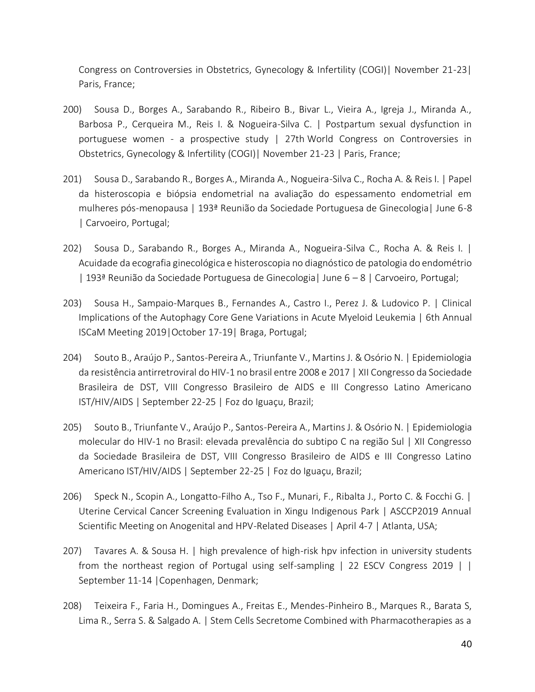Congress on Controversies in Obstetrics, Gynecology & Infertility (COGI)| November 21-23| Paris, France;

- 200) Sousa D., Borges A., Sarabando R., Ribeiro B., Bivar L., Vieira A., Igreja J., Miranda A., Barbosa P., Cerqueira M., Reis I. & Nogueira-Silva C. | Postpartum sexual dysfunction in portuguese women - a prospective study | 27th World Congress on Controversies in Obstetrics, Gynecology & Infertility (COGI)| November 21-23 | Paris, France;
- 201) Sousa D., Sarabando R., Borges A., Miranda A., Nogueira-Silva C., Rocha A. & Reis I. | Papel da histeroscopia e biópsia endometrial na avaliação do espessamento endometrial em mulheres pós-menopausa | 193ª Reunião da Sociedade Portuguesa de Ginecologia| June 6-8 | Carvoeiro, Portugal;
- 202) Sousa D., Sarabando R., Borges A., Miranda A., Nogueira-Silva C., Rocha A. & Reis I. | Acuidade da ecografia ginecológica e histeroscopia no diagnóstico de patologia do endométrio | 193ª Reunião da Sociedade Portuguesa de Ginecologia| June 6 – 8 | Carvoeiro, Portugal;
- 203) Sousa H., Sampaio-Marques B., Fernandes A., Castro I., Perez J. & Ludovico P. | Clinical Implications of the Autophagy Core Gene Variations in Acute Myeloid Leukemia | 6th Annual ISCaM Meeting 2019|October 17-19| Braga, Portugal;
- 204) Souto B., Araújo P., Santos-Pereira A., Triunfante V., Martins J. & Osório N. | Epidemiologia da resistência antirretroviral do HIV-1 no brasil entre 2008 e 2017 | XII Congresso da Sociedade Brasileira de DST, VIII Congresso Brasileiro de AIDS e III Congresso Latino Americano IST/HIV/AIDS | September 22-25 | Foz do Iguaçu, Brazil;
- 205) Souto B., Triunfante V., Araújo P., Santos-Pereira A., Martins J. & Osório N. | Epidemiologia molecular do HIV-1 no Brasil: elevada prevalência do subtipo C na região Sul | XII Congresso da Sociedade Brasileira de DST, VIII Congresso Brasileiro de AIDS e III Congresso Latino Americano IST/HIV/AIDS | September 22-25 | Foz do Iguaçu, Brazil;
- 206) Speck N., Scopin A., Longatto-Filho A., Tso F., Munari, F., Ribalta J., Porto C. & Focchi G. | Uterine Cervical Cancer Screening Evaluation in Xingu Indigenous Park | ASCCP2019 Annual Scientific Meeting on Anogenital and HPV-Related Diseases | April 4-7 | Atlanta, USA;
- 207) Tavares A. & Sousa H. | high prevalence of high-risk hpv infection in university students from the northeast region of Portugal using self-sampling | 22 ESCV Congress 2019 | | September 11-14 |Copenhagen, Denmark;
- 208) Teixeira F., Faria H., Domingues A., Freitas E., Mendes-Pinheiro B., Marques R., Barata S, Lima R., Serra S. & Salgado A. | Stem Cells Secretome Combined with Pharmacotherapies as a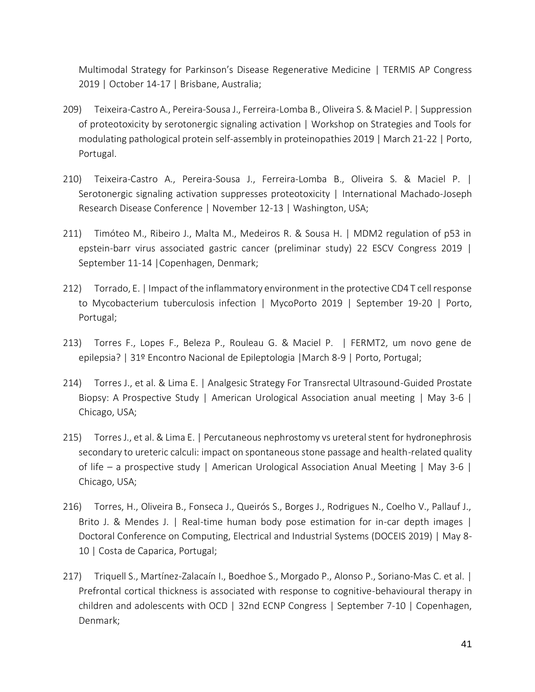Multimodal Strategy for Parkinson's Disease Regenerative Medicine | TERMIS AP Congress 2019 | October 14-17 | Brisbane, Australia;

- 209) Teixeira-Castro A., Pereira-Sousa J., Ferreira-Lomba B., Oliveira S. & Maciel P. | Suppression of proteotoxicity by serotonergic signaling activation | Workshop on Strategies and Tools for modulating pathological protein self-assembly in proteinopathies 2019 | March 21-22 | Porto, Portugal.
- 210) Teixeira-Castro A., Pereira-Sousa J., Ferreira-Lomba B., Oliveira S. & Maciel P. | Serotonergic signaling activation suppresses proteotoxicity | International Machado-Joseph Research Disease Conference | November 12-13 | Washington, USA;
- 211) Timóteo M., Ribeiro J., Malta M., Medeiros R. & Sousa H. | MDM2 regulation of p53 in epstein-barr virus associated gastric cancer (preliminar study) 22 ESCV Congress 2019 | September 11-14 |Copenhagen, Denmark;
- 212) Torrado, E. | Impact of the inflammatory environment in the protective CD4 T cell response to Mycobacterium tuberculosis infection | MycoPorto 2019 | September 19-20 | Porto, Portugal;
- 213) Torres F., Lopes F., Beleza P., Rouleau G. & Maciel P. | FERMT2, um novo gene de epilepsia? | 31º Encontro Nacional de Epileptologia |March 8-9 | Porto, Portugal;
- 214) Torres J., et al. & Lima E. | Analgesic Strategy For Transrectal Ultrasound-Guided Prostate Biopsy: A Prospective Study | American Urological Association anual meeting | May 3-6 | Chicago, USA;
- 215) Torres J., et al. & Lima E. | Percutaneous nephrostomy vs ureteral stent for hydronephrosis secondary to ureteric calculi: impact on spontaneous stone passage and health-related quality of life – a prospective study | American Urological Association Anual Meeting | May 3-6 | Chicago, USA;
- 216) Torres, H., Oliveira B., Fonseca J., Queirós S., Borges J., Rodrigues N., Coelho V., Pallauf J., Brito J. & Mendes J. | Real-time human body pose estimation for in-car depth images | Doctoral Conference on Computing, Electrical and Industrial Systems (DOCEIS 2019) | May 8- 10 | Costa de Caparica, Portugal;
- 217) Triquell S., Martínez-Zalacaín I., Boedhoe S., Morgado P., Alonso P., Soriano-Mas C. et al. | Prefrontal cortical thickness is associated with response to cognitive-behavioural therapy in children and adolescents with OCD | 32nd ECNP Congress | September 7-10 | Copenhagen, Denmark;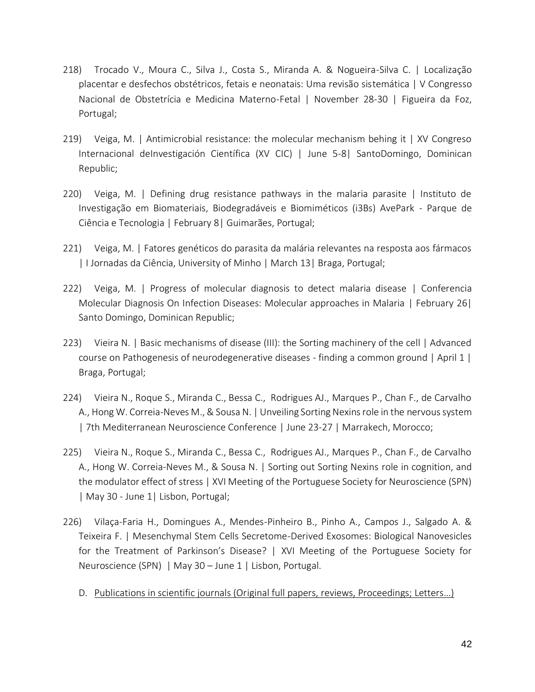- 218) Trocado V., Moura C., Silva J., Costa S., Miranda A. & Nogueira-Silva C. | Localização placentar e desfechos obstétricos, fetais e neonatais: Uma revisão sistemática | V Congresso Nacional de Obstetrícia e Medicina Materno-Fetal | November 28-30 | Figueira da Foz, Portugal;
- 219) Veiga, M. | Antimicrobial resistance: the molecular mechanism behing it | XV Congreso Internacional deInvestigación Científica (XV CIC) | June 5-8| SantoDomingo, Dominican Republic;
- 220) Veiga, M. | Defining drug resistance pathways in the malaria parasite | Instituto de Investigação em Biomateriais, Biodegradáveis e Biomiméticos (i3Bs) AvePark - Parque de Ciência e Tecnologia | February 8| Guimarães, Portugal;
- 221) Veiga, M. | Fatores genéticos do parasita da malária relevantes na resposta aos fármacos | I Jornadas da Ciência, University of Minho | March 13| Braga, Portugal;
- 222) Veiga, M. | Progress of molecular diagnosis to detect malaria disease | Conferencia Molecular Diagnosis On Infection Diseases: Molecular approaches in Malaria | February 26| Santo Domingo, Dominican Republic;
- 223) Vieira N. | Basic mechanisms of disease (III): the Sorting machinery of the cell | Advanced course on Pathogenesis of neurodegenerative diseases - finding a common ground | April 1 | Braga, Portugal;
- 224) Vieira N., Roque S., Miranda C., Bessa C., Rodrigues AJ., Marques P., Chan F., de Carvalho A., Hong W. Correia-Neves M., & Sousa N. | Unveiling Sorting Nexins role in the nervous system | 7th Mediterranean Neuroscience Conference | June 23-27 | Marrakech, Morocco;
- 225) Vieira N., Roque S., Miranda C., Bessa C., Rodrigues AJ., Marques P., Chan F., de Carvalho A., Hong W. Correia-Neves M., & Sousa N. | Sorting out Sorting Nexins role in cognition, and the modulator effect of stress | XVI Meeting of the Portuguese Society for Neuroscience (SPN) | May 30 - June 1| Lisbon, Portugal;
- 226) Vilaça-Faria H., Domingues A., Mendes-Pinheiro B., Pinho A., Campos J., Salgado A. & Teixeira F. | Mesenchymal Stem Cells Secretome-Derived Exosomes: Biological Nanovesicles for the Treatment of Parkinson's Disease? | XVI Meeting of the Portuguese Society for Neuroscience (SPN) | May 30 – June 1 | Lisbon, Portugal.
	- D. Publications in scientific journals (Original full papers, reviews, Proceedings; Letters…)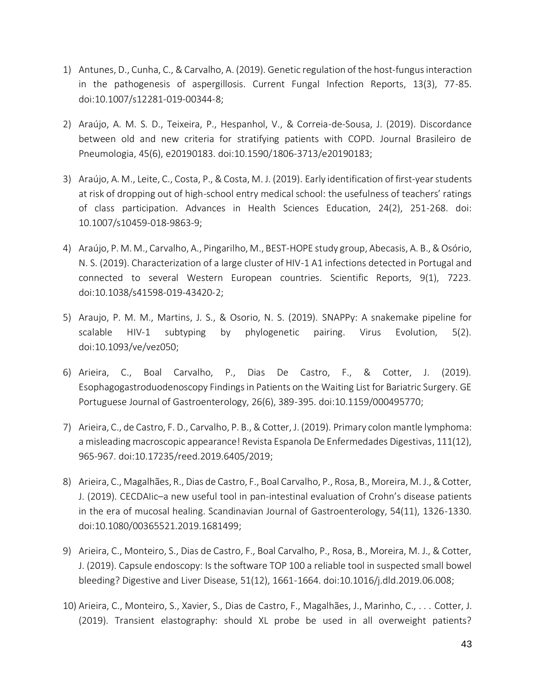- 1) Antunes, D., Cunha, C., & Carvalho, A. (2019). Genetic regulation of the host-fungus interaction in the pathogenesis of aspergillosis. Current Fungal Infection Reports, 13(3), 77-85. doi:10.1007/s12281-019-00344-8;
- 2) Araújo, A. M. S. D., Teixeira, P., Hespanhol, V., & Correia-de-Sousa, J. (2019). Discordance between old and new criteria for stratifying patients with COPD. Journal Brasileiro de Pneumologia, 45(6), e20190183. doi:10.1590/1806-3713/e20190183;
- 3) Araújo, A. M., Leite, C., Costa, P., & Costa, M. J. (2019). Early identification of first-year students at risk of dropping out of high-school entry medical school: the usefulness of teachers' ratings of class participation. Advances in Health Sciences Education, 24(2), 251-268. doi: 10.1007/s10459-018-9863-9;
- 4) Araújo, P. M. M., Carvalho, A., Pingarilho, M., BEST-HOPE study group, Abecasis, A. B., & Osório, N. S. (2019). Characterization of a large cluster of HIV-1 A1 infections detected in Portugal and connected to several Western European countries. Scientific Reports, 9(1), 7223. doi:10.1038/s41598-019-43420-2;
- 5) Araujo, P. M. M., Martins, J. S., & Osorio, N. S. (2019). SNAPPy: A snakemake pipeline for scalable HIV-1 subtyping by phylogenetic pairing. Virus Evolution, 5(2). doi:10.1093/ve/vez050;
- 6) Arieira, C., Boal Carvalho, P., Dias De Castro, F., & Cotter, J. (2019). Esophagogastroduodenoscopy Findings in Patients on the Waiting List for Bariatric Surgery. GE Portuguese Journal of Gastroenterology, 26(6), 389-395. doi:10.1159/000495770;
- 7) Arieira, C., de Castro, F. D., Carvalho, P. B., & Cotter, J. (2019). Primary colon mantle lymphoma: a misleading macroscopic appearance! Revista Espanola De Enfermedades Digestivas, 111(12), 965-967. doi:10.17235/reed.2019.6405/2019;
- 8) Arieira, C., Magalhães, R., Dias de Castro, F., Boal Carvalho, P., Rosa, B., Moreira, M. J., & Cotter, J. (2019). CECDAIic–a new useful tool in pan-intestinal evaluation of Crohn's disease patients in the era of mucosal healing. Scandinavian Journal of Gastroenterology, 54(11), 1326-1330. doi:10.1080/00365521.2019.1681499;
- 9) Arieira, C., Monteiro, S., Dias de Castro, F., Boal Carvalho, P., Rosa, B., Moreira, M. J., & Cotter, J. (2019). Capsule endoscopy: Is the software TOP 100 a reliable tool in suspected small bowel bleeding? Digestive and Liver Disease, 51(12), 1661-1664. doi:10.1016/j.dld.2019.06.008;
- 10) Arieira, C., Monteiro, S., Xavier, S., Dias de Castro, F., Magalhães, J., Marinho, C., . . . Cotter, J. (2019). Transient elastography: should XL probe be used in all overweight patients?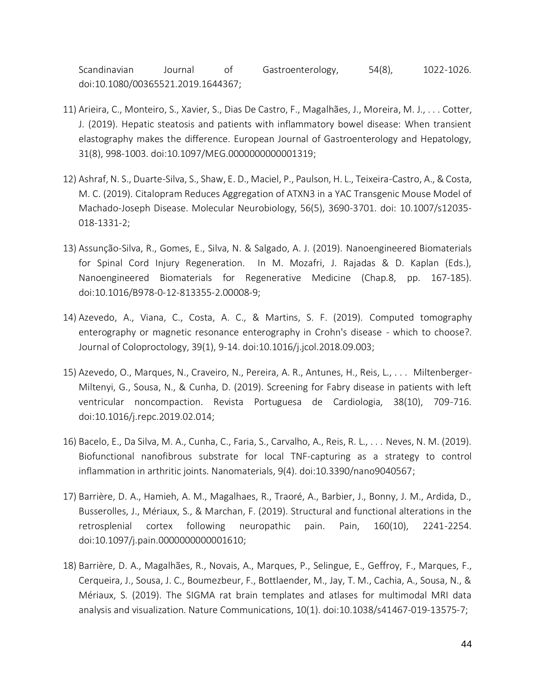Scandinavian Journal of Gastroenterology, 54(8), 1022-1026. doi:10.1080/00365521.2019.1644367;

- 11) Arieira, C., Monteiro, S., Xavier, S., Dias De Castro, F., Magalhães, J., Moreira, M. J., . . . Cotter, J. (2019). Hepatic steatosis and patients with inflammatory bowel disease: When transient elastography makes the difference. European Journal of Gastroenterology and Hepatology, 31(8), 998-1003. doi:10.1097/MEG.0000000000001319;
- 12) Ashraf, N. S., Duarte-Silva, S., Shaw, E. D., Maciel, P., Paulson, H. L., Teixeira-Castro, A., & Costa, M. C. (2019). Citalopram Reduces Aggregation of ATXN3 in a YAC Transgenic Mouse Model of Machado-Joseph Disease. Molecular Neurobiology, 56(5), 3690-3701. doi: 10.1007/s12035- 018-1331-2;
- 13) Assunção-Silva, R., Gomes, E., Silva, N. & Salgado, A. J. (2019). Nanoengineered Biomaterials for Spinal Cord Injury Regeneration. In M. Mozafri, J. Rajadas & D. Kaplan (Eds.), Nanoengineered Biomaterials for Regenerative Medicine (Chap.8, pp. 167-185). doi:10.1016/B978-0-12-813355-2.00008-9;
- 14) Azevedo, A., Viana, C., Costa, A. C., & Martins, S. F. (2019). Computed tomography enterography or magnetic resonance enterography in Crohn's disease - which to choose?. Journal of Coloproctology, 39(1), 9-14. doi:10.1016/j.jcol.2018.09.003;
- 15) Azevedo, O., Marques, N., Craveiro, N., Pereira, A. R., Antunes, H., Reis, L., . . . Miltenberger-Miltenyi, G., Sousa, N., & Cunha, D. (2019). Screening for Fabry disease in patients with left ventricular noncompaction. Revista Portuguesa de Cardiologia, 38(10), 709-716. doi:10.1016/j.repc.2019.02.014;
- 16) Bacelo, E., Da Silva, M. A., Cunha, C., Faria, S., Carvalho, A., Reis, R. L., . . . Neves, N. M. (2019). Biofunctional nanofibrous substrate for local TNF-capturing as a strategy to control inflammation in arthritic joints. Nanomaterials, 9(4). doi:10.3390/nano9040567;
- 17) Barrière, D. A., Hamieh, A. M., Magalhaes, R., Traoré, A., Barbier, J., Bonny, J. M., Ardida, D., Busserolles, J., Mériaux, S., & Marchan, F. (2019). Structural and functional alterations in the retrosplenial cortex following neuropathic pain. Pain, 160(10), 2241-2254. doi:10.1097/j.pain.0000000000001610;
- 18) Barrière, D. A., Magalhães, R., Novais, A., Marques, P., Selingue, E., Geffroy, F., Marques, F., Cerqueira, J., Sousa, J. C., Boumezbeur, F., Bottlaender, M., Jay, T. M., Cachia, A., Sousa, N., & Mériaux, S. (2019). The SIGMA rat brain templates and atlases for multimodal MRI data analysis and visualization. Nature Communications, 10(1). doi:10.1038/s41467-019-13575-7;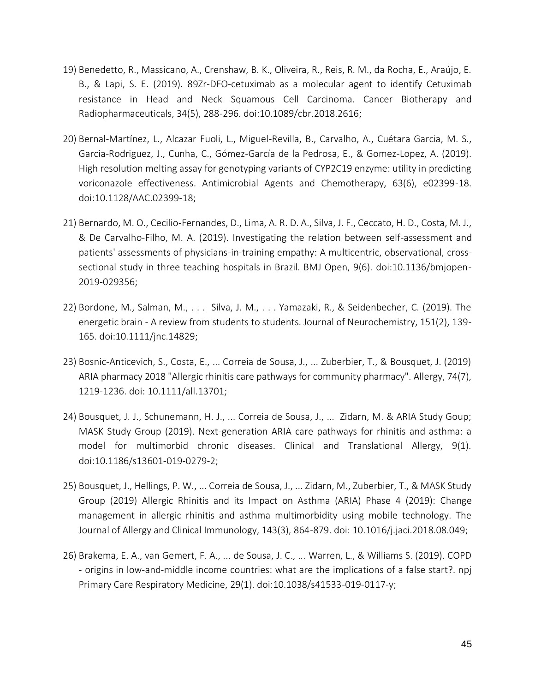- 19) Benedetto, R., Massicano, A., Crenshaw, B. K., Oliveira, R., Reis, R. M., da Rocha, E., Araújo, E. B., & Lapi, S. E. (2019). 89Zr-DFO-cetuximab as a molecular agent to identify Cetuximab resistance in Head and Neck Squamous Cell Carcinoma. Cancer Biotherapy and Radiopharmaceuticals, 34(5), 288-296. doi:10.1089/cbr.2018.2616;
- 20) Bernal-Martínez, L., Alcazar Fuoli, L., Miguel-Revilla, B., Carvalho, A., Cuétara Garcia, M. S., Garcia-Rodriguez, J., Cunha, C., Gómez-García de la Pedrosa, E., & Gomez-Lopez, A. (2019). High resolution melting assay for genotyping variants of CYP2C19 enzyme: utility in predicting voriconazole effectiveness. Antimicrobial Agents and Chemotherapy, 63(6), e02399-18. doi:10.1128/AAC.02399-18;
- 21) Bernardo, M. O., Cecilio-Fernandes, D., Lima, A. R. D. A., Silva, J. F., Ceccato, H. D., Costa, M. J., & De Carvalho-Filho, M. A. (2019). Investigating the relation between self-assessment and patients' assessments of physicians-in-training empathy: A multicentric, observational, crosssectional study in three teaching hospitals in Brazil. BMJ Open, 9(6). doi:10.1136/bmjopen-2019-029356;
- 22) Bordone, M., Salman, M., . . . Silva, J. M., . . . Yamazaki, R., & Seidenbecher, C. (2019). The energetic brain - A review from students to students. Journal of Neurochemistry, 151(2), 139- 165. doi:10.1111/jnc.14829;
- 23) Bosnic-Anticevich, S., Costa, E., ... Correia de Sousa, J., ... Zuberbier, T., & Bousquet, J. (2019) ARIA pharmacy 2018 "Allergic rhinitis care pathways for community pharmacy". Allergy, 74(7), 1219-1236. doi: 10.1111/all.13701;
- 24) Bousquet, J. J., Schunemann, H. J., ... Correia de Sousa, J., ... Zidarn, M. & ARIA Study Goup; MASK Study Group (2019). Next-generation ARIA care pathways for rhinitis and asthma: a model for multimorbid chronic diseases. Clinical and Translational Allergy, 9(1). doi:10.1186/s13601-019-0279-2;
- 25) Bousquet, J., Hellings, P. W., ... Correia de Sousa, J., ... Zidarn, M., Zuberbier, T., & MASK Study Group (2019) Allergic Rhinitis and its Impact on Asthma (ARIA) Phase 4 (2019): Change management in allergic rhinitis and asthma multimorbidity using mobile technology. The Journal of Allergy and Clinical Immunology, 143(3), 864-879. doi: 10.1016/j.jaci.2018.08.049;
- 26) Brakema, E. A., van Gemert, F. A., ... de Sousa, J. C., ... Warren, L., & Williams S. (2019). COPD - origins in low-and-middle income countries: what are the implications of a false start?. npj Primary Care Respiratory Medicine, 29(1). doi:10.1038/s41533-019-0117-y;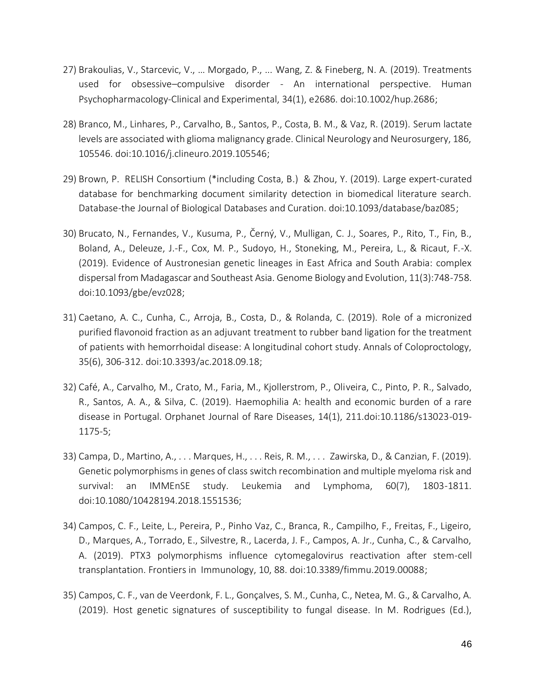- 27) Brakoulias, V., Starcevic, V., … Morgado, P., ... Wang, Z. & Fineberg, N. A. (2019). Treatments used for obsessive–compulsive disorder - An international perspective. Human Psychopharmacology-Clinical and Experimental, 34(1), e2686. doi:10.1002/hup.2686;
- 28) Branco, M., Linhares, P., Carvalho, B., Santos, P., Costa, B. M., & Vaz, R. (2019). Serum lactate levels are associated with glioma malignancy grade. Clinical Neurology and Neurosurgery, 186, 105546. doi:10.1016/j.clineuro.2019.105546;
- 29) Brown, P. RELISH Consortium (\*including Costa, B.) & Zhou, Y. (2019). Large expert-curated database for benchmarking document similarity detection in biomedical literature search. Database-the Journal of Biological Databases and Curation. doi:10.1093/database/baz085;
- 30) Brucato, N., Fernandes, V., Kusuma, P., Černý, V., Mulligan, C. J., Soares, P., Rito, T., Fin, B., Boland, A., Deleuze, J.-F., Cox, M. P., Sudoyo, H., Stoneking, M., Pereira, L., & Ricaut, F.-X. (2019). Evidence of Austronesian genetic lineages in East Africa and South Arabia: complex dispersal from Madagascar and Southeast Asia. Genome Biology and Evolution, 11(3):748-758. doi:10.1093/gbe/evz028;
- 31) Caetano, A. C., Cunha, C., Arroja, B., Costa, D., & Rolanda, C. (2019). Role of a micronized purified flavonoid fraction as an adjuvant treatment to rubber band ligation for the treatment of patients with hemorrhoidal disease: A longitudinal cohort study. Annals of Coloproctology, 35(6), 306-312. doi:10.3393/ac.2018.09.18;
- 32) Café, A., Carvalho, M., Crato, M., Faria, M., Kjollerstrom, P., Oliveira, C., Pinto, P. R., Salvado, R., Santos, A. A., & Silva, C. (2019). Haemophilia A: health and economic burden of a rare disease in Portugal. Orphanet Journal of Rare Diseases, 14(1), 211.doi:10.1186/s13023-019- 1175-5;
- 33) Campa, D., Martino, A., . . . Marques, H., . . . Reis, R. M., . . . Zawirska, D., & Canzian, F. (2019). Genetic polymorphisms in genes of class switch recombination and multiple myeloma risk and survival: an IMMEnSE study. Leukemia and Lymphoma, 60(7), 1803-1811. doi:10.1080/10428194.2018.1551536;
- 34) Campos, C. F., Leite, L., Pereira, P., Pinho Vaz, C., Branca, R., Campilho, F., Freitas, F., Ligeiro, D., Marques, A., Torrado, E., Silvestre, R., Lacerda, J. F., Campos, A. Jr., Cunha, C., & Carvalho, A. (2019). PTX3 polymorphisms influence cytomegalovirus reactivation after stem-cell transplantation. Frontiers in Immunology, 10, 88. doi:10.3389/fimmu.2019.00088;
- 35) Campos, C. F., van de Veerdonk, F. L., Gonçalves, S. M., Cunha, C., Netea, M. G., & Carvalho, A. (2019). Host genetic signatures of susceptibility to fungal disease. In M. Rodrigues (Ed.),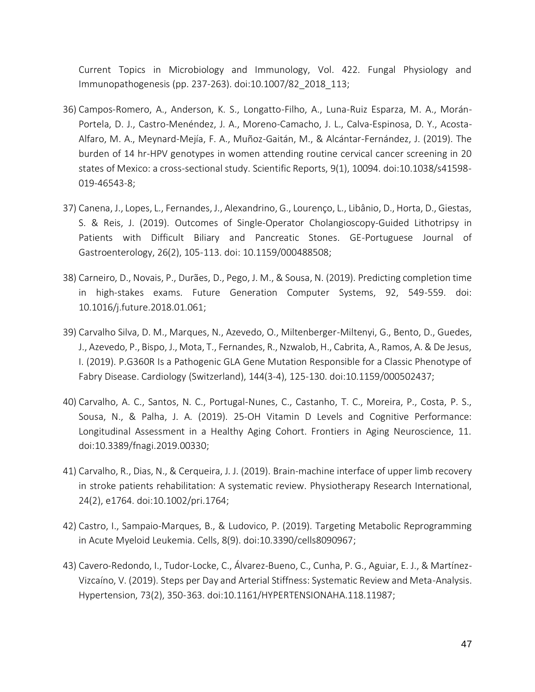Current Topics in Microbiology and Immunology, Vol. 422. Fungal Physiology and Immunopathogenesis (pp. 237-263). doi:10.1007/82\_2018\_113;

- 36) Campos-Romero, A., Anderson, K. S., Longatto-Filho, A., Luna-Ruiz Esparza, M. A., Morán-Portela, D. J., Castro-Menéndez, J. A., Moreno-Camacho, J. L., Calva-Espinosa, D. Y., Acosta-Alfaro, M. A., Meynard-Mejía, F. A., Muñoz-Gaitán, M., & Alcántar-Fernández, J. (2019). The burden of 14 hr-HPV genotypes in women attending routine cervical cancer screening in 20 states of Mexico: a cross-sectional study. Scientific Reports, 9(1), 10094. doi:10.1038/s41598- 019-46543-8;
- 37) Canena, J., Lopes, L., Fernandes, J., Alexandrino, G., Lourenço, L., Libânio, D., Horta, D., Giestas, S. & Reis, J. (2019). Outcomes of Single-Operator Cholangioscopy-Guided Lithotripsy in Patients with Difficult Biliary and Pancreatic Stones. GE-Portuguese Journal of Gastroenterology, 26(2), 105-113. doi: 10.1159/000488508;
- 38) Carneiro, D., Novais, P., Durães, D., Pego, J. M., & Sousa, N. (2019). Predicting completion time in high-stakes exams. Future Generation Computer Systems, 92, 549-559. doi: 10.1016/j.future.2018.01.061;
- 39) Carvalho Silva, D. M., Marques, N., Azevedo, O., Miltenberger-Miltenyi, G., Bento, D., Guedes, J., Azevedo, P., Bispo, J., Mota, T., Fernandes, R., Nzwalob, H., Cabrita, A., Ramos, A. & De Jesus, I. (2019). P.G360R Is a Pathogenic GLA Gene Mutation Responsible for a Classic Phenotype of Fabry Disease. Cardiology (Switzerland), 144(3-4), 125-130. doi:10.1159/000502437;
- 40) Carvalho, A. C., Santos, N. C., Portugal-Nunes, C., Castanho, T. C., Moreira, P., Costa, P. S., Sousa, N., & Palha, J. A. (2019). 25-OH Vitamin D Levels and Cognitive Performance: Longitudinal Assessment in a Healthy Aging Cohort. Frontiers in Aging Neuroscience, 11. doi:10.3389/fnagi.2019.00330;
- 41) Carvalho, R., Dias, N., & Cerqueira, J. J. (2019). Brain-machine interface of upper limb recovery in stroke patients rehabilitation: A systematic review. Physiotherapy Research International, 24(2), e1764. doi:10.1002/pri.1764;
- 42) Castro, I., Sampaio-Marques, B., & Ludovico, P. (2019). Targeting Metabolic Reprogramming in Acute Myeloid Leukemia. Cells, 8(9). doi:10.3390/cells8090967;
- 43) Cavero-Redondo, I., Tudor-Locke, C., Álvarez-Bueno, C., Cunha, P. G., Aguiar, E. J., & Martínez-Vizcaíno, V. (2019). Steps per Day and Arterial Stiffness: Systematic Review and Meta-Analysis. Hypertension, 73(2), 350-363. doi:10.1161/HYPERTENSIONAHA.118.11987;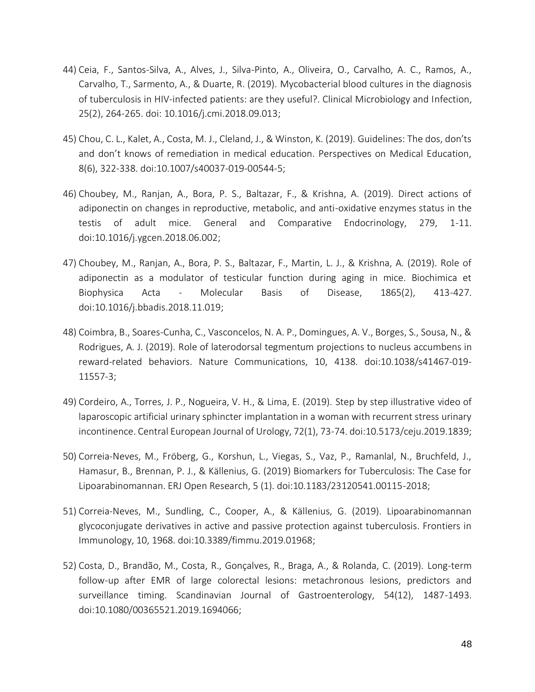- 44) Ceia, F., Santos-Silva, A., Alves, J., Silva-Pinto, A., Oliveira, O., Carvalho, A. C., Ramos, A., Carvalho, T., Sarmento, A., & Duarte, R. (2019). Mycobacterial blood cultures in the diagnosis of tuberculosis in HIV-infected patients: are they useful?. Clinical Microbiology and Infection, 25(2), 264-265. doi: 10.1016/j.cmi.2018.09.013;
- 45) Chou, C. L., Kalet, A., Costa, M. J., Cleland, J., & Winston, K. (2019). Guidelines: The dos, don'ts and don't knows of remediation in medical education. Perspectives on Medical Education, 8(6), 322-338. doi:10.1007/s40037-019-00544-5;
- 46) Choubey, M., Ranjan, A., Bora, P. S., Baltazar, F., & Krishna, A. (2019). Direct actions of adiponectin on changes in reproductive, metabolic, and anti-oxidative enzymes status in the testis of adult mice. General and Comparative Endocrinology, 279, 1-11. doi:10.1016/j.ygcen.2018.06.002;
- 47) Choubey, M., Ranjan, A., Bora, P. S., Baltazar, F., Martin, L. J., & Krishna, A. (2019). Role of adiponectin as a modulator of testicular function during aging in mice. Biochimica et Biophysica Acta - Molecular Basis of Disease, 1865(2), 413-427. doi:10.1016/j.bbadis.2018.11.019;
- 48) Coimbra, B., Soares-Cunha, C., Vasconcelos, N. A. P., Domingues, A. V., Borges, S., Sousa, N., & Rodrigues, A. J. (2019). Role of laterodorsal tegmentum projections to nucleus accumbens in reward-related behaviors. Nature Communications, 10, 4138. doi:10.1038/s41467-019- 11557-3;
- 49) Cordeiro, A., Torres, J. P., Nogueira, V. H., & Lima, E. (2019). Step by step illustrative video of laparoscopic artificial urinary sphincter implantation in a woman with recurrent stress urinary incontinence. Central European Journal of Urology, 72(1), 73-74. doi:10.5173/ceju.2019.1839;
- 50) Correia-Neves, M., Fröberg, G., Korshun, L., Viegas, S., Vaz, P., Ramanlal, N., Bruchfeld, J., Hamasur, B., Brennan, P. J., & Källenius, G. (2019) Biomarkers for Tuberculosis: The Case for Lipoarabinomannan. ERJ Open Research, 5 (1). doi:10.1183/23120541.00115-2018;
- 51) Correia-Neves, M., Sundling, C., Cooper, A., & Källenius, G. (2019). Lipoarabinomannan glycoconjugate derivatives in active and passive protection against tuberculosis. Frontiers in Immunology, 10, 1968. doi:10.3389/fimmu.2019.01968;
- 52) Costa, D., Brandão, M., Costa, R., Gonçalves, R., Braga, A., & Rolanda, C. (2019). Long-term follow-up after EMR of large colorectal lesions: metachronous lesions, predictors and surveillance timing. Scandinavian Journal of Gastroenterology, 54(12), 1487-1493. doi:10.1080/00365521.2019.1694066;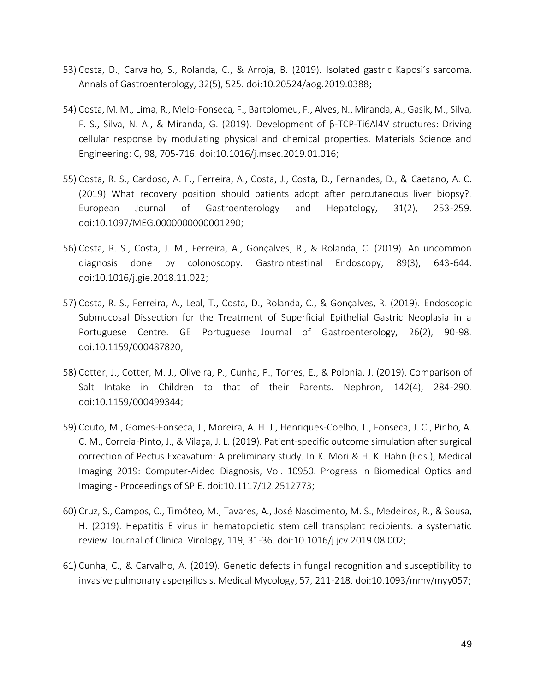- 53) Costa, D., Carvalho, S., Rolanda, C., & Arroja, B. (2019). Isolated gastric Kaposi's sarcoma. Annals of Gastroenterology, 32(5), 525. doi:10.20524/aog.2019.0388;
- 54) Costa, M. M., Lima, R., Melo-Fonseca, F., Bartolomeu, F., Alves, N., Miranda, A., Gasik, M., Silva, F. S., Silva, N. A., & Miranda, G. (2019). Development of β-TCP-Ti6Al4V structures: Driving cellular response by modulating physical and chemical properties. Materials Science and Engineering: C, 98, 705-716. doi:10.1016/j.msec.2019.01.016;
- 55) Costa, R. S., Cardoso, A. F., Ferreira, A., Costa, J., Costa, D., Fernandes, D., & Caetano, A. C. (2019) What recovery position should patients adopt after percutaneous liver biopsy?. European Journal of Gastroenterology and Hepatology, 31(2), 253-259. doi:10.1097/MEG.0000000000001290;
- 56) Costa, R. S., Costa, J. M., Ferreira, A., Gonçalves, R., & Rolanda, C. (2019). An uncommon diagnosis done by colonoscopy. Gastrointestinal Endoscopy, 89(3), 643-644. doi:10.1016/j.gie.2018.11.022;
- 57) Costa, R. S., Ferreira, A., Leal, T., Costa, D., Rolanda, C., & Gonçalves, R. (2019). Endoscopic Submucosal Dissection for the Treatment of Superficial Epithelial Gastric Neoplasia in a Portuguese Centre. GE Portuguese Journal of Gastroenterology, 26(2), 90-98. doi:10.1159/000487820;
- 58) Cotter, J., Cotter, M. J., Oliveira, P., Cunha, P., Torres, E., & Polonia, J. (2019). Comparison of Salt Intake in Children to that of their Parents. Nephron, 142(4), 284-290. doi:10.1159/000499344;
- 59) Couto, M., Gomes-Fonseca, J., Moreira, A. H. J., Henriques-Coelho, T., Fonseca, J. C., Pinho, A. C. M., Correia-Pinto, J., & Vilaça, J. L. (2019). Patient-specific outcome simulation after surgical correction of Pectus Excavatum: A preliminary study. In K. Mori & H. K. Hahn (Eds.), Medical Imaging 2019: Computer-Aided Diagnosis, Vol. 10950. Progress in Biomedical Optics and Imaging - Proceedings of SPIE. doi:10.1117/12.2512773;
- 60) Cruz, S., Campos, C., Timóteo, M., Tavares, A., José Nascimento, M. S., Medeiros, R., & Sousa, H. (2019). Hepatitis E virus in hematopoietic stem cell transplant recipients: a systematic review. Journal of Clinical Virology, 119, 31-36. doi:10.1016/j.jcv.2019.08.002;
- 61) Cunha, C., & Carvalho, A. (2019). Genetic defects in fungal recognition and susceptibility to invasive pulmonary aspergillosis. Medical Mycology, 57, 211-218. doi:10.1093/mmy/myy057;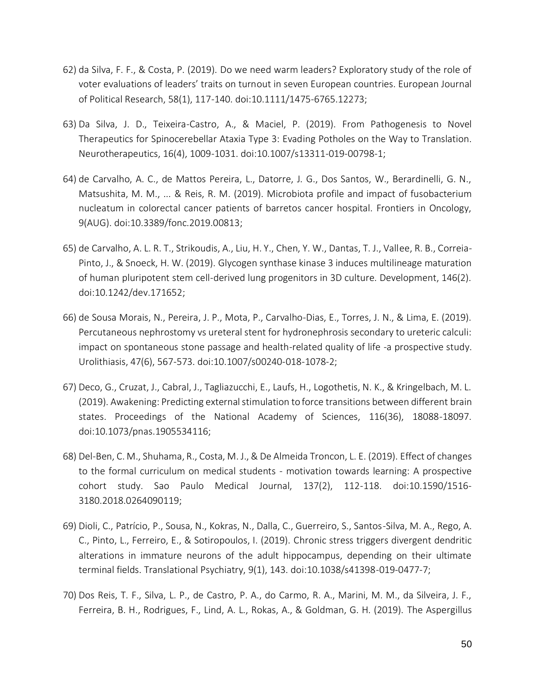- 62) da Silva, F. F., & Costa, P. (2019). Do we need warm leaders? Exploratory study of the role of voter evaluations of leaders' traits on turnout in seven European countries. European Journal of Political Research, 58(1), 117-140. doi:10.1111/1475-6765.12273;
- 63) Da Silva, J. D., Teixeira-Castro, A., & Maciel, P. (2019). From Pathogenesis to Novel Therapeutics for Spinocerebellar Ataxia Type 3: Evading Potholes on the Way to Translation. Neurotherapeutics, 16(4), 1009-1031. doi:10.1007/s13311-019-00798-1;
- 64) de Carvalho, A. C., de Mattos Pereira, L., Datorre, J. G., Dos Santos, W., Berardinelli, G. N., Matsushita, M. M., ... & Reis, R. M. (2019). Microbiota profile and impact of fusobacterium nucleatum in colorectal cancer patients of barretos cancer hospital. Frontiers in Oncology, 9(AUG). doi:10.3389/fonc.2019.00813;
- 65) de Carvalho, A. L. R. T., Strikoudis, A., Liu, H. Y., Chen, Y. W., Dantas, T. J., Vallee, R. B., Correia-Pinto, J., & Snoeck, H. W. (2019). Glycogen synthase kinase 3 induces multilineage maturation of human pluripotent stem cell-derived lung progenitors in 3D culture. Development, 146(2). doi:10.1242/dev.171652;
- 66) de Sousa Morais, N., Pereira, J. P., Mota, P., Carvalho-Dias, E., Torres, J. N., & Lima, E. (2019). Percutaneous nephrostomy vs ureteral stent for hydronephrosis secondary to ureteric calculi: impact on spontaneous stone passage and health-related quality of life -a prospective study. Urolithiasis, 47(6), 567-573. doi:10.1007/s00240-018-1078-2;
- 67) Deco, G., Cruzat, J., Cabral, J., Tagliazucchi, E., Laufs, H., Logothetis, N. K., & Kringelbach, M. L. (2019). Awakening: Predicting external stimulation to force transitions between different brain states. Proceedings of the National Academy of Sciences, 116(36), 18088-18097. doi:10.1073/pnas.1905534116;
- 68) Del-Ben, C. M., Shuhama, R., Costa, M. J., & De Almeida Troncon, L. E. (2019). Effect of changes to the formal curriculum on medical students - motivation towards learning: A prospective cohort study. Sao Paulo Medical Journal, 137(2), 112-118. doi:10.1590/1516- 3180.2018.0264090119;
- 69) Dioli, C., Patrício, P., Sousa, N., Kokras, N., Dalla, C., Guerreiro, S., Santos-Silva, M. A., Rego, A. C., Pinto, L., Ferreiro, E., & Sotiropoulos, I. (2019). Chronic stress triggers divergent dendritic alterations in immature neurons of the adult hippocampus, depending on their ultimate terminal fields. Translational Psychiatry, 9(1), 143. doi:10.1038/s41398-019-0477-7;
- 70) Dos Reis, T. F., Silva, L. P., de Castro, P. A., do Carmo, R. A., Marini, M. M., da Silveira, J. F., Ferreira, B. H., Rodrigues, F., Lind, A. L., Rokas, A., & Goldman, G. H. (2019). The Aspergillus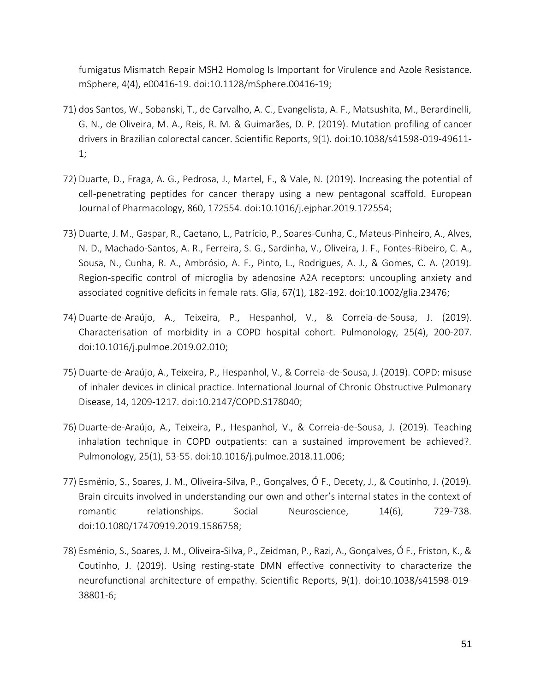fumigatus Mismatch Repair MSH2 Homolog Is Important for Virulence and Azole Resistance. mSphere, 4(4), e00416-19. doi:10.1128/mSphere.00416-19;

- 71) dos Santos, W., Sobanski, T., de Carvalho, A. C., Evangelista, A. F., Matsushita, M., Berardinelli, G. N., de Oliveira, M. A., Reis, R. M. & Guimarães, D. P. (2019). Mutation profiling of cancer drivers in Brazilian colorectal cancer. Scientific Reports, 9(1). doi:10.1038/s41598-019-49611- 1;
- 72) Duarte, D., Fraga, A. G., Pedrosa, J., Martel, F., & Vale, N. (2019). Increasing the potential of cell-penetrating peptides for cancer therapy using a new pentagonal scaffold. European Journal of Pharmacology, 860, 172554. doi:10.1016/j.ejphar.2019.172554;
- 73) Duarte, J. M., Gaspar, R., Caetano, L., Patrício, P., Soares-Cunha, C., Mateus-Pinheiro, A., Alves, N. D., Machado-Santos, A. R., Ferreira, S. G., Sardinha, V., Oliveira, J. F., Fontes-Ribeiro, C. A., Sousa, N., Cunha, R. A., Ambrósio, A. F., Pinto, L., Rodrigues, A. J., & Gomes, C. A. (2019). Region-specific control of microglia by adenosine A2A receptors: uncoupling anxiety and associated cognitive deficits in female rats. Glia, 67(1), 182-192. doi:10.1002/glia.23476;
- 74) Duarte-de-Araújo, A., Teixeira, P., Hespanhol, V., & Correia-de-Sousa, J. (2019). Characterisation of morbidity in a COPD hospital cohort. Pulmonology, 25(4), 200-207. doi:10.1016/j.pulmoe.2019.02.010;
- 75) Duarte-de-Araújo, A., Teixeira, P., Hespanhol, V., & Correia-de-Sousa, J. (2019). COPD: misuse of inhaler devices in clinical practice. International Journal of Chronic Obstructive Pulmonary Disease, 14, 1209-1217. doi:10.2147/COPD.S178040;
- 76) Duarte-de-Araújo, A., Teixeira, P., Hespanhol, V., & Correia-de-Sousa, J. (2019). Teaching inhalation technique in COPD outpatients: can a sustained improvement be achieved?. Pulmonology, 25(1), 53-55. doi:10.1016/j.pulmoe.2018.11.006;
- 77) Esménio, S., Soares, J. M., Oliveira-Silva, P., Gonçalves, Ó F., Decety, J., & Coutinho, J. (2019). Brain circuits involved in understanding our own and other's internal states in the context of romantic relationships. Social Neuroscience, 14(6), 729-738. doi:10.1080/17470919.2019.1586758;
- 78) Esménio, S., Soares, J. M., Oliveira-Silva, P., Zeidman, P., Razi, A., Gonçalves, Ó F., Friston, K., & Coutinho, J. (2019). Using resting-state DMN effective connectivity to characterize the neurofunctional architecture of empathy. Scientific Reports, 9(1). doi:10.1038/s41598-019- 38801-6;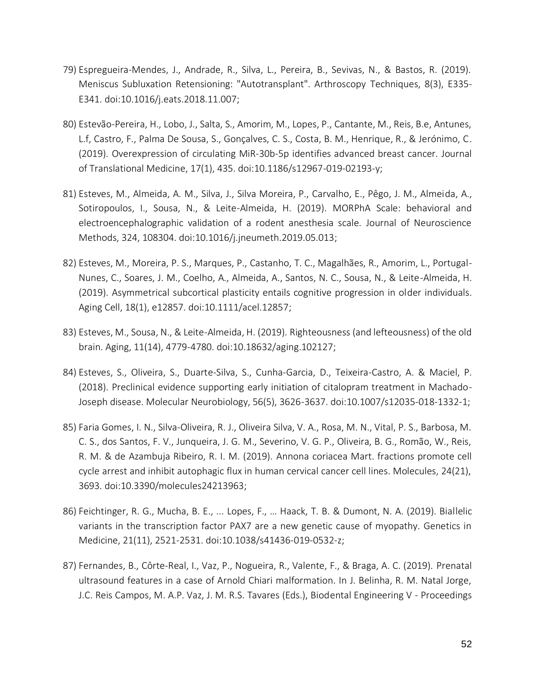- 79) Espregueira-Mendes, J., Andrade, R., Silva, L., Pereira, B., Sevivas, N., & Bastos, R. (2019). Meniscus Subluxation Retensioning: "Autotransplant". Arthroscopy Techniques, 8(3), E335- E341. doi:10.1016/j.eats.2018.11.007;
- 80) Estevão-Pereira, H., Lobo, J., Salta, S., Amorim, M., Lopes, P., Cantante, M., Reis, B.e, Antunes, L.f, Castro, F., Palma De Sousa, S., Gonçalves, C. S., Costa, B. M., Henrique, R., & Jerónimo, C. (2019). Overexpression of circulating MiR-30b-5p identifies advanced breast cancer. Journal of Translational Medicine, 17(1), 435. doi:10.1186/s12967-019-02193-y;
- 81) Esteves, M., Almeida, A. M., Silva, J., Silva Moreira, P., Carvalho, E., Pêgo, J. M., Almeida, A., Sotiropoulos, I., Sousa, N., & Leite-Almeida, H. (2019). MORPhA Scale: behavioral and electroencephalographic validation of a rodent anesthesia scale. Journal of Neuroscience Methods, 324, 108304. doi:10.1016/j.jneumeth.2019.05.013;
- 82) Esteves, M., Moreira, P. S., Marques, P., Castanho, T. C., Magalhães, R., Amorim, L., Portugal-Nunes, C., Soares, J. M., Coelho, A., Almeida, A., Santos, N. C., Sousa, N., & Leite-Almeida, H. (2019). Asymmetrical subcortical plasticity entails cognitive progression in older individuals. Aging Cell, 18(1), e12857. doi:10.1111/acel.12857;
- 83) Esteves, M., Sousa, N., & Leite-Almeida, H. (2019). Righteousness (and lefteousness) of the old brain. Aging, 11(14), 4779-4780. doi:10.18632/aging.102127;
- 84) Esteves, S., Oliveira, S., Duarte-Silva, S., Cunha-Garcia, D., Teixeira-Castro, A. & Maciel, P. (2018). Preclinical evidence supporting early initiation of citalopram treatment in Machado-Joseph disease. Molecular Neurobiology, 56(5), 3626-3637. doi:10.1007/s12035-018-1332-1;
- 85) Faria Gomes, I. N., Silva-Oliveira, R. J., Oliveira Silva, V. A., Rosa, M. N., Vital, P. S., Barbosa, M. C. S., dos Santos, F. V., Junqueira, J. G. M., Severino, V. G. P., Oliveira, B. G., Romão, W., Reis, R. M. & de Azambuja Ribeiro, R. I. M. (2019). Annona coriacea Mart. fractions promote cell cycle arrest and inhibit autophagic flux in human cervical cancer cell lines. Molecules, 24(21), 3693. doi:10.3390/molecules24213963;
- 86) Feichtinger, R. G., Mucha, B. E., ... Lopes, F., … Haack, T. B. & Dumont, N. A. (2019). Biallelic variants in the transcription factor PAX7 are a new genetic cause of myopathy. Genetics in Medicine, 21(11), 2521-2531. doi:10.1038/s41436-019-0532-z;
- 87) Fernandes, B., Côrte-Real, I., Vaz, P., Nogueira, R., Valente, F., & Braga, A. C. (2019). Prenatal ultrasound features in a case of Arnold Chiari malformation. In J. Belinha, R. M. Natal Jorge, J.C. Reis Campos, M. A.P. Vaz, J. M. R.S. Tavares (Eds.), Biodental Engineering V - Proceedings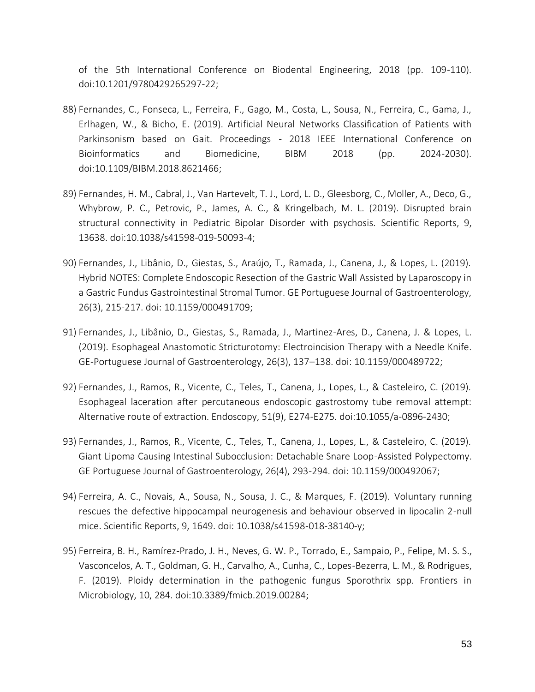of the 5th International Conference on Biodental Engineering, 2018 (pp. 109-110). doi:10.1201/9780429265297-22;

- 88) Fernandes, C., Fonseca, L., Ferreira, F., Gago, M., Costa, L., Sousa, N., Ferreira, C., Gama, J., Erlhagen, W., & Bicho, E. (2019). Artificial Neural Networks Classification of Patients with Parkinsonism based on Gait. Proceedings - 2018 IEEE International Conference on Bioinformatics and Biomedicine, BIBM 2018 (pp. 2024-2030). doi:10.1109/BIBM.2018.8621466;
- 89) Fernandes, H. M., Cabral, J., Van Hartevelt, T. J., Lord, L. D., Gleesborg, C., Moller, A., Deco, G., Whybrow, P. C., Petrovic, P., James, A. C., & Kringelbach, M. L. (2019). Disrupted brain structural connectivity in Pediatric Bipolar Disorder with psychosis. Scientific Reports, 9, 13638. doi:10.1038/s41598-019-50093-4;
- 90) Fernandes, J., Libânio, D., Giestas, S., Araújo, T., Ramada, J., Canena, J., & Lopes, L. (2019). Hybrid NOTES: Complete Endoscopic Resection of the Gastric Wall Assisted by Laparoscopy in a Gastric Fundus Gastrointestinal Stromal Tumor. GE Portuguese Journal of Gastroenterology, 26(3), 215-217. doi: 10.1159/000491709;
- 91) Fernandes, J., Libânio, D., Giestas, S., Ramada, J., Martinez-Ares, D., Canena, J. & Lopes, L. (2019). Esophageal Anastomotic Stricturotomy: Electroincision Therapy with a Needle Knife. GE-Portuguese Journal of Gastroenterology, 26(3), 137–138. doi: 10.1159/000489722;
- 92) Fernandes, J., Ramos, R., Vicente, C., Teles, T., Canena, J., Lopes, L., & Casteleiro, C. (2019). Esophageal laceration after percutaneous endoscopic gastrostomy tube removal attempt: Alternative route of extraction. Endoscopy, 51(9), E274-E275. doi:10.1055/a-0896-2430;
- 93) Fernandes, J., Ramos, R., Vicente, C., Teles, T., Canena, J., Lopes, L., & Casteleiro, C. (2019). Giant Lipoma Causing Intestinal Subocclusion: Detachable Snare Loop-Assisted Polypectomy. GE Portuguese Journal of Gastroenterology, 26(4), 293-294. doi: 10.1159/000492067;
- 94) Ferreira, A. C., Novais, A., Sousa, N., Sousa, J. C., & Marques, F. (2019). Voluntary running rescues the defective hippocampal neurogenesis and behaviour observed in lipocalin 2-null mice. Scientific Reports, 9, 1649. doi: 10.1038/s41598-018-38140-y;
- 95) Ferreira, B. H., Ramírez-Prado, J. H., Neves, G. W. P., Torrado, E., Sampaio, P., Felipe, M. S. S., Vasconcelos, A. T., Goldman, G. H., Carvalho, A., Cunha, C., Lopes-Bezerra, L. M., & Rodrigues, F. (2019). Ploidy determination in the pathogenic fungus Sporothrix spp. Frontiers in Microbiology, 10, 284. doi:10.3389/fmicb.2019.00284;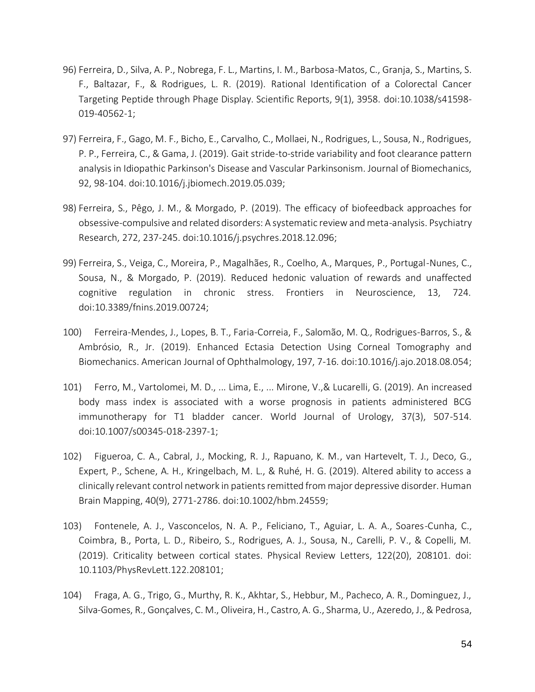- 96) Ferreira, D., Silva, A. P., Nobrega, F. L., Martins, I. M., Barbosa-Matos, C., Granja, S., Martins, S. F., Baltazar, F., & Rodrigues, L. R. (2019). Rational Identification of a Colorectal Cancer Targeting Peptide through Phage Display. Scientific Reports, 9(1), 3958. doi:10.1038/s41598- 019-40562-1;
- 97) Ferreira, F., Gago, M. F., Bicho, E., Carvalho, C., Mollaei, N., Rodrigues, L., Sousa, N., Rodrigues, P. P., Ferreira, C., & Gama, J. (2019). Gait stride-to-stride variability and foot clearance pattern analysis in Idiopathic Parkinson's Disease and Vascular Parkinsonism. Journal of Biomechanics, 92, 98-104. doi:10.1016/j.jbiomech.2019.05.039;
- 98) Ferreira, S., Pêgo, J. M., & Morgado, P. (2019). The efficacy of biofeedback approaches for obsessive-compulsive and related disorders: A systematic review and meta-analysis. Psychiatry Research, 272, 237-245. doi:10.1016/j.psychres.2018.12.096;
- 99) Ferreira, S., Veiga, C., Moreira, P., Magalhães, R., Coelho, A., Marques, P., Portugal-Nunes, C., Sousa, N., & Morgado, P. (2019). Reduced hedonic valuation of rewards and unaffected cognitive regulation in chronic stress. Frontiers in Neuroscience, 13, 724. doi:10.3389/fnins.2019.00724;
- 100) Ferreira-Mendes, J., Lopes, B. T., Faria-Correia, F., Salomão, M. Q., Rodrigues-Barros, S., & Ambrósio, R., Jr. (2019). Enhanced Ectasia Detection Using Corneal Tomography and Biomechanics. American Journal of Ophthalmology, 197, 7-16. doi:10.1016/j.ajo.2018.08.054;
- 101) Ferro, M., Vartolomei, M. D., ... Lima, E., ... Mirone, V.,& Lucarelli, G. (2019). An increased body mass index is associated with a worse prognosis in patients administered BCG immunotherapy for T1 bladder cancer. World Journal of Urology, 37(3), 507-514. doi:10.1007/s00345-018-2397-1;
- 102) Figueroa, C. A., Cabral, J., Mocking, R. J., Rapuano, K. M., van Hartevelt, T. J., Deco, G., Expert, P., Schene, A. H., Kringelbach, M. L., & Ruhé, H. G. (2019). Altered ability to access a clinically relevant control network in patients remitted from major depressive disorder. Human Brain Mapping, 40(9), 2771-2786. doi:10.1002/hbm.24559;
- 103) Fontenele, A. J., Vasconcelos, N. A. P., Feliciano, T., Aguiar, L. A. A., Soares-Cunha, C., Coimbra, B., Porta, L. D., Ribeiro, S., Rodrigues, A. J., Sousa, N., Carelli, P. V., & Copelli, M. (2019). Criticality between cortical states. Physical Review Letters, 122(20), 208101. doi: 10.1103/PhysRevLett.122.208101;
- 104) Fraga, A. G., Trigo, G., Murthy, R. K., Akhtar, S., Hebbur, M., Pacheco, A. R., Dominguez, J., Silva-Gomes, R., Gonçalves, C. M., Oliveira, H., Castro, A. G., Sharma, U., Azeredo, J., & Pedrosa,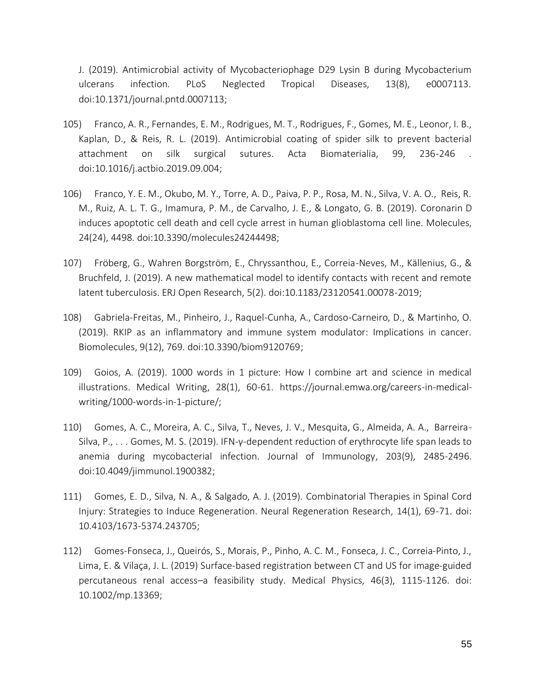J. (2019). Antimicrobial activity of Mycobacteriophage D29 Lysin B during Mycobacterium ulcerans infection. PLoS Neglected Tropical Diseases, 13(8), e0007113. doi:10.1371/journal.pntd.0007113;

- 105) Franco, A. R., Fernandes, E. M., Rodrigues, M. T., Rodrigues, F., Gomes, M. E., Leonor, I. B., Kaplan, D., & Reis, R. L. (2019). Antimicrobial coating of spider silk to prevent bacterial attachment on silk surgical sutures. Acta Biomaterialia, 99, 236-246 . doi:10.1016/j.actbio.2019.09.004;
- 106) Franco, Y. E. M., Okubo, M. Y., Torre, A. D., Paiva, P. P., Rosa, M. N., Silva, V. A. O., Reis, R. M., Ruiz, A. L. T. G., Imamura, P. M., de Carvalho, J. E., & Longato, G. B. (2019). Coronarin D induces apoptotic cell death and cell cycle arrest in human glioblastoma cell line. Molecules, 24(24), 4498. doi:10.3390/molecules24244498;
- 107) Fröberg, G., Wahren Borgström, E., Chryssanthou, E., Correia-Neves, M., Källenius, G., & Bruchfeld, J. (2019). A new mathematical model to identify contacts with recent and remote latent tuberculosis. ERJ Open Research, 5(2). doi:10.1183/23120541.00078-2019;
- 108) Gabriela-Freitas, M., Pinheiro, J., Raquel-Cunha, A., Cardoso-Carneiro, D., & Martinho, O. (2019). RKIP as an inflammatory and immune system modulator: Implications in cancer. Biomolecules, 9(12), 769. doi:10.3390/biom9120769;
- 109) Goios, A. (2019). 1000 words in 1 picture: How I combine art and science in medical illustrations. Medical Writing, 28(1), 60-61. https://journal.emwa.org/careers-in-medicalwriting/1000-words-in-1-picture/;
- 110) Gomes, A. C., Moreira, A. C., Silva, T., Neves, J. V., Mesquita, G., Almeida, A. A., Barreira-Silva, P., . . . Gomes, M. S. (2019). IFN-γ-dependent reduction of erythrocyte life span leads to anemia during mycobacterial infection. Journal of Immunology, 203(9), 2485-2496. doi:10.4049/jimmunol.1900382;
- 111) Gomes, E. D., Silva, N. A., & Salgado, A. J. (2019). Combinatorial Therapies in Spinal Cord Injury: Strategies to Induce Regeneration. Neural Regeneration Research, 14(1), 69-71. doi: 10.4103/1673-5374.243705;
- 112) Gomes‐Fonseca, J., Queirós, S., Morais, P., Pinho, A. C. M., Fonseca, J. C., Correia‐Pinto, J., Lima, E. & Vilaça, J. L. (2019) Surface‐based registration between CT and US for image‐guided percutaneous renal access–a feasibility study. Medical Physics, 46(3), 1115-1126. doi: 10.1002/mp.13369;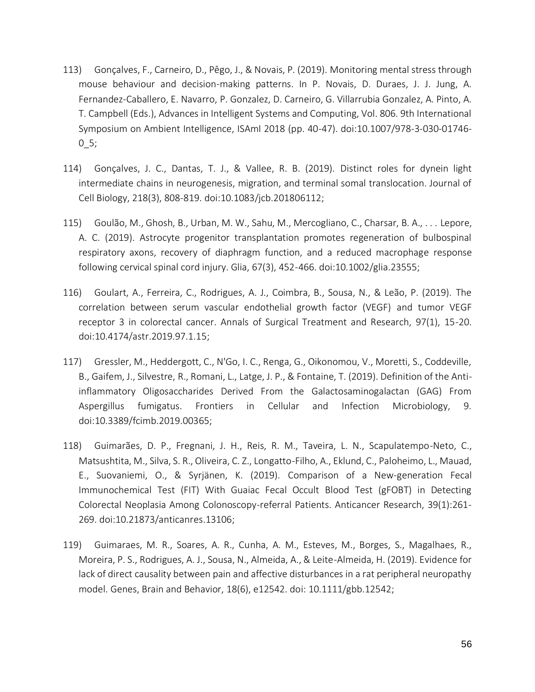- 113) Gonçalves, F., Carneiro, D., Pêgo, J., & Novais, P. (2019). Monitoring mental stress through mouse behaviour and decision-making patterns. In P. Novais, D. Duraes, J. J. Jung, A. Fernandez-Caballero, E. Navarro, P. Gonzalez, D. Carneiro, G. Villarrubia Gonzalez, A. Pinto, A. T. Campbell (Eds.), Advances in Intelligent Systems and Computing, Vol. 806. 9th International Symposium on Ambient Intelligence, ISAmI 2018 (pp. 40-47). doi:10.1007/978-3-030-01746-  $0_5;$
- 114) Gonçalves, J. C., Dantas, T. J., & Vallee, R. B. (2019). Distinct roles for dynein light intermediate chains in neurogenesis, migration, and terminal somal translocation. Journal of Cell Biology, 218(3), 808-819. doi:10.1083/jcb.201806112;
- 115) Goulão, M., Ghosh, B., Urban, M. W., Sahu, M., Mercogliano, C., Charsar, B. A., . . . Lepore, A. C. (2019). Astrocyte progenitor transplantation promotes regeneration of bulbospinal respiratory axons, recovery of diaphragm function, and a reduced macrophage response following cervical spinal cord injury. Glia, 67(3), 452-466. doi:10.1002/glia.23555;
- 116) Goulart, A., Ferreira, C., Rodrigues, A. J., Coimbra, B., Sousa, N., & Leão, P. (2019). The correlation between serum vascular endothelial growth factor (VEGF) and tumor VEGF receptor 3 in colorectal cancer. Annals of Surgical Treatment and Research, 97(1), 15-20. doi:10.4174/astr.2019.97.1.15;
- 117) Gressler, M., Heddergott, C., N'Go, I. C., Renga, G., Oikonomou, V., Moretti, S., Coddeville, B., Gaifem, J., Silvestre, R., Romani, L., Latge, J. P., & Fontaine, T. (2019). Definition of the Antiinflammatory Oligosaccharides Derived From the Galactosaminogalactan (GAG) From Aspergillus fumigatus. Frontiers in Cellular and Infection Microbiology, 9. doi:10.3389/fcimb.2019.00365;
- 118) Guimarães, D. P., Fregnani, J. H., Reis, R. M., Taveira, L. N., Scapulatempo-Neto, C., Matsushtita, M., Silva, S. R., Oliveira, C. Z., Longatto-Filho, A., Eklund, C., Paloheimo, L., Mauad, E., Suovaniemi, O., & Syrjänen, K. (2019). Comparison of a New-generation Fecal Immunochemical Test (FIT) With Guaiac Fecal Occult Blood Test (gFOBT) in Detecting Colorectal Neoplasia Among Colonoscopy-referral Patients. Anticancer Research, 39(1):261- 269. doi:10.21873/anticanres.13106;
- 119) Guimaraes, M. R., Soares, A. R., Cunha, A. M., Esteves, M., Borges, S., Magalhaes, R., Moreira, P. S., Rodrigues, A. J., Sousa, N., Almeida, A., & Leite-Almeida, H. (2019). Evidence for lack of direct causality between pain and affective disturbances in a rat peripheral neuropathy model. Genes, Brain and Behavior, 18(6), e12542. doi: 10.1111/gbb.12542;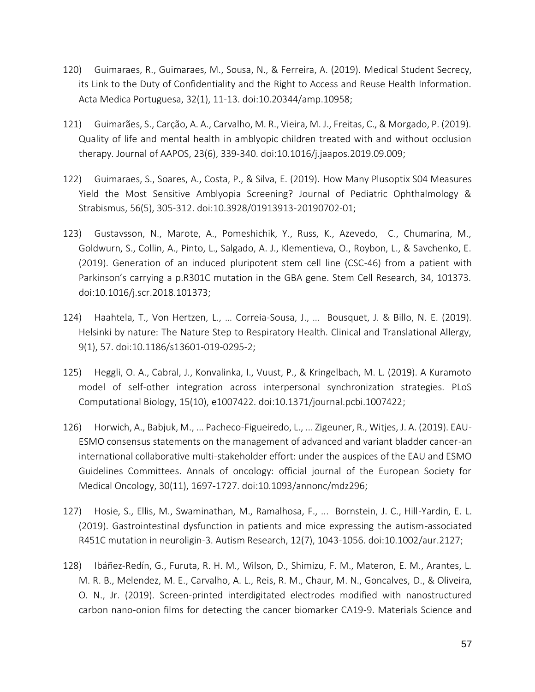- 120) Guimaraes, R., Guimaraes, M., Sousa, N., & Ferreira, A. (2019). Medical Student Secrecy, its Link to the Duty of Confidentiality and the Right to Access and Reuse Health Information. Acta Medica Portuguesa, 32(1), 11-13. doi:10.20344/amp.10958;
- 121) Guimarães, S., Carção, A. A., Carvalho, M. R., Vieira, M. J., Freitas, C., & Morgado, P. (2019). Quality of life and mental health in amblyopic children treated with and without occlusion therapy. Journal of AAPOS, 23(6), 339-340. doi:10.1016/j.jaapos.2019.09.009;
- 122) Guimaraes, S., Soares, A., Costa, P., & Silva, E. (2019). How Many Plusoptix S04 Measures Yield the Most Sensitive Amblyopia Screening? Journal of Pediatric Ophthalmology & Strabismus, 56(5), 305-312. doi:10.3928/01913913-20190702-01;
- 123) Gustavsson, N., Marote, A., Pomeshichik, Y., Russ, K., Azevedo, C., Chumarina, M., Goldwurn, S., Collin, A., Pinto, L., Salgado, A. J., Klementieva, O., Roybon, L., & Savchenko, E. (2019). Generation of an induced pluripotent stem cell line (CSC-46) from a patient with Parkinson's carrying a p.R301C mutation in the GBA gene. Stem Cell Research, 34, 101373. doi:10.1016/j.scr.2018.101373;
- 124) Haahtela, T., Von Hertzen, L., … Correia-Sousa, J., … Bousquet, J. & Billo, N. E. (2019). Helsinki by nature: The Nature Step to Respiratory Health. Clinical and Translational Allergy, 9(1), 57. doi:10.1186/s13601-019-0295-2;
- 125) Heggli, O. A., Cabral, J., Konvalinka, I., Vuust, P., & Kringelbach, M. L. (2019). A Kuramoto model of self-other integration across interpersonal synchronization strategies. PLoS Computational Biology, 15(10), e1007422. doi:10.1371/journal.pcbi.1007422;
- 126) Horwich, A., Babjuk, M., ... Pacheco-Figueiredo, L., ... Zigeuner, R., Witjes, J. A. (2019). EAU-ESMO consensus statements on the management of advanced and variant bladder cancer-an international collaborative multi-stakeholder effort: under the auspices of the EAU and ESMO Guidelines Committees. Annals of oncology: official journal of the European Society for Medical Oncology, 30(11), 1697-1727. doi:10.1093/annonc/mdz296;
- 127) Hosie, S., Ellis, M., Swaminathan, M., Ramalhosa, F., ... Bornstein, J. C., Hill-Yardin, E. L. (2019). Gastrointestinal dysfunction in patients and mice expressing the autism-associated R451C mutation in neuroligin-3. Autism Research, 12(7), 1043-1056. doi:10.1002/aur.2127;
- 128) Ibáñez-Redín, G., Furuta, R. H. M., Wilson, D., Shimizu, F. M., Materon, E. M., Arantes, L. M. R. B., Melendez, M. E., Carvalho, A. L., Reis, R. M., Chaur, M. N., Goncalves, D., & Oliveira, O. N., Jr. (2019). Screen-printed interdigitated electrodes modified with nanostructured carbon nano-onion films for detecting the cancer biomarker CA19-9. Materials Science and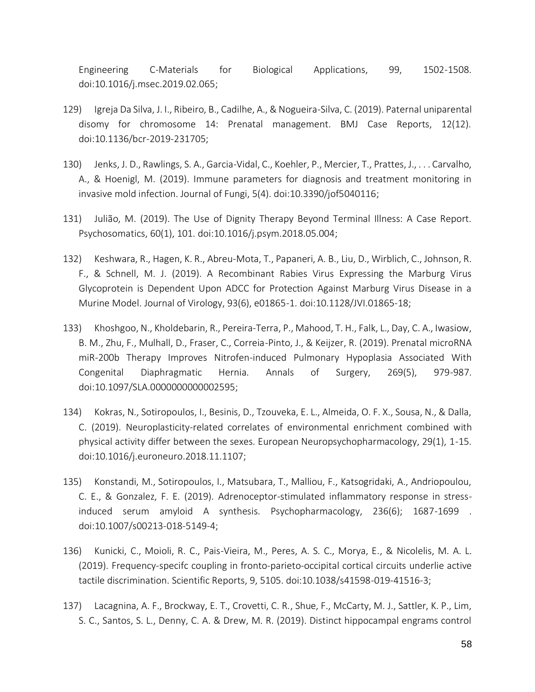Engineering C-Materials for Biological Applications, 99, 1502-1508. doi:10.1016/j.msec.2019.02.065;

- 129) Igreja Da Silva, J. I., Ribeiro, B., Cadilhe, A., & Nogueira-Silva, C. (2019). Paternal uniparental disomy for chromosome 14: Prenatal management. BMJ Case Reports, 12(12). doi:10.1136/bcr-2019-231705;
- 130) Jenks, J. D., Rawlings, S. A., Garcia-Vidal, C., Koehler, P., Mercier, T., Prattes, J., . . . Carvalho, A., & Hoenigl, M. (2019). Immune parameters for diagnosis and treatment monitoring in invasive mold infection. Journal of Fungi, 5(4). doi:10.3390/jof5040116;
- 131) Julião, M. (2019). The Use of Dignity Therapy Beyond Terminal Illness: A Case Report. Psychosomatics, 60(1), 101. doi:10.1016/j.psym.2018.05.004;
- 132) Keshwara, R., Hagen, K. R., Abreu-Mota, T., Papaneri, A. B., Liu, D., Wirblich, C., Johnson, R. F., & Schnell, M. J. (2019). A Recombinant Rabies Virus Expressing the Marburg Virus Glycoprotein is Dependent Upon ADCC for Protection Against Marburg Virus Disease in a Murine Model. Journal of Virology, 93(6), e01865-1. doi:10.1128/JVI.01865-18;
- 133) Khoshgoo, N., Kholdebarin, R., Pereira-Terra, P., Mahood, T. H., Falk, L., Day, C. A., Iwasiow, B. M., Zhu, F., Mulhall, D., Fraser, C., Correia-Pinto, J., & Keijzer, R. (2019). Prenatal microRNA miR-200b Therapy Improves Nitrofen-induced Pulmonary Hypoplasia Associated With Congenital Diaphragmatic Hernia. Annals of Surgery, 269(5), 979-987. doi:10.1097/SLA.0000000000002595;
- 134) Kokras, N., Sotiropoulos, I., Besinis, D., Tzouveka, E. L., Almeida, O. F. X., Sousa, N., & Dalla, C. (2019). Neuroplasticity-related correlates of environmental enrichment combined with physical activity differ between the sexes. European Neuropsychopharmacology, 29(1), 1-15. doi:10.1016/j.euroneuro.2018.11.1107;
- 135) Konstandi, M., Sotiropoulos, I., Matsubara, T., Malliou, F., Katsogridaki, A., Andriopoulou, C. E., & Gonzalez, F. E. (2019). Adrenoceptor-stimulated inflammatory response in stressinduced serum amyloid A synthesis. Psychopharmacology, 236(6); 1687-1699 . doi:10.1007/s00213-018-5149-4;
- 136) Kunicki, C., Moioli, R. C., Pais-Vieira, M., Peres, A. S. C., Morya, E., & Nicolelis, M. A. L. (2019). Frequency-specifc coupling in fronto-parieto-occipital cortical circuits underlie active tactile discrimination. Scientific Reports, 9, 5105. doi:10.1038/s41598-019-41516-3;
- 137) Lacagnina, A. F., Brockway, E. T., Crovetti, C. R., Shue, F., McCarty, M. J., Sattler, K. P., Lim, S. C., Santos, S. L., Denny, C. A. & Drew, M. R. (2019). Distinct hippocampal engrams control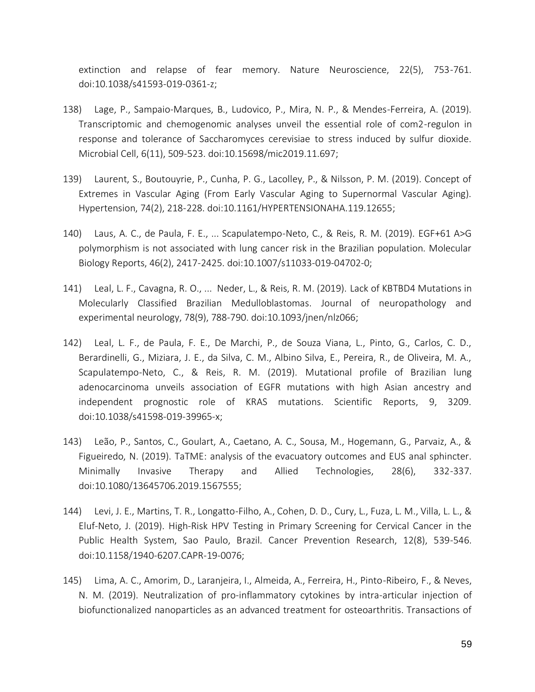extinction and relapse of fear memory. Nature Neuroscience, 22(5), 753-761. doi:10.1038/s41593-019-0361-z;

- 138) Lage, P., Sampaio-Marques, B., Ludovico, P., Mira, N. P., & Mendes-Ferreira, A. (2019). Transcriptomic and chemogenomic analyses unveil the essential role of com2-regulon in response and tolerance of Saccharomyces cerevisiae to stress induced by sulfur dioxide. Microbial Cell, 6(11), 509-523. doi:10.15698/mic2019.11.697;
- 139) Laurent, S., Boutouyrie, P., Cunha, P. G., Lacolley, P., & Nilsson, P. M. (2019). Concept of Extremes in Vascular Aging (From Early Vascular Aging to Supernormal Vascular Aging). Hypertension, 74(2), 218-228. doi:10.1161/HYPERTENSIONAHA.119.12655;
- 140) Laus, A. C., de Paula, F. E., ... Scapulatempo-Neto, C., & Reis, R. M. (2019). EGF+61 A>G polymorphism is not associated with lung cancer risk in the Brazilian population. Molecular Biology Reports, 46(2), 2417-2425. doi:10.1007/s11033-019-04702-0;
- 141) Leal, L. F., Cavagna, R. O., ... Neder, L., & Reis, R. M. (2019). Lack of KBTBD4 Mutations in Molecularly Classified Brazilian Medulloblastomas. Journal of neuropathology and experimental neurology, 78(9), 788-790. doi:10.1093/jnen/nlz066;
- 142) Leal, L. F., de Paula, F. E., De Marchi, P., de Souza Viana, L., Pinto, G., Carlos, C. D., Berardinelli, G., Miziara, J. E., da Silva, C. M., Albino Silva, E., Pereira, R., de Oliveira, M. A., Scapulatempo-Neto, C., & Reis, R. M. (2019). Mutational profile of Brazilian lung adenocarcinoma unveils association of EGFR mutations with high Asian ancestry and independent prognostic role of KRAS mutations. Scientific Reports, 9, 3209. doi:10.1038/s41598-019-39965-x;
- 143) Leão, P., Santos, C., Goulart, A., Caetano, A. C., Sousa, M., Hogemann, G., Parvaiz, A., & Figueiredo, N. (2019). TaTME: analysis of the evacuatory outcomes and EUS anal sphincter. Minimally Invasive Therapy and Allied Technologies, 28(6), 332-337. doi:10.1080/13645706.2019.1567555;
- 144) Levi, J. E., Martins, T. R., Longatto-Filho, A., Cohen, D. D., Cury, L., Fuza, L. M., Villa, L. L., & Eluf-Neto, J. (2019). High-Risk HPV Testing in Primary Screening for Cervical Cancer in the Public Health System, Sao Paulo, Brazil. Cancer Prevention Research, 12(8), 539-546. doi:10.1158/1940-6207.CAPR-19-0076;
- 145) Lima, A. C., Amorim, D., Laranjeira, I., Almeida, A., Ferreira, H., Pinto-Ribeiro, F., & Neves, N. M. (2019). Neutralization of pro-inflammatory cytokines by intra-articular injection of biofunctionalized nanoparticles as an advanced treatment for osteoarthritis. Transactions of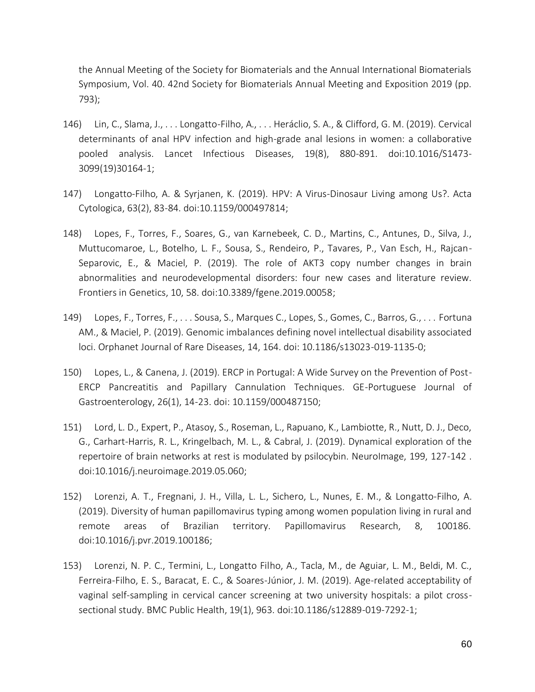the Annual Meeting of the Society for Biomaterials and the Annual International Biomaterials Symposium, Vol. 40. 42nd Society for Biomaterials Annual Meeting and Exposition 2019 (pp. 793);

- 146) Lin, C., Slama, J., . . . Longatto-Filho, A., . . . Heráclio, S. A., & Clifford, G. M. (2019). Cervical determinants of anal HPV infection and high-grade anal lesions in women: a collaborative pooled analysis. Lancet Infectious Diseases, 19(8), 880-891. doi:10.1016/S1473- 3099(19)30164-1;
- 147) Longatto-Filho, A. & Syrjanen, K. (2019). HPV: A Virus-Dinosaur Living among Us?. Acta Cytologica, 63(2), 83-84. doi:10.1159/000497814;
- 148) Lopes, F., Torres, F., Soares, G., van Karnebeek, C. D., Martins, C., Antunes, D., Silva, J., Muttucomaroe, L., Botelho, L. F., Sousa, S., Rendeiro, P., Tavares, P., Van Esch, H., Rajcan-Separovic, E., & Maciel, P. (2019). The role of AKT3 copy number changes in brain abnormalities and neurodevelopmental disorders: four new cases and literature review. Frontiers in Genetics, 10, 58. doi:10.3389/fgene.2019.00058;
- 149) Lopes, F., Torres, F., . . . Sousa, S., Marques C., Lopes, S., Gomes, C., Barros, G., . . . Fortuna AM., & Maciel, P. (2019). Genomic imbalances defining novel intellectual disability associated loci. Orphanet Journal of Rare Diseases, 14, 164. doi: 10.1186/s13023-019-1135-0;
- 150) Lopes, L., & Canena, J. (2019). ERCP in Portugal: A Wide Survey on the Prevention of Post-ERCP Pancreatitis and Papillary Cannulation Techniques. GE-Portuguese Journal of Gastroenterology, 26(1), 14-23. doi: 10.1159/000487150;
- 151) Lord, L. D., Expert, P., Atasoy, S., Roseman, L., Rapuano, K., Lambiotte, R., Nutt, D. J., Deco, G., Carhart-Harris, R. L., Kringelbach, M. L., & Cabral, J. (2019). Dynamical exploration of the repertoire of brain networks at rest is modulated by psilocybin. NeuroImage, 199, 127-142 . doi:10.1016/j.neuroimage.2019.05.060;
- 152) Lorenzi, A. T., Fregnani, J. H., Villa, L. L., Sichero, L., Nunes, E. M., & Longatto-Filho, A. (2019). Diversity of human papillomavirus typing among women population living in rural and remote areas of Brazilian territory. Papillomavirus Research, 8, 100186. doi:10.1016/j.pvr.2019.100186;
- 153) Lorenzi, N. P. C., Termini, L., Longatto Filho, A., Tacla, M., de Aguiar, L. M., Beldi, M. C., Ferreira-Filho, E. S., Baracat, E. C., & Soares-Júnior, J. M. (2019). Age-related acceptability of vaginal self-sampling in cervical cancer screening at two university hospitals: a pilot crosssectional study. BMC Public Health, 19(1), 963. doi:10.1186/s12889-019-7292-1;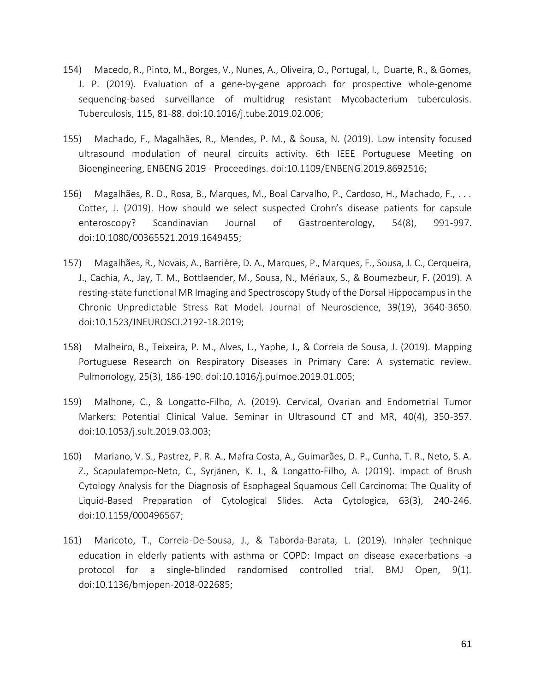- 154) Macedo, R., Pinto, M., Borges, V., Nunes, A., Oliveira, O., Portugal, I., Duarte, R., & Gomes, J. P. (2019). Evaluation of a gene-by-gene approach for prospective whole-genome sequencing-based surveillance of multidrug resistant Mycobacterium tuberculosis. Tuberculosis, 115, 81-88. doi:10.1016/j.tube.2019.02.006;
- 155) Machado, F., Magalhães, R., Mendes, P. M., & Sousa, N. (2019). Low intensity focused ultrasound modulation of neural circuits activity. 6th IEEE Portuguese Meeting on Bioengineering, ENBENG 2019 - Proceedings. doi:10.1109/ENBENG.2019.8692516;
- 156) Magalhães, R. D., Rosa, B., Marques, M., Boal Carvalho, P., Cardoso, H., Machado, F., . . . Cotter, J. (2019). How should we select suspected Crohn's disease patients for capsule enteroscopy? Scandinavian Journal of Gastroenterology, 54(8), 991-997. doi:10.1080/00365521.2019.1649455;
- 157) Magalhães, R., Novais, A., Barrière, D. A., Marques, P., Marques, F., Sousa, J. C., Cerqueira, J., Cachia, A., Jay, T. M., Bottlaender, M., Sousa, N., Mériaux, S., & Boumezbeur, F. (2019). A resting-state functional MR Imaging and Spectroscopy Study of the Dorsal Hippocampus in the Chronic Unpredictable Stress Rat Model. Journal of Neuroscience, 39(19), 3640-3650. doi:10.1523/JNEUROSCI.2192-18.2019;
- 158) Malheiro, B., Teixeira, P. M., Alves, L., Yaphe, J., & Correia de Sousa, J. (2019). Mapping Portuguese Research on Respiratory Diseases in Primary Care: A systematic review. Pulmonology, 25(3), 186-190. doi:10.1016/j.pulmoe.2019.01.005;
- 159) Malhone, C., & Longatto-Filho, A. (2019). Cervical, Ovarian and Endometrial Tumor Markers: Potential Clinical Value. Seminar in Ultrasound CT and MR, 40(4), 350-357. doi:10.1053/j.sult.2019.03.003;
- 160) Mariano, V. S., Pastrez, P. R. A., Mafra Costa, A., Guimarães, D. P., Cunha, T. R., Neto, S. A. Z., Scapulatempo-Neto, C., Syrjänen, K. J., & Longatto-Filho, A. (2019). Impact of Brush Cytology Analysis for the Diagnosis of Esophageal Squamous Cell Carcinoma: The Quality of Liquid-Based Preparation of Cytological Slides. Acta Cytologica, 63(3), 240-246. doi:10.1159/000496567;
- 161) Maricoto, T., Correia-De-Sousa, J., & Taborda-Barata, L. (2019). Inhaler technique education in elderly patients with asthma or COPD: Impact on disease exacerbations -a protocol for a single-blinded randomised controlled trial. BMJ Open, 9(1). doi:10.1136/bmjopen-2018-022685;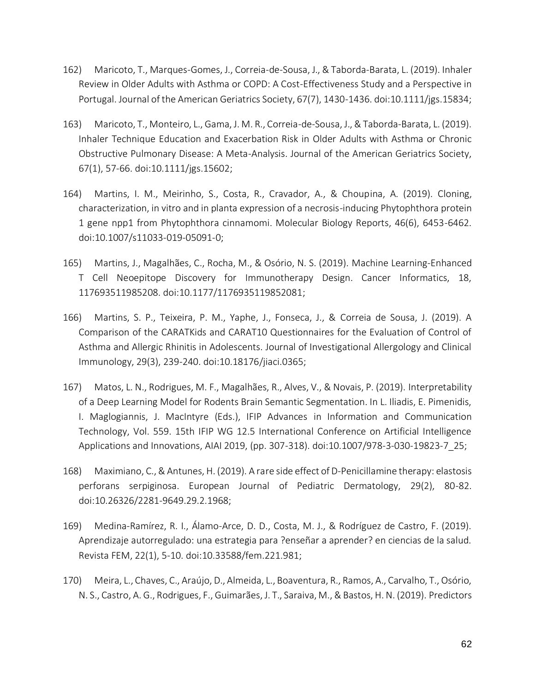- 162) Maricoto, T., Marques-Gomes, J., Correia-de-Sousa, J., & Taborda-Barata, L. (2019). Inhaler Review in Older Adults with Asthma or COPD: A Cost-Effectiveness Study and a Perspective in Portugal. Journal of the American Geriatrics Society, 67(7), 1430-1436. doi:10.1111/jgs.15834;
- 163) Maricoto, T., Monteiro, L., Gama, J. M. R., Correia-de-Sousa, J., & Taborda-Barata, L. (2019). Inhaler Technique Education and Exacerbation Risk in Older Adults with Asthma or Chronic Obstructive Pulmonary Disease: A Meta-Analysis. Journal of the American Geriatrics Society, 67(1), 57-66. doi:10.1111/jgs.15602;
- 164) Martins, I. M., Meirinho, S., Costa, R., Cravador, A., & Choupina, A. (2019). Cloning, characterization, in vitro and in planta expression of a necrosis-inducing Phytophthora protein 1 gene npp1 from Phytophthora cinnamomi. Molecular Biology Reports, 46(6), 6453-6462. doi:10.1007/s11033-019-05091-0;
- 165) Martins, J., Magalhães, C., Rocha, M., & Osório, N. S. (2019). Machine Learning-Enhanced T Cell Neoepitope Discovery for Immunotherapy Design. Cancer Informatics, 18, 117693511985208. doi:10.1177/1176935119852081;
- 166) Martins, S. P., Teixeira, P. M., Yaphe, J., Fonseca, J., & Correia de Sousa, J. (2019). A Comparison of the CARATKids and CARAT10 Questionnaires for the Evaluation of Control of Asthma and Allergic Rhinitis in Adolescents. Journal of Investigational Allergology and Clinical Immunology, 29(3), 239-240. doi:10.18176/jiaci.0365;
- 167) Matos, L. N., Rodrigues, M. F., Magalhães, R., Alves, V., & Novais, P. (2019). Interpretability of a Deep Learning Model for Rodents Brain Semantic Segmentation. In L. Iliadis, E. Pimenidis, I. Maglogiannis, J. MacIntyre (Eds.), IFIP Advances in Information and Communication Technology, Vol. 559. 15th IFIP WG 12.5 International Conference on Artificial Intelligence Applications and Innovations, AIAI 2019, (pp. 307-318). doi:10.1007/978-3-030-19823-7\_25;
- 168) Maximiano, C., & Antunes, H. (2019). A rare side effect of D-Penicillamine therapy: elastosis perforans serpiginosa. European Journal of Pediatric Dermatology, 29(2), 80-82. doi:10.26326/2281-9649.29.2.1968;
- 169) Medina-Ramírez, R. I., Álamo-Arce, D. D., Costa, M. J., & Rodríguez de Castro, F. (2019). Aprendizaje autorregulado: una estrategia para ?enseñar a aprender? en ciencias de la salud. Revista FEM, 22(1), 5-10. doi:10.33588/fem.221.981;
- 170) Meira, L., Chaves, C., Araújo, D., Almeida, L., Boaventura, R., Ramos, A., Carvalho, T., Osório, N. S., Castro, A. G., Rodrigues, F., Guimarães, J. T., Saraiva, M., & Bastos, H. N. (2019). Predictors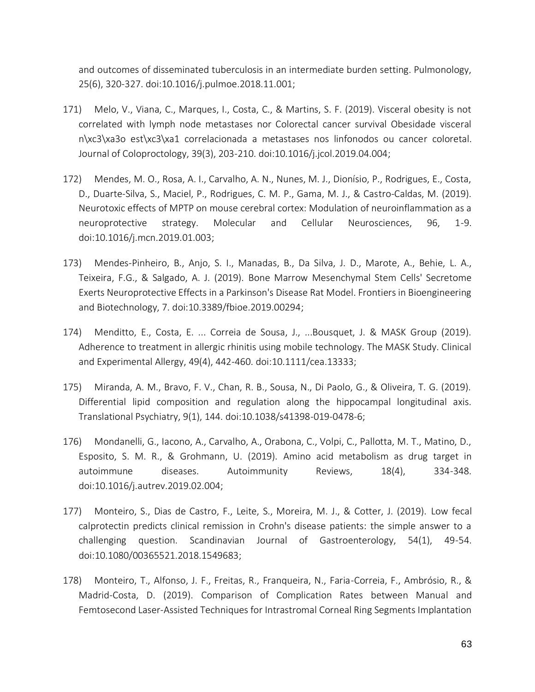and outcomes of disseminated tuberculosis in an intermediate burden setting. Pulmonology, 25(6), 320-327. doi:10.1016/j.pulmoe.2018.11.001;

- 171) Melo, V., Viana, C., Marques, I., Costa, C., & Martins, S. F. (2019). Visceral obesity is not correlated with lymph node metastases nor Colorectal cancer survival Obesidade visceral n\xc3\xa3o est\xc3\xa1 correlacionada a metastases nos linfonodos ou cancer coloretal. Journal of Coloproctology, 39(3), 203-210. doi:10.1016/j.jcol.2019.04.004;
- 172) Mendes, M. O., Rosa, A. I., Carvalho, A. N., Nunes, M. J., Dionísio, P., Rodrigues, E., Costa, D., Duarte-Silva, S., Maciel, P., Rodrigues, C. M. P., Gama, M. J., & Castro-Caldas, M. (2019). Neurotoxic effects of MPTP on mouse cerebral cortex: Modulation of neuroinflammation as a neuroprotective strategy. Molecular and Cellular Neurosciences, 96, 1-9. doi:10.1016/j.mcn.2019.01.003;
- 173) Mendes-Pinheiro, B., Anjo, S. I., Manadas, B., Da Silva, J. D., Marote, A., Behie, L. A., Teixeira, F.G., & Salgado, A. J. (2019). Bone Marrow Mesenchymal Stem Cells' Secretome Exerts Neuroprotective Effects in a Parkinson's Disease Rat Model. Frontiers in Bioengineering and Biotechnology, 7. doi:10.3389/fbioe.2019.00294;
- 174) Menditto, E., Costa, E. ... Correia de Sousa, J., ...Bousquet, J. & MASK Group (2019). Adherence to treatment in allergic rhinitis using mobile technology. The MASK Study. Clinical and Experimental Allergy, 49(4), 442-460. doi:10.1111/cea.13333;
- 175) Miranda, A. M., Bravo, F. V., Chan, R. B., Sousa, N., Di Paolo, G., & Oliveira, T. G. (2019). Differential lipid composition and regulation along the hippocampal longitudinal axis. Translational Psychiatry, 9(1), 144. doi:10.1038/s41398-019-0478-6;
- 176) Mondanelli, G., Iacono, A., Carvalho, A., Orabona, C., Volpi, C., Pallotta, M. T., Matino, D., Esposito, S. M. R., & Grohmann, U. (2019). Amino acid metabolism as drug target in autoimmune diseases. Autoimmunity Reviews, 18(4), 334-348. doi:10.1016/j.autrev.2019.02.004;
- 177) Monteiro, S., Dias de Castro, F., Leite, S., Moreira, M. J., & Cotter, J. (2019). Low fecal calprotectin predicts clinical remission in Crohn's disease patients: the simple answer to a challenging question. Scandinavian Journal of Gastroenterology, 54(1), 49-54. doi:10.1080/00365521.2018.1549683;
- 178) Monteiro, T., Alfonso, J. F., Freitas, R., Franqueira, N., Faria-Correia, F., Ambrósio, R., & Madrid-Costa, D. (2019). Comparison of Complication Rates between Manual and Femtosecond Laser-Assisted Techniques for Intrastromal Corneal Ring Segments Implantation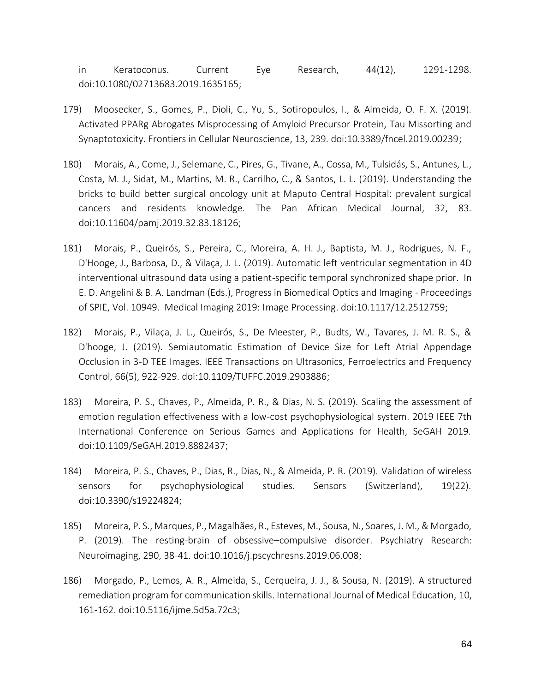in Keratoconus. Current Eye Research, 44(12), 1291-1298. doi:10.1080/02713683.2019.1635165;

- 179) Moosecker, S., Gomes, P., Dioli, C., Yu, S., Sotiropoulos, I., & Almeida, O. F. X. (2019). Activated PPARg Abrogates Misprocessing of Amyloid Precursor Protein, Tau Missorting and Synaptotoxicity. Frontiers in Cellular Neuroscience, 13, 239. doi:10.3389/fncel.2019.00239;
- 180) Morais, A., Come, J., Selemane, C., Pires, G., Tivane, A., Cossa, M., Tulsidás, S., Antunes, L., Costa, M. J., Sidat, M., Martins, M. R., Carrilho, C., & Santos, L. L. (2019). Understanding the bricks to build better surgical oncology unit at Maputo Central Hospital: prevalent surgical cancers and residents knowledge. The Pan African Medical Journal, 32, 83. doi:10.11604/pamj.2019.32.83.18126;
- 181) Morais, P., Queirós, S., Pereira, C., Moreira, A. H. J., Baptista, M. J., Rodrigues, N. F., D'Hooge, J., Barbosa, D., & Vilaça, J. L. (2019). Automatic left ventricular segmentation in 4D interventional ultrasound data using a patient-specific temporal synchronized shape prior. In E. D. Angelini & B. A. Landman (Eds.), Progress in Biomedical Optics and Imaging - Proceedings of SPIE, Vol. 10949. Medical Imaging 2019: Image Processing. doi:10.1117/12.2512759;
- 182) Morais, P., Vilaça, J. L., Queirós, S., De Meester, P., Budts, W., Tavares, J. M. R. S., & D'hooge, J. (2019). Semiautomatic Estimation of Device Size for Left Atrial Appendage Occlusion in 3-D TEE Images. IEEE Transactions on Ultrasonics, Ferroelectrics and Frequency Control, 66(5), 922-929. doi:10.1109/TUFFC.2019.2903886;
- 183) Moreira, P. S., Chaves, P., Almeida, P. R., & Dias, N. S. (2019). Scaling the assessment of emotion regulation effectiveness with a low-cost psychophysiological system. 2019 IEEE 7th International Conference on Serious Games and Applications for Health, SeGAH 2019. doi:10.1109/SeGAH.2019.8882437;
- 184) Moreira, P. S., Chaves, P., Dias, R., Dias, N., & Almeida, P. R. (2019). Validation of wireless sensors for psychophysiological studies. Sensors (Switzerland), 19(22). doi:10.3390/s19224824;
- 185) Moreira, P. S., Marques, P., Magalhães, R., Esteves, M., Sousa, N., Soares, J. M., & Morgado, P. (2019). The resting-brain of obsessive–compulsive disorder. Psychiatry Research: Neuroimaging, 290, 38-41. doi:10.1016/j.pscychresns.2019.06.008;
- 186) Morgado, P., Lemos, A. R., Almeida, S., Cerqueira, J. J., & Sousa, N. (2019). A structured remediation program for communication skills. International Journal of Medical Education, 10, 161-162. doi:10.5116/ijme.5d5a.72c3;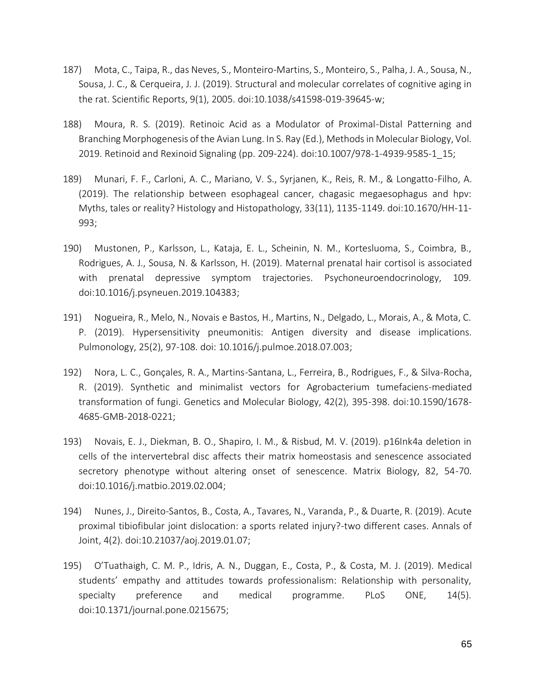- 187) Mota, C., Taipa, R., das Neves, S., Monteiro-Martins, S., Monteiro, S., Palha, J. A., Sousa, N., Sousa, J. C., & Cerqueira, J. J. (2019). Structural and molecular correlates of cognitive aging in the rat. Scientific Reports, 9(1), 2005. doi:10.1038/s41598-019-39645-w;
- 188) Moura, R. S. (2019). Retinoic Acid as a Modulator of Proximal-Distal Patterning and Branching Morphogenesis of the Avian Lung. In S. Ray (Ed.), Methods in Molecular Biology, Vol. 2019. Retinoid and Rexinoid Signaling (pp. 209-224). doi:10.1007/978-1-4939-9585-1\_15;
- 189) Munari, F. F., Carloni, A. C., Mariano, V. S., Syrjanen, K., Reis, R. M., & Longatto-Filho, A. (2019). The relationship between esophageal cancer, chagasic megaesophagus and hpv: Myths, tales or reality? Histology and Histopathology, 33(11), 1135-1149. doi:10.1670/HH-11- 993;
- 190) Mustonen, P., Karlsson, L., Kataja, E. L., Scheinin, N. M., Kortesluoma, S., Coimbra, B., Rodrigues, A. J., Sousa, N. & Karlsson, H. (2019). Maternal prenatal hair cortisol is associated with prenatal depressive symptom trajectories. Psychoneuroendocrinology, 109. doi:10.1016/j.psyneuen.2019.104383;
- 191) Nogueira, R., Melo, N., Novais e Bastos, H., Martins, N., Delgado, L., Morais, A., & Mota, C. P. (2019). Hypersensitivity pneumonitis: Antigen diversity and disease implications. Pulmonology, 25(2), 97-108. doi: 10.1016/j.pulmoe.2018.07.003;
- 192) Nora, L. C., Gonçales, R. A., Martins-Santana, L., Ferreira, B., Rodrigues, F., & Silva-Rocha, R. (2019). Synthetic and minimalist vectors for Agrobacterium tumefaciens-mediated transformation of fungi. Genetics and Molecular Biology, 42(2), 395-398. doi:10.1590/1678- 4685-GMB-2018-0221;
- 193) Novais, E. J., Diekman, B. O., Shapiro, I. M., & Risbud, M. V. (2019). p16Ink4a deletion in cells of the intervertebral disc affects their matrix homeostasis and senescence associated secretory phenotype without altering onset of senescence. Matrix Biology, 82, 54-70. doi:10.1016/j.matbio.2019.02.004;
- 194) Nunes, J., Direito-Santos, B., Costa, A., Tavares, N., Varanda, P., & Duarte, R. (2019). Acute proximal tibiofibular joint dislocation: a sports related injury?-two different cases. Annals of Joint, 4(2). doi:10.21037/aoj.2019.01.07;
- 195) O'Tuathaigh, C. M. P., Idris, A. N., Duggan, E., Costa, P., & Costa, M. J. (2019). Medical students' empathy and attitudes towards professionalism: Relationship with personality, specialty preference and medical programme. PLoS ONE, 14(5). doi:10.1371/journal.pone.0215675;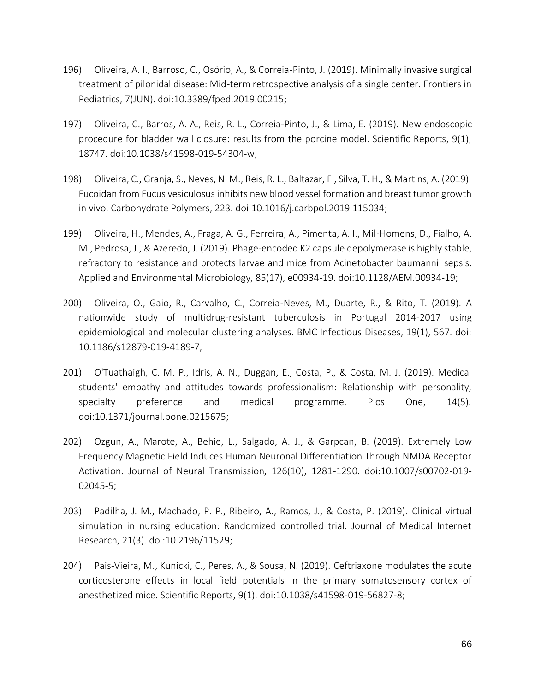- 196) Oliveira, A. I., Barroso, C., Osório, A., & Correia-Pinto, J. (2019). Minimally invasive surgical treatment of pilonidal disease: Mid-term retrospective analysis of a single center. Frontiers in Pediatrics, 7(JUN). doi:10.3389/fped.2019.00215;
- 197) Oliveira, C., Barros, A. A., Reis, R. L., Correia-Pinto, J., & Lima, E. (2019). New endoscopic procedure for bladder wall closure: results from the porcine model. Scientific Reports, 9(1), 18747. doi:10.1038/s41598-019-54304-w;
- 198) Oliveira, C., Granja, S., Neves, N. M., Reis, R. L., Baltazar, F., Silva, T. H., & Martins, A. (2019). Fucoidan from Fucus vesiculosus inhibits new blood vessel formation and breast tumor growth in vivo. Carbohydrate Polymers, 223. doi:10.1016/j.carbpol.2019.115034;
- 199) Oliveira, H., Mendes, A., Fraga, A. G., Ferreira, A., Pimenta, A. I., Mil-Homens, D., Fialho, A. M., Pedrosa, J., & Azeredo, J. (2019). Phage-encoded K2 capsule depolymerase is highly stable, refractory to resistance and protects larvae and mice from Acinetobacter baumannii sepsis. Applied and Environmental Microbiology, 85(17), e00934-19. doi:10.1128/AEM.00934-19;
- 200) Oliveira, O., Gaio, R., Carvalho, C., Correia-Neves, M., Duarte, R., & Rito, T. (2019). A nationwide study of multidrug-resistant tuberculosis in Portugal 2014-2017 using epidemiological and molecular clustering analyses. BMC Infectious Diseases, 19(1), 567. doi: 10.1186/s12879-019-4189-7;
- 201) O'Tuathaigh, C. M. P., Idris, A. N., Duggan, E., Costa, P., & Costa, M. J. (2019). Medical students' empathy and attitudes towards professionalism: Relationship with personality, specialty preference and medical programme. Plos One, 14(5). doi:10.1371/journal.pone.0215675;
- 202) Ozgun, A., Marote, A., Behie, L., Salgado, A. J., & Garpcan, B. (2019). Extremely Low Frequency Magnetic Field Induces Human Neuronal Differentiation Through NMDA Receptor Activation. Journal of Neural Transmission, 126(10), 1281-1290. doi:10.1007/s00702-019- 02045-5;
- 203) Padilha, J. M., Machado, P. P., Ribeiro, A., Ramos, J., & Costa, P. (2019). Clinical virtual simulation in nursing education: Randomized controlled trial. Journal of Medical Internet Research, 21(3). doi:10.2196/11529;
- 204) Pais-Vieira, M., Kunicki, C., Peres, A., & Sousa, N. (2019). Ceftriaxone modulates the acute corticosterone effects in local field potentials in the primary somatosensory cortex of anesthetized mice. Scientific Reports, 9(1). doi:10.1038/s41598-019-56827-8;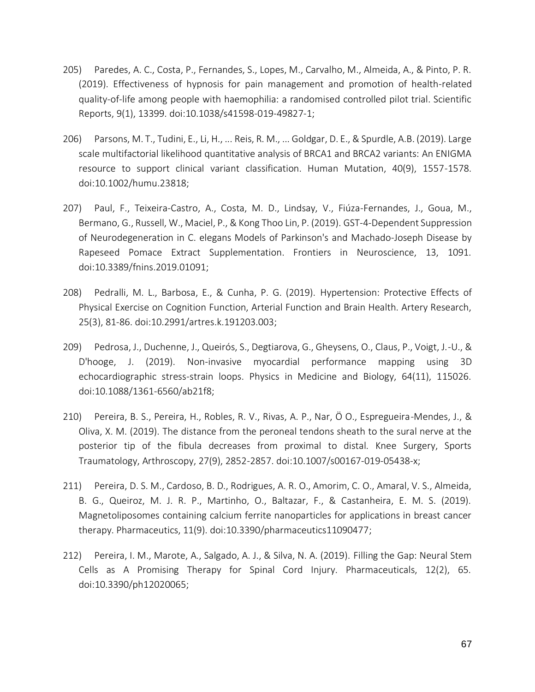- 205) Paredes, A. C., Costa, P., Fernandes, S., Lopes, M., Carvalho, M., Almeida, A., & Pinto, P. R. (2019). Effectiveness of hypnosis for pain management and promotion of health-related quality-of-life among people with haemophilia: a randomised controlled pilot trial. Scientific Reports, 9(1), 13399. doi:10.1038/s41598-019-49827-1;
- 206) Parsons, M. T., Tudini, E., Li, H., ... Reis, R. M., ... Goldgar, D. E., & Spurdle, A.B. (2019). Large scale multifactorial likelihood quantitative analysis of BRCA1 and BRCA2 variants: An ENIGMA resource to support clinical variant classification. Human Mutation, 40(9), 1557-1578. doi:10.1002/humu.23818;
- 207) Paul, F., Teixeira-Castro, A., Costa, M. D., Lindsay, V., Fiúza-Fernandes, J., Goua, M., Bermano, G., Russell, W., Maciel, P., & Kong Thoo Lin, P. (2019). GST-4-Dependent Suppression of Neurodegeneration in C. elegans Models of Parkinson's and Machado-Joseph Disease by Rapeseed Pomace Extract Supplementation. Frontiers in Neuroscience, 13, 1091. doi:10.3389/fnins.2019.01091;
- 208) Pedralli, M. L., Barbosa, E., & Cunha, P. G. (2019). Hypertension: Protective Effects of Physical Exercise on Cognition Function, Arterial Function and Brain Health. Artery Research, 25(3), 81-86. doi:10.2991/artres.k.191203.003;
- 209) Pedrosa, J., Duchenne, J., Queirós, S., Degtiarova, G., Gheysens, O., Claus, P., Voigt, J.-U., & D'hooge, J. (2019). Non-invasive myocardial performance mapping using 3D echocardiographic stress-strain loops. Physics in Medicine and Biology, 64(11), 115026. doi:10.1088/1361-6560/ab21f8;
- 210) Pereira, B. S., Pereira, H., Robles, R. V., Rivas, A. P., Nar, Ö O., Espregueira-Mendes, J., & Oliva, X. M. (2019). The distance from the peroneal tendons sheath to the sural nerve at the posterior tip of the fibula decreases from proximal to distal. Knee Surgery, Sports Traumatology, Arthroscopy, 27(9), 2852-2857. doi:10.1007/s00167-019-05438-x;
- 211) Pereira, D. S. M., Cardoso, B. D., Rodrigues, A. R. O., Amorim, C. O., Amaral, V. S., Almeida, B. G., Queiroz, M. J. R. P., Martinho, O., Baltazar, F., & Castanheira, E. M. S. (2019). Magnetoliposomes containing calcium ferrite nanoparticles for applications in breast cancer therapy. Pharmaceutics, 11(9). doi:10.3390/pharmaceutics11090477;
- 212) Pereira, I. M., Marote, A., Salgado, A. J., & Silva, N. A. (2019). Filling the Gap: Neural Stem Cells as A Promising Therapy for Spinal Cord Injury. Pharmaceuticals, 12(2), 65. doi:10.3390/ph12020065;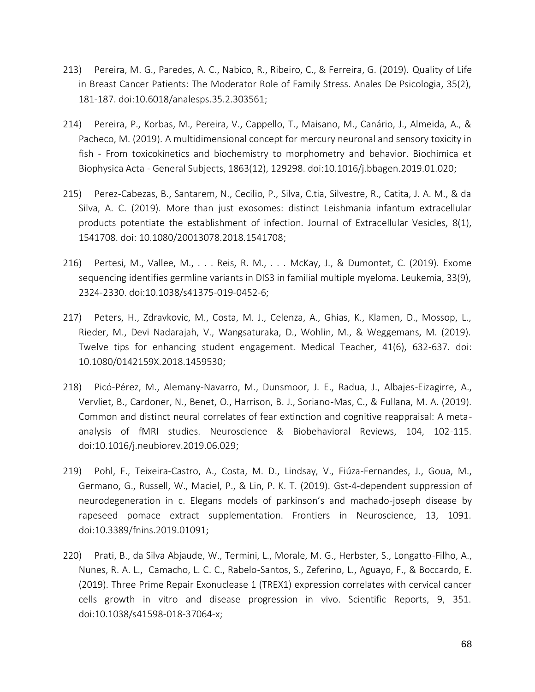- 213) Pereira, M. G., Paredes, A. C., Nabico, R., Ribeiro, C., & Ferreira, G. (2019). Quality of Life in Breast Cancer Patients: The Moderator Role of Family Stress. Anales De Psicologia, 35(2), 181-187. doi:10.6018/analesps.35.2.303561;
- 214) Pereira, P., Korbas, M., Pereira, V., Cappello, T., Maisano, M., Canário, J., Almeida, A., & Pacheco, M. (2019). A multidimensional concept for mercury neuronal and sensory toxicity in fish - From toxicokinetics and biochemistry to morphometry and behavior. Biochimica et Biophysica Acta - General Subjects, 1863(12), 129298. doi:10.1016/j.bbagen.2019.01.020;
- 215) Perez-Cabezas, B., Santarem, N., Cecilio, P., Silva, C.tia, Silvestre, R., Catita, J. A. M., & da Silva, A. C. (2019). More than just exosomes: distinct Leishmania infantum extracellular products potentiate the establishment of infection. Journal of Extracellular Vesicles, 8(1), 1541708. doi: 10.1080/20013078.2018.1541708;
- 216) Pertesi, M., Vallee, M., . . . Reis, R. M., . . . McKay, J., & Dumontet, C. (2019). Exome sequencing identifies germline variants in DIS3 in familial multiple myeloma. Leukemia, 33(9), 2324-2330. doi:10.1038/s41375-019-0452-6;
- 217) Peters, H., Zdravkovic, M., Costa, M. J., Celenza, A., Ghias, K., Klamen, D., Mossop, L., Rieder, M., Devi Nadarajah, V., Wangsaturaka, D., Wohlin, M., & Weggemans, M. (2019). Twelve tips for enhancing student engagement. Medical Teacher, 41(6), 632-637. doi: 10.1080/0142159X.2018.1459530;
- 218) Picó-Pérez, M., Alemany-Navarro, M., Dunsmoor, J. E., Radua, J., Albajes-Eizagirre, A., Vervliet, B., Cardoner, N., Benet, O., Harrison, B. J., Soriano-Mas, C., & Fullana, M. A. (2019). Common and distinct neural correlates of fear extinction and cognitive reappraisal: A metaanalysis of fMRI studies. Neuroscience & Biobehavioral Reviews, 104, 102-115. doi:10.1016/j.neubiorev.2019.06.029;
- 219) Pohl, F., Teixeira-Castro, A., Costa, M. D., Lindsay, V., Fiúza-Fernandes, J., Goua, M., Germano, G., Russell, W., Maciel, P., & Lin, P. K. T. (2019). Gst-4-dependent suppression of neurodegeneration in c. Elegans models of parkinson's and machado-joseph disease by rapeseed pomace extract supplementation. Frontiers in Neuroscience, 13, 1091. doi:10.3389/fnins.2019.01091;
- 220) Prati, B., da Silva Abjaude, W., Termini, L., Morale, M. G., Herbster, S., Longatto-Filho, A., Nunes, R. A. L., Camacho, L. C. C., Rabelo-Santos, S., Zeferino, L., Aguayo, F., & Boccardo, E. (2019). Three Prime Repair Exonuclease 1 (TREX1) expression correlates with cervical cancer cells growth in vitro and disease progression in vivo. Scientific Reports, 9, 351. doi:10.1038/s41598-018-37064-x;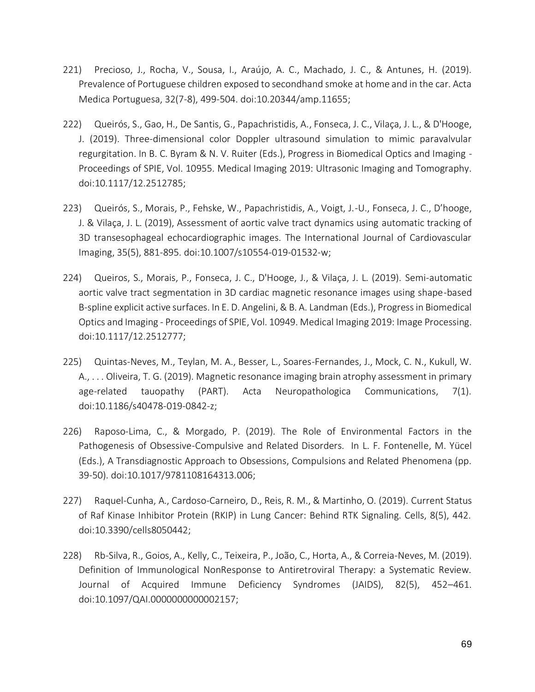- 221) Precioso, J., Rocha, V., Sousa, I., Araújo, A. C., Machado, J. C., & Antunes, H. (2019). Prevalence of Portuguese children exposed to secondhand smoke at home and in the car. Acta Medica Portuguesa, 32(7-8), 499-504. doi:10.20344/amp.11655;
- 222) Queirós, S., Gao, H., De Santis, G., Papachristidis, A., Fonseca, J. C., Vilaça, J. L., & D'Hooge, J. (2019). Three-dimensional color Doppler ultrasound simulation to mimic paravalvular regurgitation. In B. C. Byram & N. V. Ruiter (Eds.), Progress in Biomedical Optics and Imaging - Proceedings of SPIE, Vol. 10955. Medical Imaging 2019: Ultrasonic Imaging and Tomography. doi:10.1117/12.2512785;
- 223) Queirós, S., Morais, P., Fehske, W., Papachristidis, A., Voigt, J.-U., Fonseca, J. C., D'hooge, J. & Vilaça, J. L. (2019), Assessment of aortic valve tract dynamics using automatic tracking of 3D transesophageal echocardiographic images. The International Journal of Cardiovascular Imaging, 35(5), 881-895. doi:10.1007/s10554-019-01532-w;
- 224) Queiros, S., Morais, P., Fonseca, J. C., D'Hooge, J., & Vilaça, J. L. (2019). Semi-automatic aortic valve tract segmentation in 3D cardiac magnetic resonance images using shape-based B-spline explicit active surfaces. In E. D. Angelini, & B. A. Landman (Eds.), Progress in Biomedical Optics and Imaging - Proceedings of SPIE, Vol. 10949. Medical Imaging 2019: Image Processing. doi:10.1117/12.2512777;
- 225) Quintas-Neves, M., Teylan, M. A., Besser, L., Soares-Fernandes, J., Mock, C. N., Kukull, W. A., . . . Oliveira, T. G. (2019). Magnetic resonance imaging brain atrophy assessment in primary age-related tauopathy (PART). Acta Neuropathologica Communications, 7(1). doi:10.1186/s40478-019-0842-z;
- 226) Raposo-Lima, C., & Morgado, P. (2019). The Role of Environmental Factors in the Pathogenesis of Obsessive-Compulsive and Related Disorders. In L. F. Fontenelle, M. Yücel (Eds.), A Transdiagnostic Approach to Obsessions, Compulsions and Related Phenomena (pp. 39-50). doi:10.1017/9781108164313.006;
- 227) Raquel-Cunha, A., Cardoso-Carneiro, D., Reis, R. M., & Martinho, O. (2019). Current Status of Raf Kinase Inhibitor Protein (RKIP) in Lung Cancer: Behind RTK Signaling. Cells, 8(5), 442. doi:10.3390/cells8050442;
- 228) Rb-Silva, R., Goios, A., Kelly, C., Teixeira, P., João, C., Horta, A., & Correia-Neves, M. (2019). Definition of Immunological NonResponse to Antiretroviral Therapy: a Systematic Review. Journal of Acquired Immune Deficiency Syndromes (JAIDS), 82(5), 452–461. doi:10.1097/QAI.0000000000002157;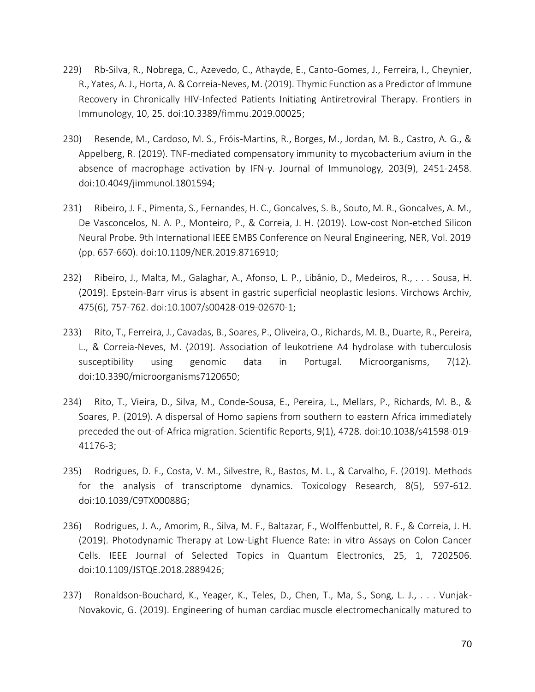- 229) Rb-Silva, R., Nobrega, C., Azevedo, C., Athayde, E., Canto-Gomes, J., Ferreira, I., Cheynier, R., Yates, A. J., Horta, A. & Correia-Neves, M. (2019). Thymic Function as a Predictor of Immune Recovery in Chronically HIV-Infected Patients Initiating Antiretroviral Therapy. Frontiers in Immunology, 10, 25. doi:10.3389/fimmu.2019.00025;
- 230) Resende, M., Cardoso, M. S., Fróis-Martins, R., Borges, M., Jordan, M. B., Castro, A. G., & Appelberg, R. (2019). TNF-mediated compensatory immunity to mycobacterium avium in the absence of macrophage activation by IFN-γ. Journal of Immunology, 203(9), 2451-2458. doi:10.4049/jimmunol.1801594;
- 231) Ribeiro, J. F., Pimenta, S., Fernandes, H. C., Goncalves, S. B., Souto, M. R., Goncalves, A. M., De Vasconcelos, N. A. P., Monteiro, P., & Correia, J. H. (2019). Low-cost Non-etched Silicon Neural Probe. 9th International IEEE EMBS Conference on Neural Engineering, NER, Vol. 2019 (pp. 657-660). doi:10.1109/NER.2019.8716910;
- 232) Ribeiro, J., Malta, M., Galaghar, A., Afonso, L. P., Libânio, D., Medeiros, R., . . . Sousa, H. (2019). Epstein-Barr virus is absent in gastric superficial neoplastic lesions. Virchows Archiv, 475(6), 757-762. doi:10.1007/s00428-019-02670-1;
- 233) Rito, T., Ferreira, J., Cavadas, B., Soares, P., Oliveira, O., Richards, M. B., Duarte, R., Pereira, L., & Correia-Neves, M. (2019). Association of leukotriene A4 hydrolase with tuberculosis susceptibility using genomic data in Portugal. Microorganisms, 7(12). doi:10.3390/microorganisms7120650;
- 234) Rito, T., Vieira, D., Silva, M., Conde-Sousa, E., Pereira, L., Mellars, P., Richards, M. B., & Soares, P. (2019). A dispersal of Homo sapiens from southern to eastern Africa immediately preceded the out-of-Africa migration. Scientific Reports, 9(1), 4728. doi:10.1038/s41598-019- 41176-3;
- 235) Rodrigues, D. F., Costa, V. M., Silvestre, R., Bastos, M. L., & Carvalho, F. (2019). Methods for the analysis of transcriptome dynamics. Toxicology Research, 8(5), 597-612. doi:10.1039/C9TX00088G;
- 236) Rodrigues, J. A., Amorim, R., Silva, M. F., Baltazar, F., Wolffenbuttel, R. F., & Correia, J. H. (2019). Photodynamic Therapy at Low-Light Fluence Rate: in vitro Assays on Colon Cancer Cells. IEEE Journal of Selected Topics in Quantum Electronics, 25, 1, 7202506. doi:10.1109/JSTQE.2018.2889426;
- 237) Ronaldson-Bouchard, K., Yeager, K., Teles, D., Chen, T., Ma, S., Song, L. J., . . . Vunjak-Novakovic, G. (2019). Engineering of human cardiac muscle electromechanically matured to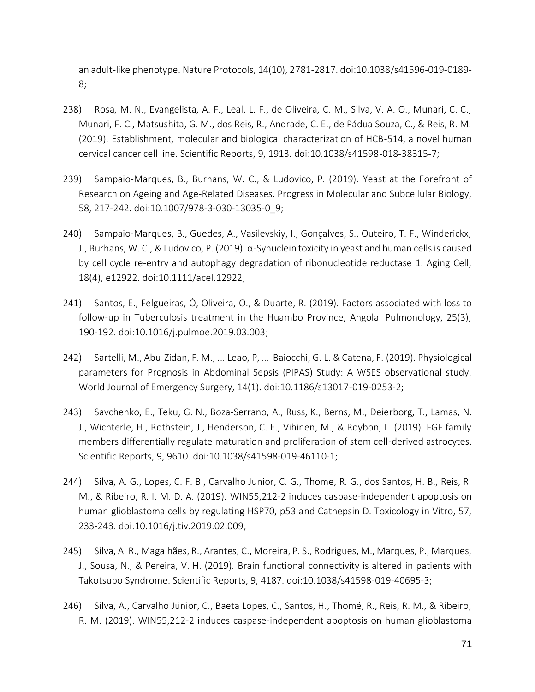an adult-like phenotype. Nature Protocols, 14(10), 2781-2817. doi:10.1038/s41596-019-0189- 8;

- 238) Rosa, M. N., Evangelista, A. F., Leal, L. F., de Oliveira, C. M., Silva, V. A. O., Munari, C. C., Munari, F. C., Matsushita, G. M., dos Reis, R., Andrade, C. E., de Pádua Souza, C., & Reis, R. M. (2019). Establishment, molecular and biological characterization of HCB-514, a novel human cervical cancer cell line. Scientific Reports, 9, 1913. doi:10.1038/s41598-018-38315-7;
- 239) Sampaio-Marques, B., Burhans, W. C., & Ludovico, P. (2019). Yeast at the Forefront of Research on Ageing and Age-Related Diseases. Progress in Molecular and Subcellular Biology, 58, 217-242. doi:10.1007/978-3-030-13035-0\_9;
- 240) Sampaio-Marques, B., Guedes, A., Vasilevskiy, I., Gonçalves, S., Outeiro, T. F., Winderickx, J., Burhans, W. C., & Ludovico, P. (2019). α-Synuclein toxicity in yeast and human cells is caused by cell cycle re-entry and autophagy degradation of ribonucleotide reductase 1. Aging Cell, 18(4), e12922. doi:10.1111/acel.12922;
- 241) Santos, E., Felgueiras, Ó, Oliveira, O., & Duarte, R. (2019). Factors associated with loss to follow-up in Tuberculosis treatment in the Huambo Province, Angola. Pulmonology, 25(3), 190-192. doi:10.1016/j.pulmoe.2019.03.003;
- 242) Sartelli, M., Abu-Zidan, F. M., ... Leao, P, … Baiocchi, G. L. & Catena, F. (2019). Physiological parameters for Prognosis in Abdominal Sepsis (PIPAS) Study: A WSES observational study. World Journal of Emergency Surgery, 14(1). doi:10.1186/s13017-019-0253-2;
- 243) Savchenko, E., Teku, G. N., Boza-Serrano, A., Russ, K., Berns, M., Deierborg, T., Lamas, N. J., Wichterle, H., Rothstein, J., Henderson, C. E., Vihinen, M., & Roybon, L. (2019). FGF family members differentially regulate maturation and proliferation of stem cell-derived astrocytes. Scientific Reports, 9, 9610. doi:10.1038/s41598-019-46110-1;
- 244) Silva, A. G., Lopes, C. F. B., Carvalho Junior, C. G., Thome, R. G., dos Santos, H. B., Reis, R. M., & Ribeiro, R. I. M. D. A. (2019). WIN55,212-2 induces caspase-independent apoptosis on human glioblastoma cells by regulating HSP70, p53 and Cathepsin D. Toxicology in Vitro, 57, 233-243. doi:10.1016/j.tiv.2019.02.009;
- 245) Silva, A. R., Magalhães, R., Arantes, C., Moreira, P. S., Rodrigues, M., Marques, P., Marques, J., Sousa, N., & Pereira, V. H. (2019). Brain functional connectivity is altered in patients with Takotsubo Syndrome. Scientific Reports, 9, 4187. doi:10.1038/s41598-019-40695-3;
- 246) Silva, A., Carvalho Júnior, C., Baeta Lopes, C., Santos, H., Thomé, R., Reis, R. M., & Ribeiro, R. M. (2019). WIN55,212-2 induces caspase-independent apoptosis on human glioblastoma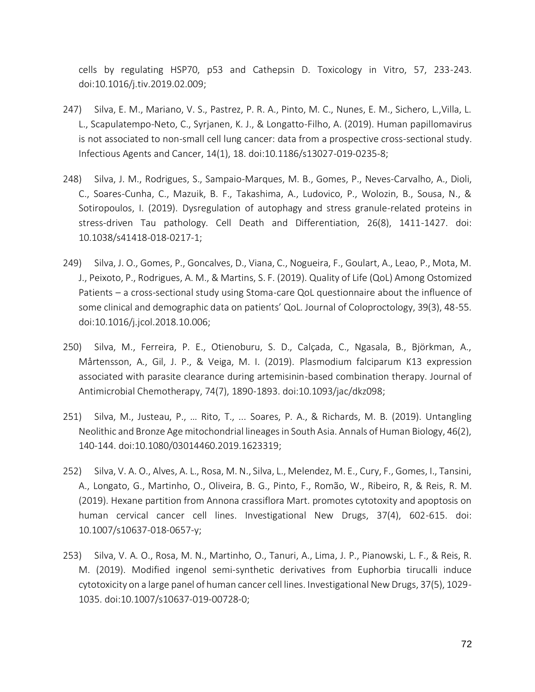cells by regulating HSP70, p53 and Cathepsin D. Toxicology in Vitro, 57, 233-243. doi:10.1016/j.tiv.2019.02.009;

- 247) Silva, E. M., Mariano, V. S., Pastrez, P. R. A., Pinto, M. C., Nunes, E. M., Sichero, L.,Villa, L. L., Scapulatempo-Neto, C., Syrjanen, K. J., & Longatto-Filho, A. (2019). Human papillomavirus is not associated to non-small cell lung cancer: data from a prospective cross-sectional study. Infectious Agents and Cancer, 14(1), 18. doi:10.1186/s13027-019-0235-8;
- 248) Silva, J. M., Rodrigues, S., Sampaio-Marques, M. B., Gomes, P., Neves-Carvalho, A., Dioli, C., Soares-Cunha, C., Mazuik, B. F., Takashima, A., Ludovico, P., Wolozin, B., Sousa, N., & Sotiropoulos, I. (2019). Dysregulation of autophagy and stress granule-related proteins in stress-driven Tau pathology. Cell Death and Differentiation, 26(8), 1411-1427. doi: 10.1038/s41418-018-0217-1;
- 249) Silva, J. O., Gomes, P., Goncalves, D., Viana, C., Nogueira, F., Goulart, A., Leao, P., Mota, M. J., Peixoto, P., Rodrigues, A. M., & Martins, S. F. (2019). Quality of Life (QoL) Among Ostomized Patients – a cross-sectional study using Stoma-care QoL questionnaire about the influence of some clinical and demographic data on patients' QoL. Journal of Coloproctology, 39(3), 48-55. doi:10.1016/j.jcol.2018.10.006;
- 250) Silva, M., Ferreira, P. E., Otienoburu, S. D., Calçada, C., Ngasala, B., Björkman, A., Mårtensson, A., Gil, J. P., & Veiga, M. I. (2019). Plasmodium falciparum K13 expression associated with parasite clearance during artemisinin-based combination therapy. Journal of Antimicrobial Chemotherapy, 74(7), 1890-1893. doi:10.1093/jac/dkz098;
- 251) Silva, M., Justeau, P., … Rito, T., ... Soares, P. A., & Richards, M. B. (2019). Untangling Neolithic and Bronze Age mitochondrial lineages in South Asia. Annals of Human Biology, 46(2), 140-144. doi:10.1080/03014460.2019.1623319;
- 252) Silva, V. A. O., Alves, A. L., Rosa, M. N., Silva, L., Melendez, M. E., Cury, F., Gomes, I., Tansini, A., Longato, G., Martinho, O., Oliveira, B. G., Pinto, F., Romão, W., Ribeiro, R, & Reis, R. M. (2019). Hexane partition from Annona crassiflora Mart. promotes cytotoxity and apoptosis on human cervical cancer cell lines. Investigational New Drugs, 37(4), 602-615. doi: 10.1007/s10637-018-0657-y;
- 253) Silva, V. A. O., Rosa, M. N., Martinho, O., Tanuri, A., Lima, J. P., Pianowski, L. F., & Reis, R. M. (2019). Modified ingenol semi-synthetic derivatives from Euphorbia tirucalli induce cytotoxicity on a large panel of human cancer cell lines. Investigational New Drugs, 37(5), 1029- 1035. doi:10.1007/s10637-019-00728-0;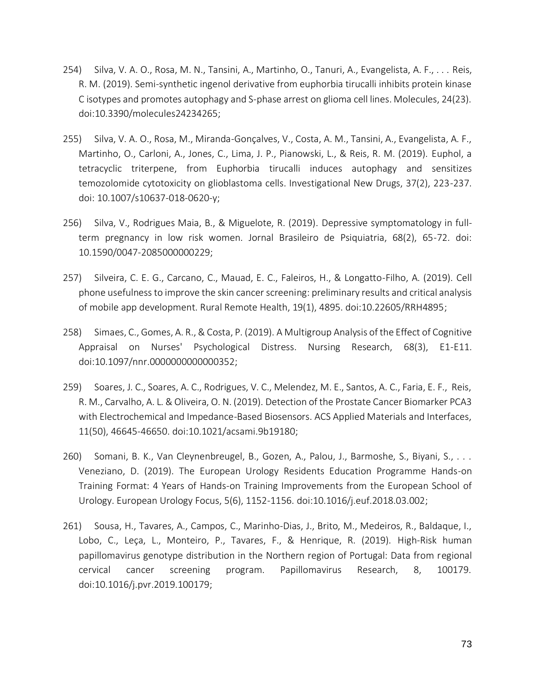- 254) Silva, V. A. O., Rosa, M. N., Tansini, A., Martinho, O., Tanuri, A., Evangelista, A. F., . . . Reis, R. M. (2019). Semi-synthetic ingenol derivative from euphorbia tirucalli inhibits protein kinase C isotypes and promotes autophagy and S-phase arrest on glioma cell lines. Molecules, 24(23). doi:10.3390/molecules24234265;
- 255) Silva, V. A. O., Rosa, M., Miranda-Gonçalves, V., Costa, A. M., Tansini, A., Evangelista, A. F., Martinho, O., Carloni, A., Jones, C., Lima, J. P., Pianowski, L., & Reis, R. M. (2019). Euphol, a tetracyclic triterpene, from Euphorbia tirucalli induces autophagy and sensitizes temozolomide cytotoxicity on glioblastoma cells. Investigational New Drugs, 37(2), 223-237. doi: 10.1007/s10637-018-0620-y;
- 256) Silva, V., Rodrigues Maia, B., & Miguelote, R. (2019). Depressive symptomatology in fullterm pregnancy in low risk women. Jornal Brasileiro de Psiquiatria, 68(2), 65-72. doi: 10.1590/0047-2085000000229;
- 257) Silveira, C. E. G., Carcano, C., Mauad, E. C., Faleiros, H., & Longatto-Filho, A. (2019). Cell phone usefulness to improve the skin cancer screening: preliminary results and critical analysis of mobile app development. Rural Remote Health, 19(1), 4895. doi:10.22605/RRH4895;
- 258) Simaes, C., Gomes, A. R., & Costa, P. (2019). A Multigroup Analysis of the Effect of Cognitive Appraisal on Nurses' Psychological Distress. Nursing Research, 68(3), E1-E11. doi:10.1097/nnr.0000000000000352;
- 259) Soares, J. C., Soares, A. C., Rodrigues, V. C., Melendez, M. E., Santos, A. C., Faria, E. F., Reis, R. M., Carvalho, A. L. & Oliveira, O. N. (2019). Detection of the Prostate Cancer Biomarker PCA3 with Electrochemical and Impedance-Based Biosensors. ACS Applied Materials and Interfaces, 11(50), 46645-46650. doi:10.1021/acsami.9b19180;
- 260) Somani, B. K., Van Cleynenbreugel, B., Gozen, A., Palou, J., Barmoshe, S., Biyani, S., . . . Veneziano, D. (2019). The European Urology Residents Education Programme Hands-on Training Format: 4 Years of Hands-on Training Improvements from the European School of Urology. European Urology Focus, 5(6), 1152-1156. doi:10.1016/j.euf.2018.03.002;
- 261) Sousa, H., Tavares, A., Campos, C., Marinho-Dias, J., Brito, M., Medeiros, R., Baldaque, I., Lobo, C., Leça, L., Monteiro, P., Tavares, F., & Henrique, R. (2019). High-Risk human papillomavirus genotype distribution in the Northern region of Portugal: Data from regional cervical cancer screening program. Papillomavirus Research, 8, 100179. doi:10.1016/j.pvr.2019.100179;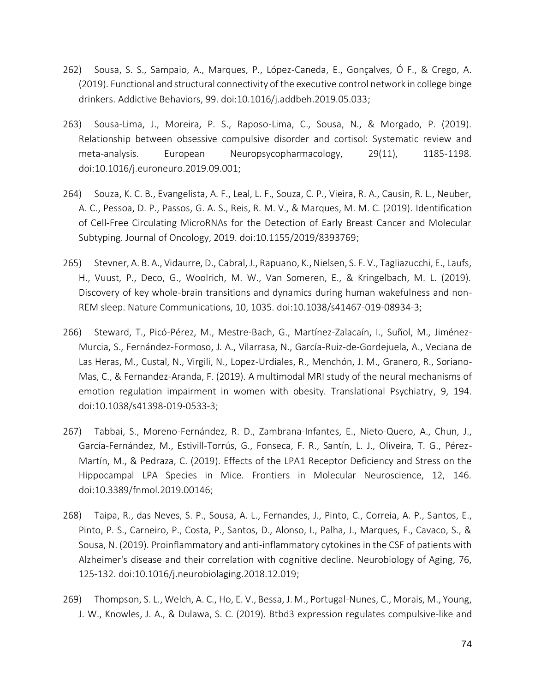- 262) Sousa, S. S., Sampaio, A., Marques, P., López-Caneda, E., Gonçalves, Ó F., & Crego, A. (2019). Functional and structural connectivity of the executive control network in college binge drinkers. Addictive Behaviors, 99. doi:10.1016/j.addbeh.2019.05.033;
- 263) Sousa-Lima, J., Moreira, P. S., Raposo-Lima, C., Sousa, N., & Morgado, P. (2019). Relationship between obsessive compulsive disorder and cortisol: Systematic review and meta-analysis. European Neuropsycopharmacology, 29(11), 1185-1198. doi:10.1016/j.euroneuro.2019.09.001;
- 264) Souza, K. C. B., Evangelista, A. F., Leal, L. F., Souza, C. P., Vieira, R. A., Causin, R. L., Neuber, A. C., Pessoa, D. P., Passos, G. A. S., Reis, R. M. V., & Marques, M. M. C. (2019). Identification of Cell-Free Circulating MicroRNAs for the Detection of Early Breast Cancer and Molecular Subtyping. Journal of Oncology, 2019. doi:10.1155/2019/8393769;
- 265) Stevner, A. B. A., Vidaurre, D., Cabral, J., Rapuano, K., Nielsen, S. F. V., Tagliazucchi, E., Laufs, H., Vuust, P., Deco, G., Woolrich, M. W., Van Someren, E., & Kringelbach, M. L. (2019). Discovery of key whole-brain transitions and dynamics during human wakefulness and non-REM sleep. Nature Communications, 10, 1035. doi:10.1038/s41467-019-08934-3;
- 266) Steward, T., Picó-Pérez, M., Mestre-Bach, G., Martínez-Zalacaín, I., Suñol, M., Jiménez-Murcia, S., Fernández-Formoso, J. A., Vilarrasa, N., García-Ruiz-de-Gordejuela, A., Veciana de Las Heras, M., Custal, N., Virgili, N., Lopez-Urdiales, R., Menchón, J. M., Granero, R., Soriano-Mas, C., & Fernandez-Aranda, F. (2019). A multimodal MRI study of the neural mechanisms of emotion regulation impairment in women with obesity. Translational Psychiatry, 9, 194. doi:10.1038/s41398-019-0533-3;
- 267) Tabbai, S., Moreno-Fernández, R. D., Zambrana-Infantes, E., Nieto-Quero, A., Chun, J., García-Fernández, M., Estivill-Torrús, G., Fonseca, F. R., Santín, L. J., Oliveira, T. G., Pérez-Martín, M., & Pedraza, C. (2019). Effects of the LPA1 Receptor Deficiency and Stress on the Hippocampal LPA Species in Mice. Frontiers in Molecular Neuroscience, 12, 146. doi:10.3389/fnmol.2019.00146;
- 268) Taipa, R., das Neves, S. P., Sousa, A. L., Fernandes, J., Pinto, C., Correia, A. P., Santos, E., Pinto, P. S., Carneiro, P., Costa, P., Santos, D., Alonso, I., Palha, J., Marques, F., Cavaco, S., & Sousa, N. (2019). Proinflammatory and anti-inflammatory cytokines in the CSF of patients with Alzheimer's disease and their correlation with cognitive decline. Neurobiology of Aging, 76, 125-132. doi:10.1016/j.neurobiolaging.2018.12.019;
- 269) Thompson, S. L., Welch, A. C., Ho, E. V., Bessa, J. M., Portugal-Nunes, C., Morais, M., Young, J. W., Knowles, J. A., & Dulawa, S. C. (2019). Btbd3 expression regulates compulsive-like and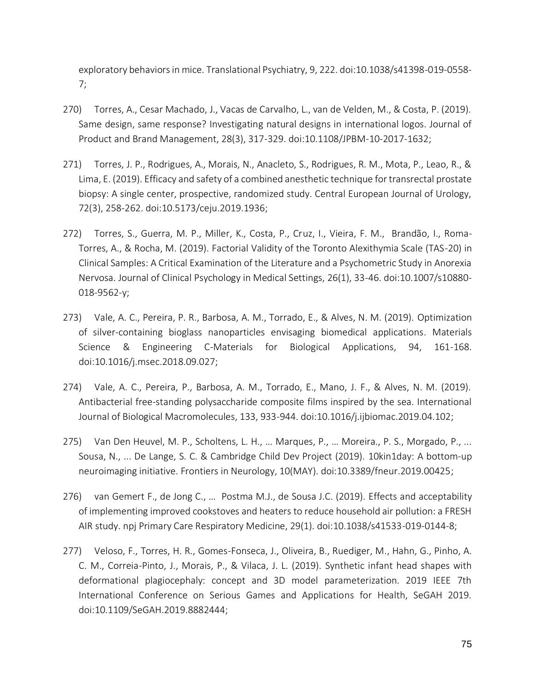exploratory behaviors in mice. Translational Psychiatry, 9, 222. doi:10.1038/s41398-019-0558- 7;

- 270) Torres, A., Cesar Machado, J., Vacas de Carvalho, L., van de Velden, M., & Costa, P. (2019). Same design, same response? Investigating natural designs in international logos. Journal of Product and Brand Management, 28(3), 317-329. doi:10.1108/JPBM-10-2017-1632;
- 271) Torres, J. P., Rodrigues, A., Morais, N., Anacleto, S., Rodrigues, R. M., Mota, P., Leao, R., & Lima, E. (2019). Efficacy and safety of a combined anesthetic technique for transrectal prostate biopsy: A single center, prospective, randomized study. Central European Journal of Urology, 72(3), 258-262. doi:10.5173/ceju.2019.1936;
- 272) Torres, S., Guerra, M. P., Miller, K., Costa, P., Cruz, I., Vieira, F. M., Brandão, I., Roma-Torres, A., & Rocha, M. (2019). Factorial Validity of the Toronto Alexithymia Scale (TAS-20) in Clinical Samples: A Critical Examination of the Literature and a Psychometric Study in Anorexia Nervosa. Journal of Clinical Psychology in Medical Settings, 26(1), 33-46. doi:10.1007/s10880- 018-9562-y;
- 273) Vale, A. C., Pereira, P. R., Barbosa, A. M., Torrado, E., & Alves, N. M. (2019). Optimization of silver-containing bioglass nanoparticles envisaging biomedical applications. Materials Science & Engineering C-Materials for Biological Applications, 94, 161-168. doi:10.1016/j.msec.2018.09.027;
- 274) Vale, A. C., Pereira, P., Barbosa, A. M., Torrado, E., Mano, J. F., & Alves, N. M. (2019). Antibacterial free-standing polysaccharide composite films inspired by the sea. International Journal of Biological Macromolecules, 133, 933-944. doi:10.1016/j.ijbiomac.2019.04.102;
- 275) Van Den Heuvel, M. P., Scholtens, L. H., … Marques, P., … Moreira., P. S., Morgado, P., ... Sousa, N., ... De Lange, S. C. & Cambridge Child Dev Project (2019). 10kin1day: A bottom-up neuroimaging initiative. Frontiers in Neurology, 10(MAY). doi:10.3389/fneur.2019.00425;
- 276) van Gemert F., de Jong C., … Postma M.J., de Sousa J.C. (2019). Effects and acceptability of implementing improved cookstoves and heaters to reduce household air pollution: a FRESH AIR study. npj Primary Care Respiratory Medicine, 29(1). doi:10.1038/s41533-019-0144-8;
- 277) Veloso, F., Torres, H. R., Gomes-Fonseca, J., Oliveira, B., Ruediger, M., Hahn, G., Pinho, A. C. M., Correia-Pinto, J., Morais, P., & Vilaca, J. L. (2019). Synthetic infant head shapes with deformational plagiocephaly: concept and 3D model parameterization. 2019 IEEE 7th International Conference on Serious Games and Applications for Health, SeGAH 2019. doi:10.1109/SeGAH.2019.8882444;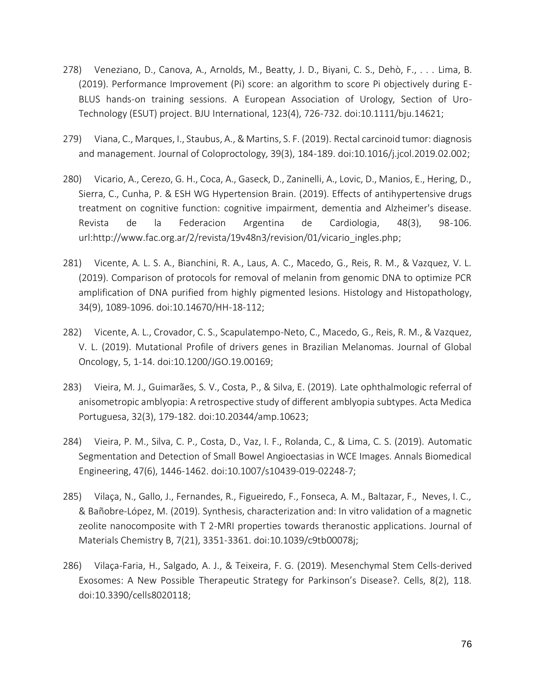- 278) Veneziano, D., Canova, A., Arnolds, M., Beatty, J. D., Biyani, C. S., Dehò, F., . . . Lima, B. (2019). Performance Improvement (Pi) score: an algorithm to score Pi objectively during E-BLUS hands-on training sessions. A European Association of Urology, Section of Uro-Technology (ESUT) project. BJU International, 123(4), 726-732. doi:10.1111/bju.14621;
- 279) Viana, C., Marques, I., Staubus, A., & Martins, S. F. (2019). Rectal carcinoid tumor: diagnosis and management. Journal of Coloproctology, 39(3), 184-189. doi:10.1016/j.jcol.2019.02.002;
- 280) Vicario, A., Cerezo, G. H., Coca, A., Gaseck, D., Zaninelli, A., Lovic, D., Manios, E., Hering, D., Sierra, C., Cunha, P. & ESH WG Hypertension Brain. (2019). Effects of antihypertensive drugs treatment on cognitive function: cognitive impairment, dementia and Alzheimer's disease. Revista de la Federacion Argentina de Cardiologia, 48(3), 98-106. url:http://www.fac.org.ar/2/revista/19v48n3/revision/01/vicario\_ingles.php;
- 281) Vicente, A. L. S. A., Bianchini, R. A., Laus, A. C., Macedo, G., Reis, R. M., & Vazquez, V. L. (2019). Comparison of protocols for removal of melanin from genomic DNA to optimize PCR amplification of DNA purified from highly pigmented lesions. Histology and Histopathology, 34(9), 1089-1096. doi:10.14670/HH-18-112;
- 282) Vicente, A. L., Crovador, C. S., Scapulatempo-Neto, C., Macedo, G., Reis, R. M., & Vazquez, V. L. (2019). Mutational Profile of drivers genes in Brazilian Melanomas. Journal of Global Oncology, 5, 1-14. doi:10.1200/JGO.19.00169;
- 283) Vieira, M. J., Guimarães, S. V., Costa, P., & Silva, E. (2019). Late ophthalmologic referral of anisometropic amblyopia: A retrospective study of different amblyopia subtypes. Acta Medica Portuguesa, 32(3), 179-182. doi:10.20344/amp.10623;
- 284) Vieira, P. M., Silva, C. P., Costa, D., Vaz, I. F., Rolanda, C., & Lima, C. S. (2019). Automatic Segmentation and Detection of Small Bowel Angioectasias in WCE Images. Annals Biomedical Engineering, 47(6), 1446-1462. doi:10.1007/s10439-019-02248-7;
- 285) Vilaça, N., Gallo, J., Fernandes, R., Figueiredo, F., Fonseca, A. M., Baltazar, F., Neves, I. C., & Bañobre-López, M. (2019). Synthesis, characterization and: In vitro validation of a magnetic zeolite nanocomposite with T 2-MRI properties towards theranostic applications. Journal of Materials Chemistry B, 7(21), 3351-3361. doi:10.1039/c9tb00078j;
- 286) Vilaça-Faria, H., Salgado, A. J., & Teixeira, F. G. (2019). Mesenchymal Stem Cells-derived Exosomes: A New Possible Therapeutic Strategy for Parkinson's Disease?. Cells, 8(2), 118. doi:10.3390/cells8020118;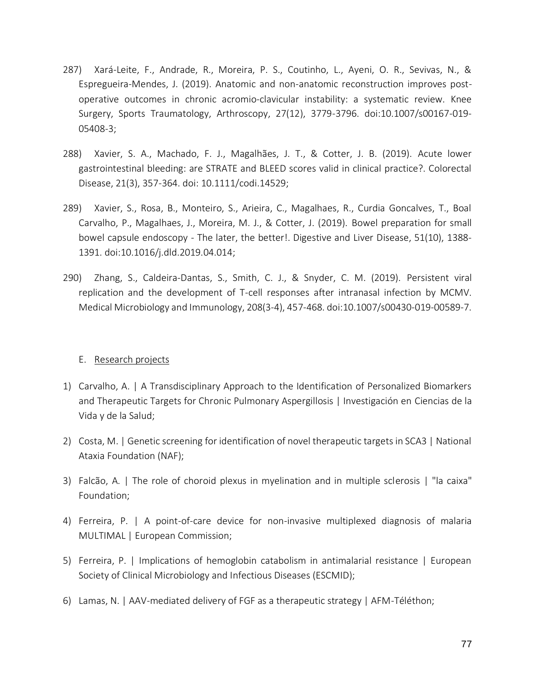- 287) Xará-Leite, F., Andrade, R., Moreira, P. S., Coutinho, L., Ayeni, O. R., Sevivas, N., & Espregueira-Mendes, J. (2019). Anatomic and non-anatomic reconstruction improves postoperative outcomes in chronic acromio-clavicular instability: a systematic review. Knee Surgery, Sports Traumatology, Arthroscopy, 27(12), 3779-3796. doi:10.1007/s00167-019- 05408-3;
- 288) Xavier, S. A., Machado, F. J., Magalhães, J. T., & Cotter, J. B. (2019). Acute lower gastrointestinal bleeding: are STRATE and BLEED scores valid in clinical practice?. Colorectal Disease, 21(3), 357-364. doi: 10.1111/codi.14529;
- 289) Xavier, S., Rosa, B., Monteiro, S., Arieira, C., Magalhaes, R., Curdia Goncalves, T., Boal Carvalho, P., Magalhaes, J., Moreira, M. J., & Cotter, J. (2019). Bowel preparation for small bowel capsule endoscopy - The later, the better!. Digestive and Liver Disease, 51(10), 1388- 1391. doi:10.1016/j.dld.2019.04.014;
- 290) Zhang, S., Caldeira-Dantas, S., Smith, C. J., & Snyder, C. M. (2019). Persistent viral replication and the development of T-cell responses after intranasal infection by MCMV. Medical Microbiology and Immunology, 208(3-4), 457-468. doi:10.1007/s00430-019-00589-7.

#### E. Research projects

- 1) Carvalho, A. | A Transdisciplinary Approach to the Identification of Personalized Biomarkers and Therapeutic Targets for Chronic Pulmonary Aspergillosis | Investigación en Ciencias de la Vida y de la Salud;
- 2) Costa, M. | Genetic screening for identification of novel therapeutic targets in SCA3 | National Ataxia Foundation (NAF);
- 3) Falcão, A. | The role of choroid plexus in myelination and in multiple sclerosis | "la caixa" Foundation;
- 4) Ferreira, P. | A point-of-care device for non-invasive multiplexed diagnosis of malaria MULTIMAL | European Commission;
- 5) Ferreira, P. | Implications of hemoglobin catabolism in antimalarial resistance | European Society of Clinical Microbiology and Infectious Diseases (ESCMID);
- 6) Lamas, N. | AAV-mediated delivery of FGF as a therapeutic strategy | AFM-Téléthon;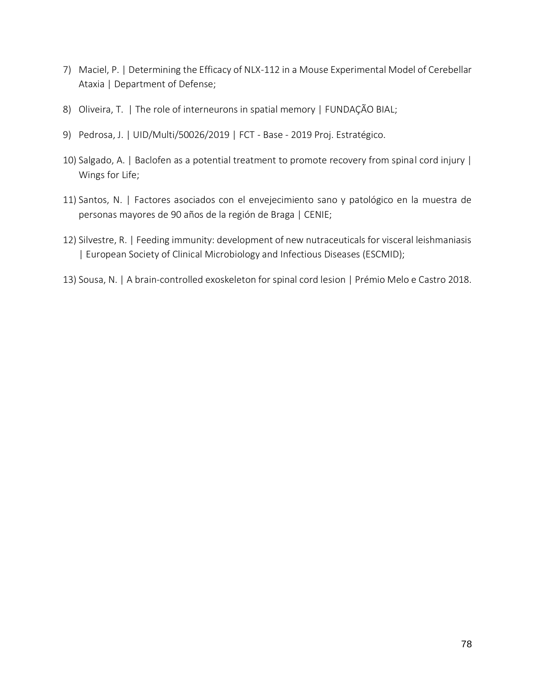- 7) Maciel, P. | Determining the Efficacy of NLX-112 in a Mouse Experimental Model of Cerebellar Ataxia | Department of Defense;
- 8) Oliveira, T. | The role of interneurons in spatial memory | FUNDAÇÃO BIAL;
- 9) Pedrosa, J. | UID/Multi/50026/2019 | FCT Base 2019 Proj. Estratégico.
- 10) Salgado, A. | Baclofen as a potential treatment to promote recovery from spinal cord injury | Wings for Life;
- 11) Santos, N. | Factores asociados con el envejecimiento sano y patológico en la muestra de personas mayores de 90 años de la región de Braga | CENIE;
- 12) Silvestre, R. | Feeding immunity: development of new nutraceuticals for visceral leishmaniasis | European Society of Clinical Microbiology and Infectious Diseases (ESCMID);
- 13) Sousa, N. | A brain-controlled exoskeleton for spinal cord lesion | Prémio Melo e Castro 2018.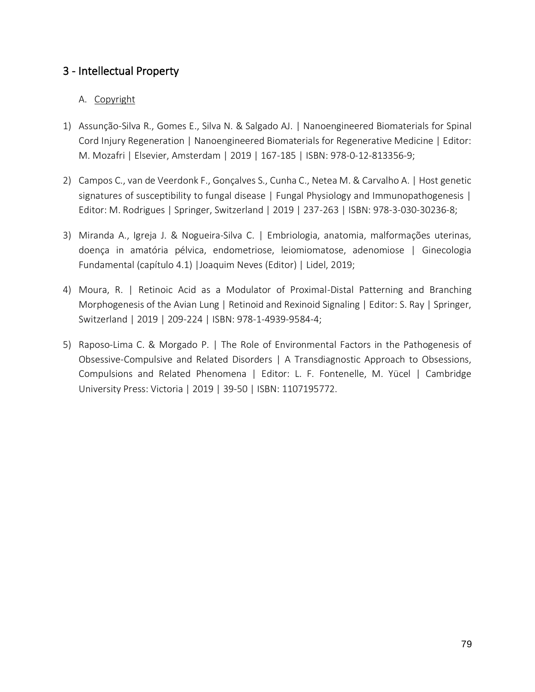### 3 - Intellectual Property

### A. Copyright

- 1) Assunção-Silva R., Gomes E., Silva N. & Salgado AJ. | Nanoengineered Biomaterials for Spinal Cord Injury Regeneration | Nanoengineered Biomaterials for Regenerative Medicine | Editor: M. Mozafri | Elsevier, Amsterdam | 2019 | 167-185 | ISBN: 978-0-12-813356-9;
- 2) Campos C., van de Veerdonk F., Gonçalves S., Cunha C., Netea M. & Carvalho A. | Host genetic signatures of susceptibility to fungal disease | Fungal Physiology and Immunopathogenesis | Editor: M. Rodrigues | Springer, Switzerland | 2019 | 237-263 | ISBN: 978-3-030-30236-8;
- 3) Miranda A., Igreja J. & Nogueira‐Silva C. | Embriologia, anatomia, malformações uterinas, doença in amatória pélvica, endometriose, leiomiomatose, adenomiose | Ginecologia Fundamental (capítulo 4.1) |Joaquim Neves (Editor) | Lidel, 2019;
- 4) Moura, R. | Retinoic Acid as a Modulator of Proximal-Distal Patterning and Branching Morphogenesis of the Avian Lung | Retinoid and Rexinoid Signaling | Editor: S. Ray | Springer, Switzerland | 2019 | 209-224 | ISBN: 978-1-4939-9584-4;
- 5) Raposo-Lima C. & Morgado P. | The Role of Environmental Factors in the Pathogenesis of Obsessive-Compulsive and Related Disorders | A Transdiagnostic Approach to Obsessions, Compulsions and Related Phenomena | Editor: L. F. Fontenelle, M. Yücel | Cambridge University Press: Victoria | 2019 | 39-50 | ISBN: 1107195772.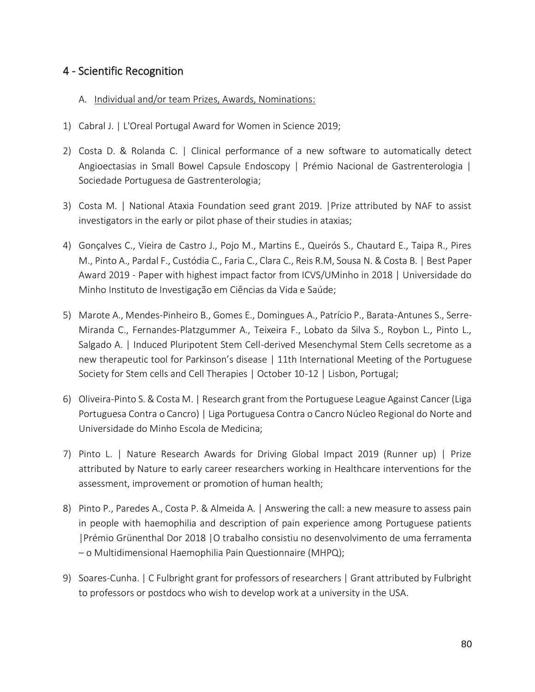## 4 - Scientific Recognition

#### A. Individual and/or team Prizes, Awards, Nominations:

- 1) Cabral J. | L'Oreal Portugal Award for Women in Science 2019;
- 2) Costa D. & Rolanda C. | Clinical performance of a new software to automatically detect Angioectasias in Small Bowel Capsule Endoscopy | Prémio Nacional de Gastrenterologia | Sociedade Portuguesa de Gastrenterologia;
- 3) Costa M. | National Ataxia Foundation seed grant 2019. |Prize attributed by NAF to assist investigators in the early or pilot phase of their studies in ataxias;
- 4) Gonçalves C., Vieira de Castro J., Pojo M., Martins E., Queirós S., Chautard E., Taipa R., Pires M., Pinto A., Pardal F., Custódia C., Faria C., Clara C., Reis R.M, Sousa N. & Costa B. | Best Paper Award 2019 - Paper with highest impact factor from ICVS/UMinho in 2018 | Universidade do Minho Instituto de Investigação em Ciências da Vida e Saúde;
- 5) Marote A., Mendes-Pinheiro B., Gomes E., Domingues A., Patrício P., Barata-Antunes S., Serre-Miranda C., Fernandes-Platzgummer A., Teixeira F., Lobato da Silva S., Roybon L., Pinto L., Salgado A. | Induced Pluripotent Stem Cell-derived Mesenchymal Stem Cells secretome as a new therapeutic tool for Parkinson's disease | 11th International Meeting of the Portuguese Society for Stem cells and Cell Therapies | October 10-12 | Lisbon, Portugal;
- 6) Oliveira-Pinto S. & Costa M. | Research grant from the Portuguese League Against Cancer (Liga Portuguesa Contra o Cancro) | Liga Portuguesa Contra o Cancro Núcleo Regional do Norte and Universidade do Minho Escola de Medicina;
- 7) Pinto L. | Nature Research Awards for Driving Global Impact 2019 (Runner up) | Prize attributed by Nature to early career researchers working in Healthcare interventions for the assessment, improvement or promotion of human health;
- 8) Pinto P., Paredes A., Costa P. & Almeida A. | Answering the call: a new measure to assess pain in people with haemophilia and description of pain experience among Portuguese patients |Prémio Grünenthal Dor 2018 |O trabalho consistiu no desenvolvimento de uma ferramenta – o Multidimensional Haemophilia Pain Questionnaire (MHPQ);
- 9) Soares-Cunha. | C Fulbright grant for professors of researchers | Grant attributed by Fulbright to professors or postdocs who wish to develop work at a university in the USA.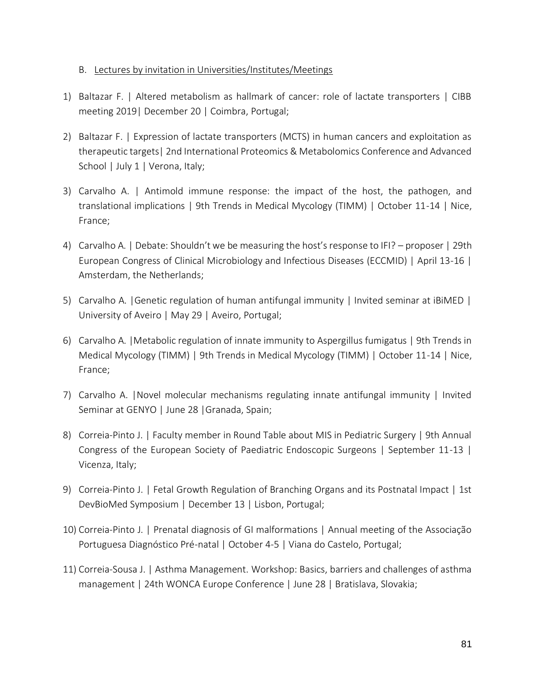#### B. Lectures by invitation in Universities/Institutes/Meetings

- 1) Baltazar F. | Altered metabolism as hallmark of cancer: role of lactate transporters | CIBB meeting 2019| December 20 | Coimbra, Portugal;
- 2) Baltazar F. | Expression of lactate transporters (MCTS) in human cancers and exploitation as therapeutic targets| 2nd International Proteomics & Metabolomics Conference and Advanced School | July 1 | Verona, Italy;
- 3) Carvalho A. | Antimold immune response: the impact of the host, the pathogen, and translational implications | 9th Trends in Medical Mycology (TIMM) | October 11-14 | Nice, France;
- 4) Carvalho A. | Debate: Shouldn't we be measuring the host's response to IFI? proposer | 29th European Congress of Clinical Microbiology and Infectious Diseases (ECCMID) | April 13-16 | Amsterdam, the Netherlands;
- 5) Carvalho A. |Genetic regulation of human antifungal immunity | Invited seminar at iBiMED | University of Aveiro | May 29 | Aveiro, Portugal;
- 6) Carvalho A. |Metabolic regulation of innate immunity to Aspergillus fumigatus | 9th Trends in Medical Mycology (TIMM) | 9th Trends in Medical Mycology (TIMM) | October 11-14 | Nice, France;
- 7) Carvalho A. |Novel molecular mechanisms regulating innate antifungal immunity | Invited Seminar at GENYO | June 28 |Granada, Spain;
- 8) Correia-Pinto J. | Faculty member in Round Table about MIS in Pediatric Surgery | 9th Annual Congress of the European Society of Paediatric Endoscopic Surgeons | September 11-13 | Vicenza, Italy;
- 9) Correia-Pinto J. | Fetal Growth Regulation of Branching Organs and its Postnatal Impact | 1st DevBioMed Symposium | December 13 | Lisbon, Portugal;
- 10) Correia-Pinto J. | Prenatal diagnosis of GI malformations | Annual meeting of the Associação Portuguesa Diagnóstico Pré-natal | October 4-5 | Viana do Castelo, Portugal;
- 11) Correia-Sousa J. | Asthma Management. Workshop: Basics, barriers and challenges of asthma management | 24th WONCA Europe Conference | June 28 | Bratislava, Slovakia;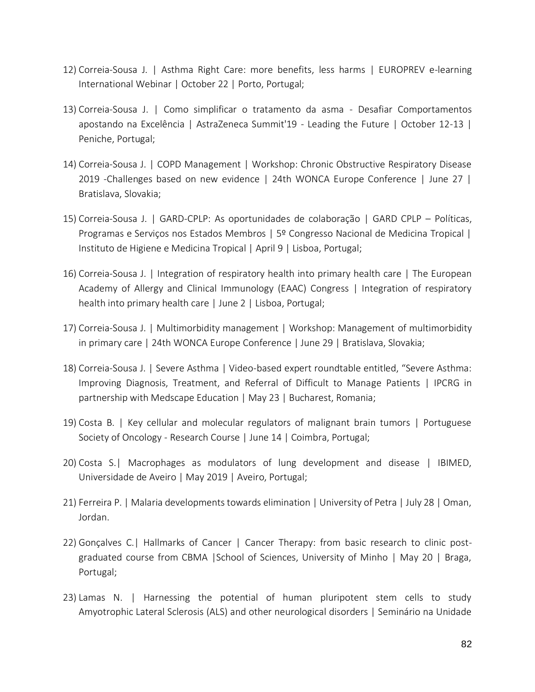- 12) Correia-Sousa J. | Asthma Right Care: more benefits, less harms | EUROPREV e-learning International Webinar | October 22 | Porto, Portugal;
- 13) Correia-Sousa J. | Como simplificar o tratamento da asma Desafiar Comportamentos apostando na Excelência | AstraZeneca Summit'19 - Leading the Future | October 12-13 | Peniche, Portugal;
- 14) Correia-Sousa J. | COPD Management | Workshop: Chronic Obstructive Respiratory Disease 2019 -Challenges based on new evidence | 24th WONCA Europe Conference | June 27 | Bratislava, Slovakia;
- 15) Correia-Sousa J. | GARD-CPLP: As oportunidades de colaboração | GARD CPLP Políticas, Programas e Serviços nos Estados Membros | 5º Congresso Nacional de Medicina Tropical | Instituto de Higiene e Medicina Tropical | April 9 | Lisboa, Portugal;
- 16) Correia-Sousa J. | Integration of respiratory health into primary health care | The European Academy of Allergy and Clinical Immunology (EAAC) Congress | Integration of respiratory health into primary health care | June 2 | Lisboa, Portugal;
- 17) Correia-Sousa J. | Multimorbidity management | Workshop: Management of multimorbidity in primary care | 24th WONCA Europe Conference | June 29 | Bratislava, Slovakia;
- 18) Correia-Sousa J. | Severe Asthma | Video-based expert roundtable entitled, "Severe Asthma: Improving Diagnosis, Treatment, and Referral of Difficult to Manage Patients | IPCRG in partnership with Medscape Education | May 23 | Bucharest, Romania;
- 19) Costa B. | Key cellular and molecular regulators of malignant brain tumors | Portuguese Society of Oncology - Research Course | June 14 | Coimbra, Portugal;
- 20) Costa S.| Macrophages as modulators of lung development and disease | IBIMED, Universidade de Aveiro | May 2019 | Aveiro, Portugal;
- 21) Ferreira P. | Malaria developments towards elimination | University of Petra | July 28 | Oman, Jordan.
- 22) Gonçalves C. | Hallmarks of Cancer | Cancer Therapy: from basic research to clinic postgraduated course from CBMA |School of Sciences, University of Minho | May 20 | Braga, Portugal;
- 23) Lamas N. | Harnessing the potential of human pluripotent stem cells to study Amyotrophic Lateral Sclerosis (ALS) and other neurological disorders | Seminário na Unidade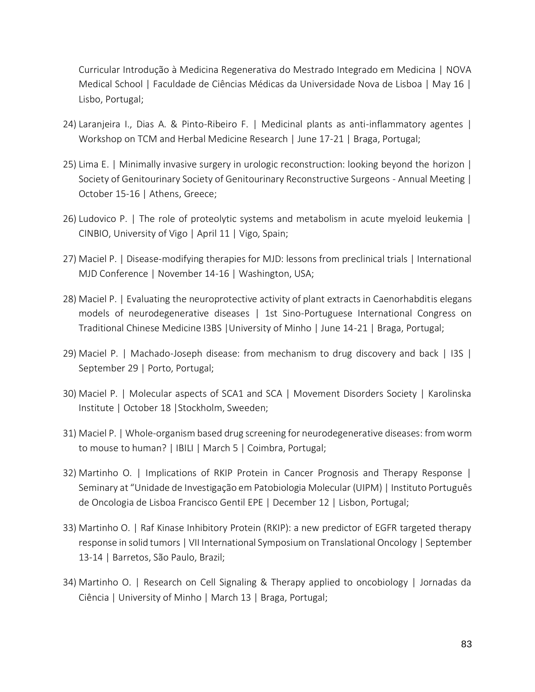Curricular Introdução à Medicina Regenerativa do Mestrado Integrado em Medicina | NOVA Medical School | Faculdade de Ciências Médicas da Universidade Nova de Lisboa | May 16 | Lisbo, Portugal;

- 24) Laranjeira I., Dias A. & Pinto-Ribeiro F. | Medicinal plants as anti-inflammatory agentes | Workshop on TCM and Herbal Medicine Research | June 17-21 | Braga, Portugal;
- 25) Lima E. | Minimally invasive surgery in urologic reconstruction: looking beyond the horizon | Society of Genitourinary Society of Genitourinary Reconstructive Surgeons - Annual Meeting | October 15-16 | Athens, Greece;
- 26) Ludovico P. | The role of proteolytic systems and metabolism in acute myeloid leukemia | CINBIO, University of Vigo | April 11 | Vigo, Spain;
- 27) Maciel P. | Disease-modifying therapies for MJD: lessons from preclinical trials | International MJD Conference | November 14-16 | Washington, USA;
- 28) Maciel P. | Evaluating the neuroprotective activity of plant extracts in Caenorhabditis elegans models of neurodegenerative diseases | 1st Sino-Portuguese International Congress on Traditional Chinese Medicine I3BS |University of Minho | June 14-21 | Braga, Portugal;
- 29) Maciel P. | Machado-Joseph disease: from mechanism to drug discovery and back | I3S | September 29 | Porto, Portugal;
- 30) Maciel P. | Molecular aspects of SCA1 and SCA | Movement Disorders Society | Karolinska Institute | October 18 |Stockholm, Sweeden;
- 31) Maciel P. | Whole-organism based drug screening for neurodegenerative diseases: from worm to mouse to human? | IBILI | March 5 | Coimbra, Portugal;
- 32) Martinho O. | Implications of RKIP Protein in Cancer Prognosis and Therapy Response | Seminary at "Unidade de Investigação em Patobiologia Molecular (UIPM) | Instituto Português de Oncologia de Lisboa Francisco Gentil EPE | December 12 | Lisbon, Portugal;
- 33) Martinho O. | Raf Kinase Inhibitory Protein (RKIP): a new predictor of EGFR targeted therapy response in solid tumors | VII International Symposium on Translational Oncology | September 13-14 | Barretos, São Paulo, Brazil;
- 34) Martinho O. | Research on Cell Signaling & Therapy applied to oncobiology | Jornadas da Ciência | University of Minho | March 13 | Braga, Portugal;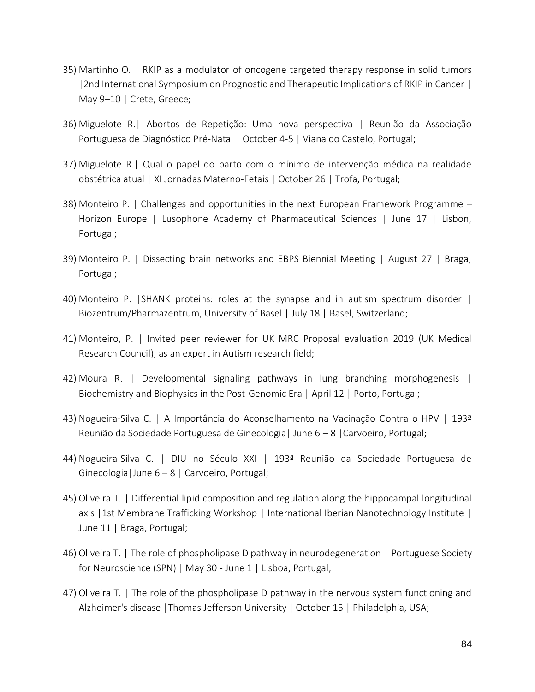- 35) Martinho O. | RKIP as a modulator of oncogene targeted therapy response in solid tumors |2nd International Symposium on Prognostic and Therapeutic Implications of RKIP in Cancer | May 9–10 | Crete, Greece;
- 36) Miguelote R.| Abortos de Repetição: Uma nova perspectiva | Reunião da Associação Portuguesa de Diagnóstico Pré-Natal | October 4-5 | Viana do Castelo, Portugal;
- 37) Miguelote R.| Qual o papel do parto com o mínimo de intervenção médica na realidade obstétrica atual | XI Jornadas Materno-Fetais | October 26 | Trofa, Portugal;
- 38) Monteiro P. | Challenges and opportunities in the next European Framework Programme Horizon Europe | Lusophone Academy of Pharmaceutical Sciences | June 17 | Lisbon, Portugal;
- 39) Monteiro P. | Dissecting brain networks and EBPS Biennial Meeting | August 27 | Braga, Portugal;
- 40) Monteiro P. |SHANK proteins: roles at the synapse and in autism spectrum disorder | Biozentrum/Pharmazentrum, University of Basel | July 18 | Basel, Switzerland;
- 41) Monteiro, P. | Invited peer reviewer for UK MRC Proposal evaluation 2019 (UK Medical Research Council), as an expert in Autism research field;
- 42) Moura R. | Developmental signaling pathways in lung branching morphogenesis | Biochemistry and Biophysics in the Post-Genomic Era | April 12 | Porto, Portugal;
- 43) Nogueira-Silva C. | A Importância do Aconselhamento na Vacinação Contra o HPV | 193ª Reunião da Sociedade Portuguesa de Ginecologia| June 6 – 8 |Carvoeiro, Portugal;
- 44) Nogueira-Silva C. | DIU no Século XXI | 193ª Reunião da Sociedade Portuguesa de Ginecologia|June 6 – 8 | Carvoeiro, Portugal;
- 45) Oliveira T. | Differential lipid composition and regulation along the hippocampal longitudinal axis |1st Membrane Trafficking Workshop | International Iberian Nanotechnology Institute | June 11 | Braga, Portugal;
- 46) Oliveira T. | The role of phospholipase D pathway in neurodegeneration | Portuguese Society for Neuroscience (SPN) | May 30 - June 1 | Lisboa, Portugal;
- 47) Oliveira T. | The role of the phospholipase D pathway in the nervous system functioning and Alzheimer's disease |Thomas Jefferson University | October 15 | Philadelphia, USA;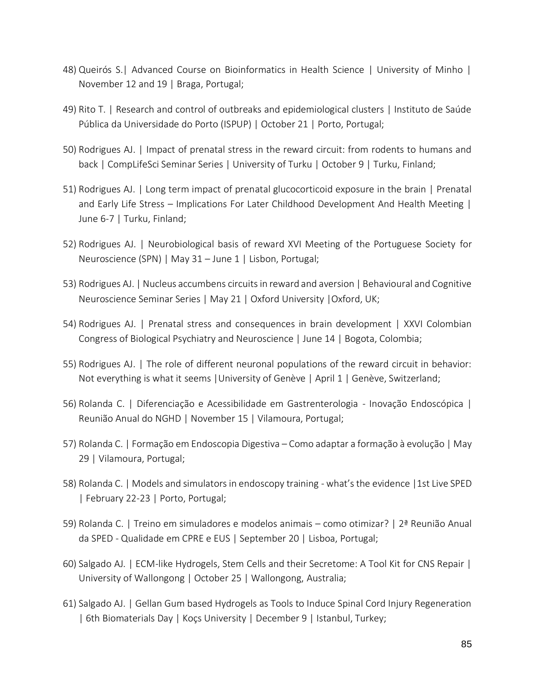- 48) Queirós S.| Advanced Course on Bioinformatics in Health Science | University of Minho | November 12 and 19 | Braga, Portugal;
- 49) Rito T. | Research and control of outbreaks and epidemiological clusters | Instituto de Saúde Pública da Universidade do Porto (ISPUP) | October 21 | Porto, Portugal;
- 50) Rodrigues AJ. | Impact of prenatal stress in the reward circuit: from rodents to humans and back | CompLifeSci Seminar Series | University of Turku | October 9 | Turku, Finland;
- 51) Rodrigues AJ. | Long term impact of prenatal glucocorticoid exposure in the brain | Prenatal and Early Life Stress – Implications For Later Childhood Development And Health Meeting | June 6-7 | Turku, Finland;
- 52) Rodrigues AJ. | Neurobiological basis of reward XVI Meeting of the Portuguese Society for Neuroscience (SPN) | May 31 – June 1 | Lisbon, Portugal;
- 53) Rodrigues AJ. | Nucleus accumbens circuits in reward and aversion | Behavioural and Cognitive Neuroscience Seminar Series | May 21 | Oxford University |Oxford, UK;
- 54) Rodrigues AJ. | Prenatal stress and consequences in brain development | XXVI Colombian Congress of Biological Psychiatry and Neuroscience | June 14 | Bogota, Colombia;
- 55) Rodrigues AJ. | The role of different neuronal populations of the reward circuit in behavior: Not everything is what it seems |University of Genève | April 1 | Genève, Switzerland;
- 56) Rolanda C. | Diferenciação e Acessibilidade em Gastrenterologia Inovação Endoscópica | Reunião Anual do NGHD | November 15 | Vilamoura, Portugal;
- 57) Rolanda C. | Formação em Endoscopia Digestiva Como adaptar a formação à evolução | May 29 | Vilamoura, Portugal;
- 58) Rolanda C. | Models and simulators in endoscopy training what's the evidence |1st Live SPED | February 22-23 | Porto, Portugal;
- 59) Rolanda C. | Treino em simuladores e modelos animais como otimizar? | 2ª Reunião Anual da SPED - Qualidade em CPRE e EUS | September 20 | Lisboa, Portugal;
- 60) Salgado AJ. | ECM-like Hydrogels, Stem Cells and their Secretome: A Tool Kit for CNS Repair | University of Wallongong | October 25 | Wallongong, Australia;
- 61) Salgado AJ. | Gellan Gum based Hydrogels as Tools to Induce Spinal Cord Injury Regeneration | 6th Biomaterials Day | Koçs University | December 9 | Istanbul, Turkey;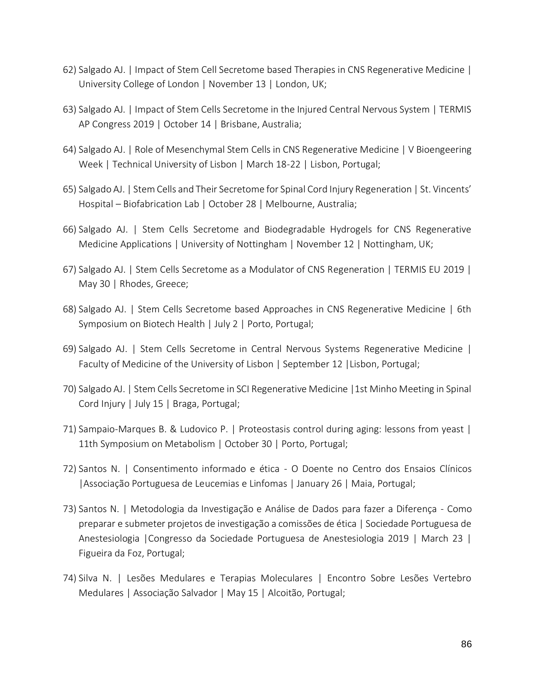- 62) Salgado AJ. | Impact of Stem Cell Secretome based Therapies in CNS Regenerative Medicine | University College of London | November 13 | London, UK;
- 63) Salgado AJ. | Impact of Stem Cells Secretome in the Injured Central Nervous System | TERMIS AP Congress 2019 | October 14 | Brisbane, Australia;
- 64) Salgado AJ. | Role of Mesenchymal Stem Cells in CNS Regenerative Medicine | V Bioengeering Week | Technical University of Lisbon | March 18-22 | Lisbon, Portugal;
- 65) Salgado AJ. | Stem Cells and Their Secretome for Spinal Cord Injury Regeneration | St. Vincents' Hospital – Biofabrication Lab | October 28 | Melbourne, Australia;
- 66) Salgado AJ. | Stem Cells Secretome and Biodegradable Hydrogels for CNS Regenerative Medicine Applications | University of Nottingham | November 12 | Nottingham, UK;
- 67) Salgado AJ. | Stem Cells Secretome as a Modulator of CNS Regeneration | TERMIS EU 2019 | May 30 | Rhodes, Greece;
- 68) Salgado AJ. | Stem Cells Secretome based Approaches in CNS Regenerative Medicine | 6th Symposium on Biotech Health | July 2 | Porto, Portugal;
- 69) Salgado AJ. | Stem Cells Secretome in Central Nervous Systems Regenerative Medicine | Faculty of Medicine of the University of Lisbon | September 12 |Lisbon, Portugal;
- 70) Salgado AJ. | Stem Cells Secretome in SCI Regenerative Medicine |1st Minho Meeting in Spinal Cord Injury | July 15 | Braga, Portugal;
- 71) Sampaio-Marques B. & Ludovico P. | Proteostasis control during aging: lessons from yeast | 11th Symposium on Metabolism | October 30 | Porto, Portugal;
- 72) Santos N. | Consentimento informado e ética O Doente no Centro dos Ensaios Clínicos |Associação Portuguesa de Leucemias e Linfomas | January 26 | Maia, Portugal;
- 73) Santos N. | Metodologia da Investigação e Análise de Dados para fazer a Diferença Como preparar e submeter projetos de investigação a comissões de ética | Sociedade Portuguesa de Anestesiologia |Congresso da Sociedade Portuguesa de Anestesiologia 2019 | March 23 | Figueira da Foz, Portugal;
- 74) Silva N. | Lesões Medulares e Terapias Moleculares | Encontro Sobre Lesões Vertebro Medulares | Associação Salvador | May 15 | Alcoitão, Portugal;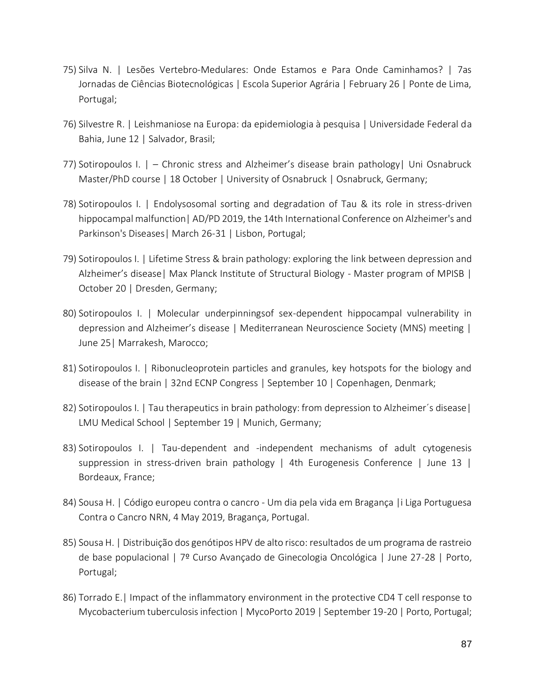- 75) Silva N. | Lesões Vertebro-Medulares: Onde Estamos e Para Onde Caminhamos? | 7as Jornadas de Ciências Biotecnológicas | Escola Superior Agrária | February 26 | Ponte de Lima, Portugal;
- 76) Silvestre R. | Leishmaniose na Europa: da epidemiologia à pesquisa | Universidade Federal da Bahia, June 12 | Salvador, Brasil;
- 77) Sotiropoulos I. | Chronic stress and Alzheimer's disease brain pathology| Uni Osnabruck Master/PhD course | 18 October | University of Osnabruck | Osnabruck, Germany;
- 78) Sotiropoulos I. | Endolysosomal sorting and degradation of Tau & its role in stress-driven hippocampal malfunction | AD/PD 2019, the 14th International Conference on Alzheimer's and Parkinson's Diseases| March 26-31 | Lisbon, Portugal;
- 79) Sotiropoulos I. | Lifetime Stress & brain pathology: exploring the link between depression and Alzheimer's disease| Max Planck Institute of Structural Biology - Master program of MPISB | October 20 | Dresden, Germany;
- 80) Sotiropoulos I. | Molecular underpinningsof sex-dependent hippocampal vulnerability in depression and Alzheimer's disease | Mediterranean Neuroscience Society (MNS) meeting | June 25| Marrakesh, Marocco;
- 81) Sotiropoulos I. | Ribonucleoprotein particles and granules, key hotspots for the biology and disease of the brain | 32nd ECNP Congress | September 10 | Copenhagen, Denmark;
- 82) Sotiropoulos I. | Tau therapeutics in brain pathology: from depression to Alzheimer's disease | LMU Medical School | September 19 | Munich, Germany;
- 83) Sotiropoulos I. | Tau-dependent and -independent mechanisms of adult cytogenesis suppression in stress-driven brain pathology  $\mid$  4th Eurogenesis Conference  $\mid$  June 13  $\mid$ Bordeaux, France;
- 84) Sousa H. | Código europeu contra o cancro Um dia pela vida em Bragança |i Liga Portuguesa Contra o Cancro NRN, 4 May 2019, Bragança, Portugal.
- 85) Sousa H. | Distribuição dos genótipos HPV de alto risco: resultados de um programa de rastreio de base populacional | 7º Curso Avançado de Ginecologia Oncológica | June 27-28 | Porto, Portugal;
- 86) Torrado E.| Impact of the inflammatory environment in the protective CD4 T cell response to Mycobacterium tuberculosis infection | MycoPorto 2019 | September 19-20 | Porto, Portugal;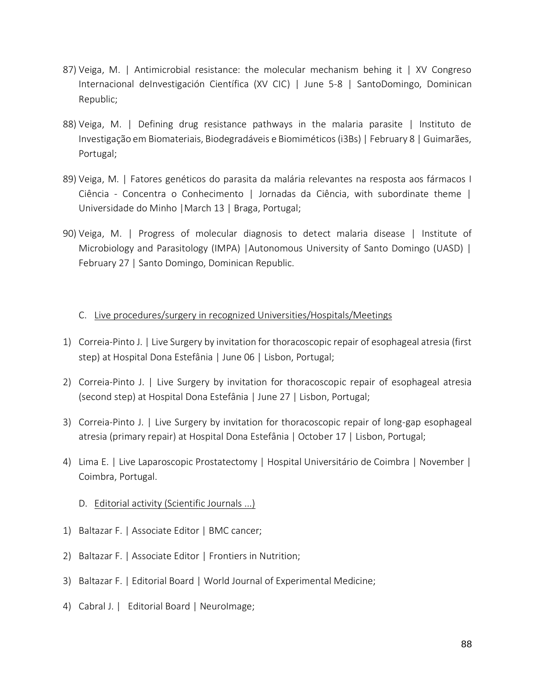- 87) Veiga, M. | Antimicrobial resistance: the molecular mechanism behing it | XV Congreso Internacional deInvestigación Científica (XV CIC) | June 5-8 | SantoDomingo, Dominican Republic;
- 88) Veiga, M. | Defining drug resistance pathways in the malaria parasite | Instituto de Investigação em Biomateriais, Biodegradáveis e Biomiméticos (i3Bs) | February 8 | Guimarães, Portugal;
- 89) Veiga, M. | Fatores genéticos do parasita da malária relevantes na resposta aos fármacos I Ciência - Concentra o Conhecimento | Jornadas da Ciência, with subordinate theme | Universidade do Minho |March 13 | Braga, Portugal;
- 90) Veiga, M. | Progress of molecular diagnosis to detect malaria disease | Institute of Microbiology and Parasitology (IMPA) |Autonomous University of Santo Domingo (UASD) | February 27 | Santo Domingo, Dominican Republic.

#### C. Live procedures/surgery in recognized Universities/Hospitals/Meetings

- 1) Correia-Pinto J. | Live Surgery by invitation for thoracoscopic repair of esophageal atresia (first step) at Hospital Dona Estefânia | June 06 | Lisbon, Portugal;
- 2) Correia-Pinto J. | Live Surgery by invitation for thoracoscopic repair of esophageal atresia (second step) at Hospital Dona Estefânia | June 27 | Lisbon, Portugal;
- 3) Correia-Pinto J. | Live Surgery by invitation for thoracoscopic repair of long-gap esophageal atresia (primary repair) at Hospital Dona Estefânia | October 17 | Lisbon, Portugal;
- 4) Lima E. | Live Laparoscopic Prostatectomy | Hospital Universitário de Coimbra | November | Coimbra, Portugal.
	- D. Editorial activity (Scientific Journals ...)
- 1) Baltazar F. | Associate Editor | BMC cancer;
- 2) Baltazar F. | Associate Editor | Frontiers in Nutrition;
- 3) Baltazar F. | Editorial Board | World Journal of Experimental Medicine;
- 4) Cabral J. | Editorial Board | NeuroImage;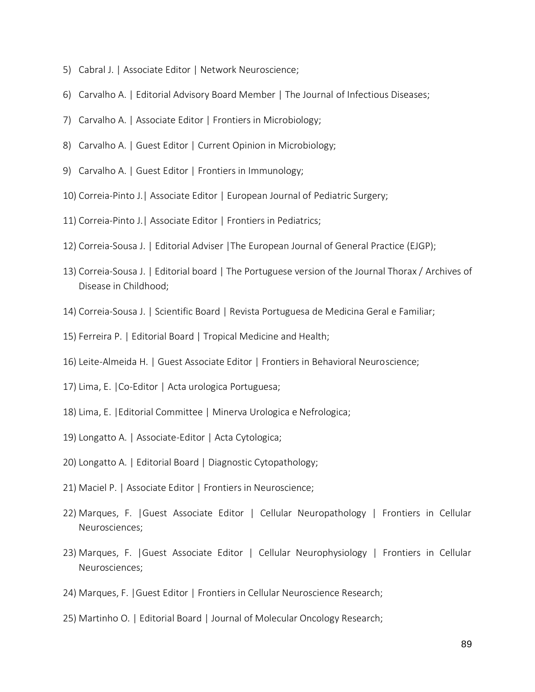- 5) Cabral J. | Associate Editor | Network Neuroscience;
- 6) Carvalho A. | Editorial Advisory Board Member | The Journal of Infectious Diseases;
- 7) Carvalho A. | Associate Editor | Frontiers in Microbiology;
- 8) Carvalho A. | Guest Editor | Current Opinion in Microbiology;
- 9) Carvalho A. | Guest Editor | Frontiers in Immunology;
- 10) Correia-Pinto J.| Associate Editor | European Journal of Pediatric Surgery;
- 11) Correia-Pinto J.| Associate Editor | Frontiers in Pediatrics;
- 12) Correia-Sousa J. | Editorial Adviser |The European Journal of General Practice (EJGP);
- 13) Correia-Sousa J. | Editorial board | The Portuguese version of the Journal Thorax / Archives of Disease in Childhood;
- 14) Correia-Sousa J. | Scientific Board | Revista Portuguesa de Medicina Geral e Familiar;
- 15) Ferreira P. | Editorial Board | Tropical Medicine and Health;
- 16) Leite-Almeida H. | Guest Associate Editor | Frontiers in Behavioral Neuroscience;
- 17) Lima, E. |Co-Editor | Acta urologica Portuguesa;
- 18) Lima, E. |Editorial Committee | Minerva Urologica e Nefrologica;
- 19) Longatto A. | Associate-Editor | Acta Cytologica;
- 20) Longatto A. | Editorial Board | Diagnostic Cytopathology;
- 21) Maciel P. | Associate Editor | Frontiers in Neuroscience;
- 22) Marques, F. |Guest Associate Editor | Cellular Neuropathology | Frontiers in Cellular Neurosciences;
- 23) Marques, F. |Guest Associate Editor | Cellular Neurophysiology | Frontiers in Cellular Neurosciences;
- 24) Marques, F. |Guest Editor | Frontiers in Cellular Neuroscience Research;
- 25) Martinho O. | Editorial Board | Journal of Molecular Oncology Research;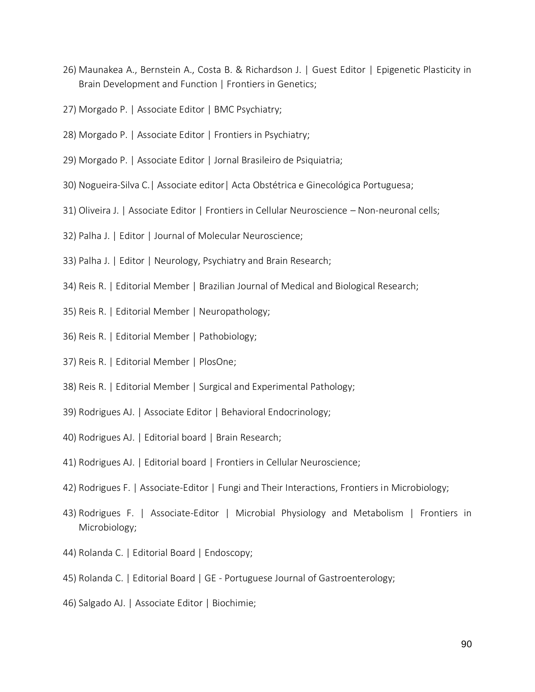- 26) Maunakea A., Bernstein A., Costa B. & Richardson J. | Guest Editor | Epigenetic Plasticity in Brain Development and Function | Frontiers in Genetics;
- 27) Morgado P. | Associate Editor | BMC Psychiatry;
- 28) Morgado P. | Associate Editor | Frontiers in Psychiatry;
- 29) Morgado P. | Associate Editor | Jornal Brasileiro de Psiquiatria;
- 30) Nogueira-Silva C.| Associate editor| Acta Obstétrica e Ginecológica Portuguesa;
- 31) Oliveira J. | Associate Editor | Frontiers in Cellular Neuroscience Non-neuronal cells;
- 32) Palha J. | Editor | Journal of Molecular Neuroscience;
- 33) Palha J. | Editor | Neurology, Psychiatry and Brain Research;
- 34) Reis R. | Editorial Member | Brazilian Journal of Medical and Biological Research;
- 35) Reis R. | Editorial Member | Neuropathology;
- 36) Reis R. | Editorial Member | Pathobiology;
- 37) Reis R. | Editorial Member | PlosOne;
- 38) Reis R. | Editorial Member | Surgical and Experimental Pathology;
- 39) Rodrigues AJ. | Associate Editor | Behavioral Endocrinology;
- 40) Rodrigues AJ. | Editorial board | Brain Research;
- 41) Rodrigues AJ. | Editorial board | Frontiers in Cellular Neuroscience;
- 42) Rodrigues F. | Associate-Editor | Fungi and Their Interactions, Frontiers in Microbiology;
- 43) Rodrigues F. | Associate-Editor | Microbial Physiology and Metabolism | Frontiers in Microbiology;
- 44) Rolanda C. | Editorial Board | Endoscopy;
- 45) Rolanda C. | Editorial Board | GE Portuguese Journal of Gastroenterology;
- 46) Salgado AJ. | Associate Editor | Biochimie;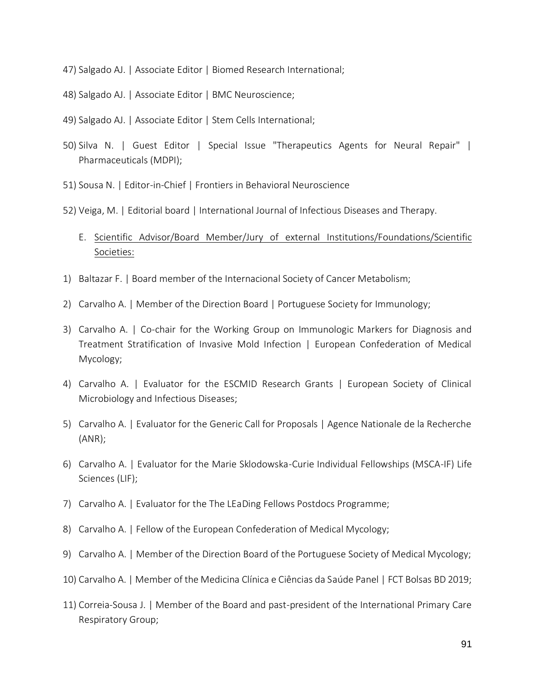- 47) Salgado AJ. | Associate Editor | Biomed Research International;
- 48) Salgado AJ. | Associate Editor | BMC Neuroscience;
- 49) Salgado AJ. | Associate Editor | Stem Cells International;
- 50) Silva N. | Guest Editor | Special Issue "Therapeutics Agents for Neural Repair" | Pharmaceuticals (MDPI);
- 51) Sousa N. | Editor-in-Chief | Frontiers in Behavioral Neuroscience
- 52) Veiga, M. | Editorial board | International Journal of Infectious Diseases and Therapy.
	- E. Scientific Advisor/Board Member/Jury of external Institutions/Foundations/Scientific Societies:
- 1) Baltazar F. | Board member of the Internacional Society of Cancer Metabolism;
- 2) Carvalho A. | Member of the Direction Board | Portuguese Society for Immunology;
- 3) Carvalho A. | Co-chair for the Working Group on Immunologic Markers for Diagnosis and Treatment Stratification of Invasive Mold Infection | European Confederation of Medical Mycology;
- 4) Carvalho A. | Evaluator for the ESCMID Research Grants | European Society of Clinical Microbiology and Infectious Diseases;
- 5) Carvalho A. | Evaluator for the Generic Call for Proposals | Agence Nationale de la Recherche (ANR);
- 6) Carvalho A. | Evaluator for the Marie Sklodowska-Curie Individual Fellowships (MSCA-IF) Life Sciences (LIF);
- 7) Carvalho A. | Evaluator for the The LEaDing Fellows Postdocs Programme;
- 8) Carvalho A. | Fellow of the European Confederation of Medical Mycology;
- 9) Carvalho A. | Member of the Direction Board of the Portuguese Society of Medical Mycology;
- 10) Carvalho A. | Member of the Medicina Clínica e Ciências da Saúde Panel | FCT Bolsas BD 2019;
- 11) Correia-Sousa J. | Member of the Board and past-president of the International Primary Care Respiratory Group;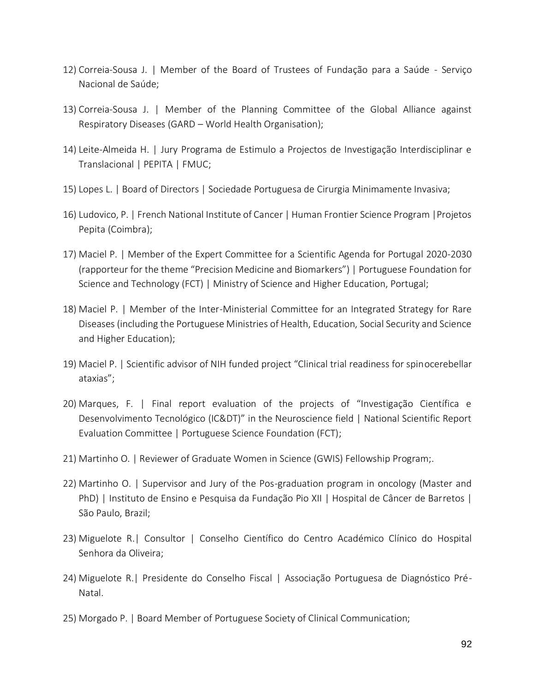- 12) Correia-Sousa J. | Member of the Board of Trustees of Fundação para a Saúde Serviço Nacional de Saúde;
- 13) Correia-Sousa J. | Member of the Planning Committee of the Global Alliance against Respiratory Diseases (GARD – World Health Organisation);
- 14) Leite-Almeida H. | Jury Programa de Estimulo a Projectos de Investigação Interdisciplinar e Translacional | PEPITA | FMUC;
- 15) Lopes L. | Board of Directors | Sociedade Portuguesa de Cirurgia Minimamente Invasiva;
- 16) Ludovico, P. | French National Institute of Cancer | Human Frontier Science Program |Projetos Pepita (Coimbra);
- 17) Maciel P. | Member of the Expert Committee for a Scientific Agenda for Portugal 2020-2030 (rapporteur for the theme "Precision Medicine and Biomarkers") | Portuguese Foundation for Science and Technology (FCT) | Ministry of Science and Higher Education, Portugal;
- 18) Maciel P. | Member of the Inter-Ministerial Committee for an Integrated Strategy for Rare Diseases (including the Portuguese Ministries of Health, Education, Social Security and Science and Higher Education);
- 19) Maciel P. | Scientific advisor of NIH funded project "Clinical trial readiness for spinocerebellar ataxias";
- 20) Marques, F. | Final report evaluation of the projects of "Investigação Científica e Desenvolvimento Tecnológico (IC&DT)" in the Neuroscience field | National Scientific Report Evaluation Committee | Portuguese Science Foundation (FCT);
- 21) Martinho O. | Reviewer of Graduate Women in Science (GWIS) Fellowship Program;.
- 22) Martinho O. | Supervisor and Jury of the Pos-graduation program in oncology (Master and PhD) | Instituto de Ensino e Pesquisa da Fundação Pio XII | Hospital de Câncer de Barretos | São Paulo, Brazil;
- 23) Miguelote R.| Consultor | Conselho Científico do Centro Académico Clínico do Hospital Senhora da Oliveira;
- 24) Miguelote R.| Presidente do Conselho Fiscal | Associação Portuguesa de Diagnóstico Pré-Natal.
- 25) Morgado P. | Board Member of Portuguese Society of Clinical Communication;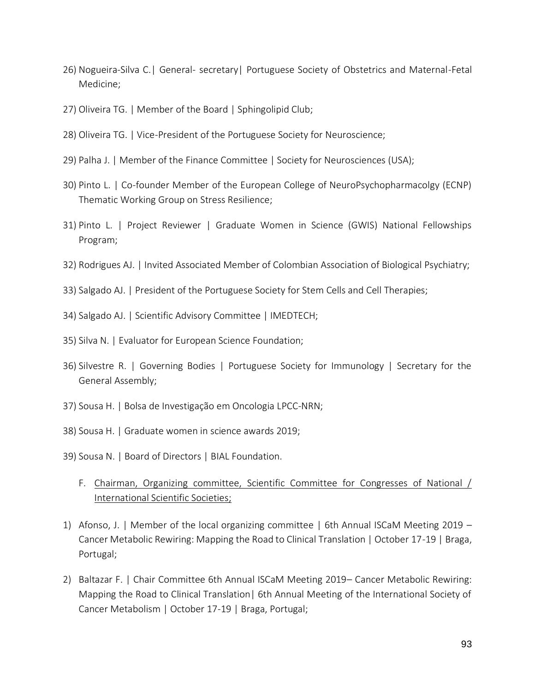- 26) Nogueira-Silva C.| General- secretary| Portuguese Society of Obstetrics and Maternal-Fetal Medicine;
- 27) Oliveira TG. | Member of the Board | Sphingolipid Club;
- 28) Oliveira TG. | Vice-President of the Portuguese Society for Neuroscience;
- 29) Palha J. | Member of the Finance Committee | Society for Neurosciences (USA);
- 30) Pinto L. | Co-founder Member of the European College of NeuroPsychopharmacolgy (ECNP) Thematic Working Group on Stress Resilience;
- 31) Pinto L. | Project Reviewer | Graduate Women in Science (GWIS) National Fellowships Program;
- 32) Rodrigues AJ. | Invited Associated Member of Colombian Association of Biological Psychiatry;
- 33) Salgado AJ. | President of the Portuguese Society for Stem Cells and Cell Therapies;
- 34) Salgado AJ. | Scientific Advisory Committee | IMEDTECH;
- 35) Silva N. | Evaluator for European Science Foundation;
- 36) Silvestre R. | Governing Bodies | Portuguese Society for Immunology | Secretary for the General Assembly;
- 37) Sousa H. | Bolsa de Investigação em Oncologia LPCC-NRN;
- 38) Sousa H. | Graduate women in science awards 2019;
- 39) Sousa N. | Board of Directors | BIAL Foundation.
	- F. Chairman, Organizing committee, Scientific Committee for Congresses of National / International Scientific Societies;
- 1) Afonso, J. | Member of the local organizing committee | 6th Annual ISCaM Meeting 2019 Cancer Metabolic Rewiring: Mapping the Road to Clinical Translation | October 17-19 | Braga, Portugal;
- 2) Baltazar F. | Chair Committee 6th Annual ISCaM Meeting 2019– Cancer Metabolic Rewiring: Mapping the Road to Clinical Translation| 6th Annual Meeting of the International Society of Cancer Metabolism | October 17-19 | Braga, Portugal;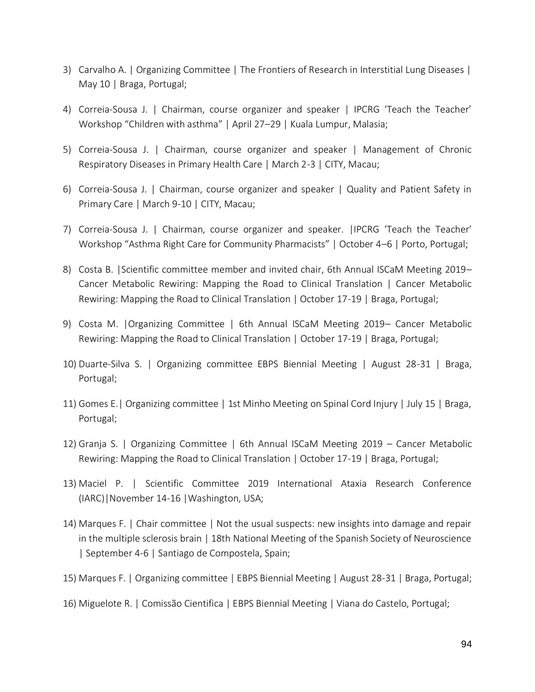- 3) Carvalho A. | Organizing Committee | The Frontiers of Research in Interstitial Lung Diseases | May 10 | Braga, Portugal;
- 4) Correia-Sousa J. | Chairman, course organizer and speaker | IPCRG 'Teach the Teacher' Workshop "Children with asthma" | April 27–29 | Kuala Lumpur, Malasia;
- 5) Correia-Sousa J. | Chairman, course organizer and speaker | Management of Chronic Respiratory Diseases in Primary Health Care | March 2-3 | CITY, Macau;
- 6) Correia-Sousa J. | Chairman, course organizer and speaker | Quality and Patient Safety in Primary Care | March 9-10 | CITY, Macau;
- 7) Correia-Sousa J. | Chairman, course organizer and speaker. |IPCRG 'Teach the Teacher' Workshop "Asthma Right Care for Community Pharmacists" | October 4–6 | Porto, Portugal;
- 8) Costa B. |Scientific committee member and invited chair, 6th Annual ISCaM Meeting 2019– Cancer Metabolic Rewiring: Mapping the Road to Clinical Translation | Cancer Metabolic Rewiring: Mapping the Road to Clinical Translation | October 17-19 | Braga, Portugal;
- 9) Costa M. |Organizing Committee | 6th Annual ISCaM Meeting 2019– Cancer Metabolic Rewiring: Mapping the Road to Clinical Translation | October 17-19 | Braga, Portugal;
- 10) Duarte-Silva S. | Organizing committee EBPS Biennial Meeting | August 28-31 | Braga, Portugal;
- 11) Gomes E.| Organizing committee | 1st Minho Meeting on Spinal Cord Injury | July 15 | Braga, Portugal;
- 12) Granja S. | Organizing Committee | 6th Annual ISCaM Meeting 2019 Cancer Metabolic Rewiring: Mapping the Road to Clinical Translation | October 17-19 | Braga, Portugal;
- 13) Maciel P. | Scientific Committee 2019 International Ataxia Research Conference (IARC)|November 14-16 |Washington, USA;
- 14) Marques F. | Chair committee | Not the usual suspects: new insights into damage and repair in the multiple sclerosis brain | 18th National Meeting of the Spanish Society of Neuroscience | September 4-6 | Santiago de Compostela, Spain;
- 15) Marques F. | Organizing committee | EBPS Biennial Meeting | August 28-31 | Braga, Portugal;
- 16) Miguelote R. | Comissão Cientifica | EBPS Biennial Meeting | Viana do Castelo, Portugal;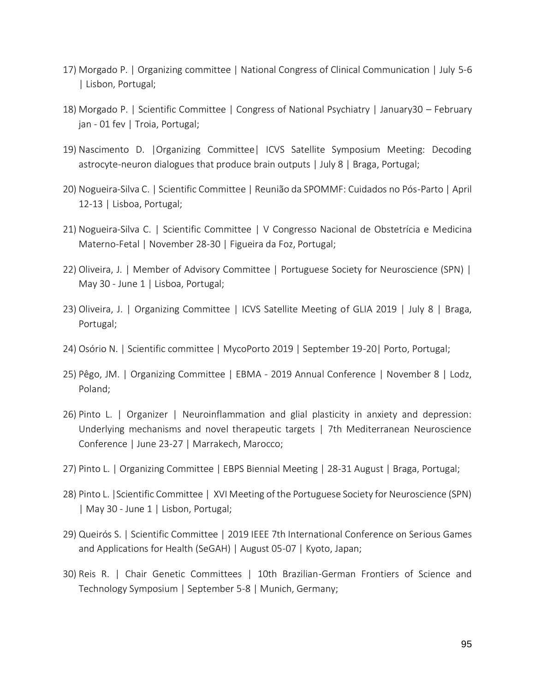- 17) Morgado P. | Organizing committee | National Congress of Clinical Communication | July 5-6 | Lisbon, Portugal;
- 18) Morgado P. | Scientific Committee | Congress of National Psychiatry | January30 February jan - 01 fev | Troia, Portugal;
- 19) Nascimento D. |Organizing Committee| ICVS Satellite Symposium Meeting: Decoding astrocyte-neuron dialogues that produce brain outputs | July 8 | Braga, Portugal;
- 20) Nogueira-Silva C. | Scientific Committee | Reunião da SPOMMF: Cuidados no Pós-Parto | April 12-13 | Lisboa, Portugal;
- 21) Nogueira-Silva C. | Scientific Committee | V Congresso Nacional de Obstetrícia e Medicina Materno-Fetal | November 28-30 | Figueira da Foz, Portugal;
- 22) Oliveira, J. | Member of Advisory Committee | Portuguese Society for Neuroscience (SPN) | May 30 - June 1 | Lisboa, Portugal;
- 23) Oliveira, J. | Organizing Committee | ICVS Satellite Meeting of GLIA 2019 | July 8 | Braga, Portugal;
- 24) Osório N. | Scientific committee | MycoPorto 2019 | September 19-20| Porto, Portugal;
- 25) Pêgo, JM. | Organizing Committee | EBMA 2019 Annual Conference | November 8 | Lodz, Poland;
- 26) Pinto L. | Organizer | Neuroinflammation and glial plasticity in anxiety and depression: Underlying mechanisms and novel therapeutic targets | 7th Mediterranean Neuroscience Conference | June 23-27 | Marrakech, Marocco;
- 27) Pinto L. | Organizing Committee | EBPS Biennial Meeting | 28-31 August | Braga, Portugal;
- 28) Pinto L. |Scientific Committee | XVI Meeting of the Portuguese Society for Neuroscience (SPN) | May 30 - June 1 | Lisbon, Portugal;
- 29) Queirós S. | Scientific Committee | 2019 IEEE 7th International Conference on Serious Games and Applications for Health (SeGAH) | August 05-07 | Kyoto, Japan;
- 30) Reis R. | Chair Genetic Committees | 10th Brazilian-German Frontiers of Science and Technology Symposium | September 5-8 | Munich, Germany;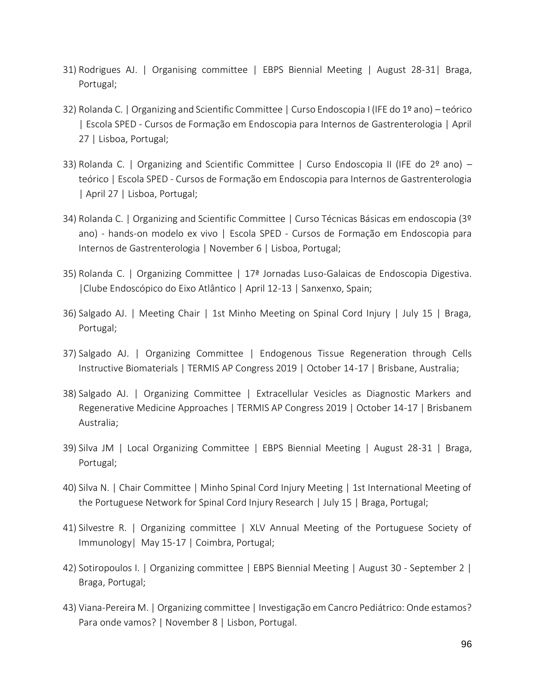- 31) Rodrigues AJ. | Organising committee | EBPS Biennial Meeting | August 28-31| Braga, Portugal;
- 32) Rolanda C. | Organizing and Scientific Committee | Curso Endoscopia I (IFE do 1º ano) teórico | Escola SPED - Cursos de Formação em Endoscopia para Internos de Gastrenterologia | April 27 | Lisboa, Portugal;
- 33) Rolanda C. | Organizing and Scientific Committee | Curso Endoscopia II (IFE do 2º ano) teórico | Escola SPED - Cursos de Formação em Endoscopia para Internos de Gastrenterologia | April 27 | Lisboa, Portugal;
- 34) Rolanda C. | Organizing and Scientific Committee | Curso Técnicas Básicas em endoscopia (3º ano) - hands-on modelo ex vivo | Escola SPED - Cursos de Formação em Endoscopia para Internos de Gastrenterologia | November 6 | Lisboa, Portugal;
- 35) Rolanda C. | Organizing Committee | 17ª Jornadas Luso-Galaicas de Endoscopia Digestiva. |Clube Endoscópico do Eixo Atlântico | April 12-13 | Sanxenxo, Spain;
- 36) Salgado AJ. | Meeting Chair | 1st Minho Meeting on Spinal Cord Injury | July 15 | Braga, Portugal;
- 37) Salgado AJ. | Organizing Committee | Endogenous Tissue Regeneration through Cells Instructive Biomaterials | TERMIS AP Congress 2019 | October 14-17 | Brisbane, Australia;
- 38) Salgado AJ. | Organizing Committee | Extracellular Vesicles as Diagnostic Markers and Regenerative Medicine Approaches | TERMIS AP Congress 2019 | October 14-17 | Brisbanem Australia;
- 39) Silva JM | Local Organizing Committee | EBPS Biennial Meeting | August 28-31 | Braga, Portugal;
- 40) Silva N. | Chair Committee | Minho Spinal Cord Injury Meeting | 1st International Meeting of the Portuguese Network for Spinal Cord Injury Research | July 15 | Braga, Portugal;
- 41) Silvestre R. | Organizing committee | XLV Annual Meeting of the Portuguese Society of Immunology| May 15-17 | Coimbra, Portugal;
- 42) Sotiropoulos I. | Organizing committee | EBPS Biennial Meeting | August 30 September 2 | Braga, Portugal;
- 43) Viana-Pereira M. | Organizing committee | Investigação em Cancro Pediátrico: Onde estamos? Para onde vamos? | November 8 | Lisbon, Portugal.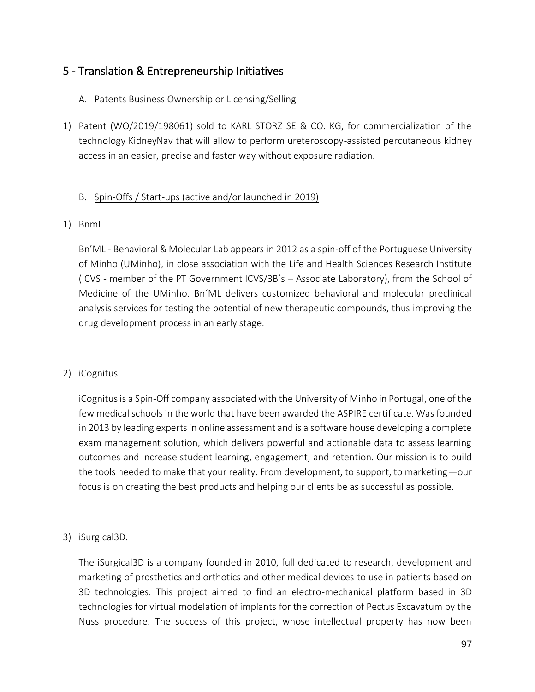## 5 - Translation & Entrepreneurship Initiatives

### A. Patents Business Ownership or Licensing/Selling

1) Patent (WO/2019/198061) sold to KARL STORZ SE & CO. KG, for commercialization of the technology KidneyNav that will allow to perform ureteroscopy-assisted percutaneous kidney access in an easier, precise and faster way without exposure radiation.

#### B. Spin-Offs / Start-ups (active and/or launched in 2019)

1) BnmL

Bn'ML - Behavioral & Molecular Lab appears in 2012 as a spin-off of the Portuguese University of Minho (UMinho), in close association with the Life and Health Sciences Research Institute (ICVS - member of the PT Government ICVS/3B's – Associate Laboratory), from the School of Medicine of the UMinho. Bn´ML delivers customized behavioral and molecular preclinical analysis services for testing the potential of new therapeutic compounds, thus improving the drug development process in an early stage.

2) iCognitus

iCognitus is a Spin-Off company associated with the University of Minho in Portugal, one of the few medical schools in the world that have been awarded the ASPIRE certificate. Was founded in 2013 by leading experts in online assessment and is a software house developing a complete exam management solution, which delivers powerful and actionable data to assess learning outcomes and increase student learning, engagement, and retention. Our mission is to build the tools needed to make that your reality. From development, to support, to marketing—our focus is on creating the best products and helping our clients be as successful as possible.

3) iSurgical3D.

The iSurgical3D is a company founded in 2010, full dedicated to research, development and marketing of prosthetics and orthotics and other medical devices to use in patients based on 3D technologies. This project aimed to find an electro-mechanical platform based in 3D technologies for virtual modelation of implants for the correction of Pectus Excavatum by the Nuss procedure. The success of this project, whose intellectual property has now been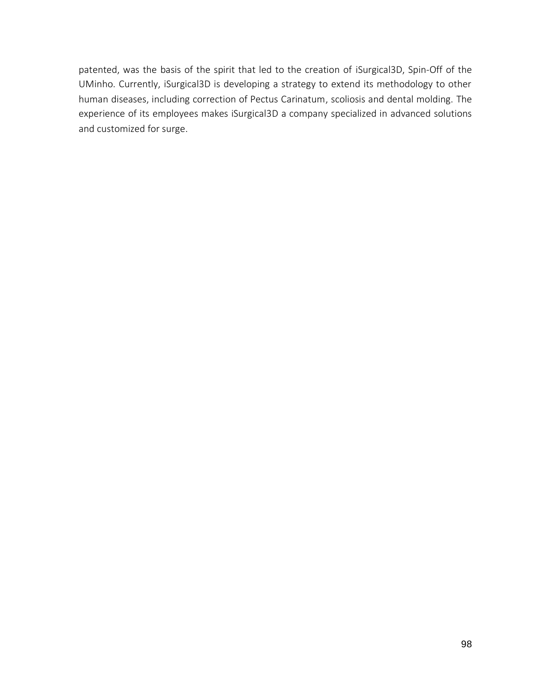patented, was the basis of the spirit that led to the creation of iSurgical3D, Spin-Off of the UMinho. Currently, iSurgical3D is developing a strategy to extend its methodology to other human diseases, including correction of Pectus Carinatum, scoliosis and dental molding. The experience of its employees makes iSurgical3D a company specialized in advanced solutions and customized for surge.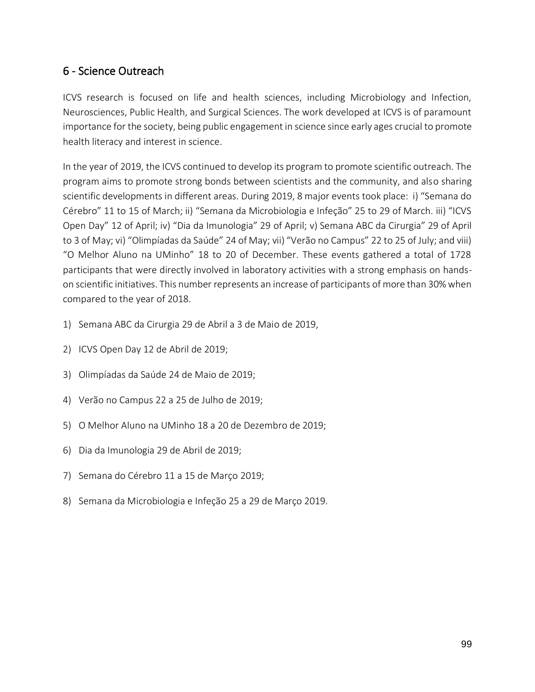# 6 - Science Outreach

ICVS research is focused on life and health sciences, including Microbiology and Infection, Neurosciences, Public Health, and Surgical Sciences. The work developed at ICVS is of paramount importance for the society, being public engagement in science since early ages crucial to promote health literacy and interest in science.

In the year of 2019, the ICVS continued to develop its program to promote scientific outreach. The program aims to promote strong bonds between scientists and the community, and also sharing scientific developments in different areas. During 2019, 8 major events took place: i) "Semana do Cérebro" 11 to 15 of March; ii) "Semana da Microbiologia e Infeção" 25 to 29 of March. iii) "ICVS Open Day" 12 of April; iv) "Dia da Imunologia" 29 of April; v) Semana ABC da Cirurgia" 29 of April to 3 of May; vi) "Olimpíadas da Saúde" 24 of May; vii) "Verão no Campus" 22 to 25 of July; and viii) "O Melhor Aluno na UMinho" 18 to 20 of December. These events gathered a total of 1728 participants that were directly involved in laboratory activities with a strong emphasis on handson scientific initiatives. This number represents an increase of participants of more than 30% when compared to the year of 2018.

- 1) Semana ABC da Cirurgia 29 de Abril a 3 de Maio de 2019,
- 2) ICVS Open Day 12 de Abril de 2019;
- 3) Olimpíadas da Saúde 24 de Maio de 2019;
- 4) Verão no Campus 22 a 25 de Julho de 2019;
- 5) O Melhor Aluno na UMinho 18 a 20 de Dezembro de 2019;
- 6) Dia da Imunologia 29 de Abril de 2019;
- 7) Semana do Cérebro 11 a 15 de Março 2019;
- 8) Semana da Microbiologia e Infeção 25 a 29 de Março 2019.